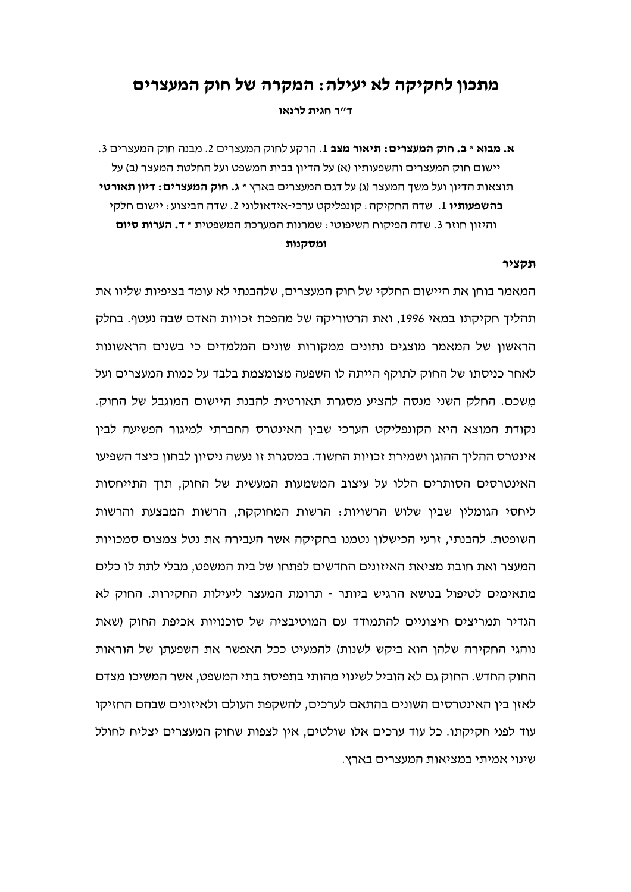# מתכון לחקיקה לא יעילה: המקרה של חוק המעצרים

ד״ר חגית לרנאו

א. מבוא \* ב. חוק המעצרים: תיאור מצב 1. הרקע לחוק המעצרים 2. מבנה חוק המעצרים 3. יישום חוק המעצרים והשפעותיו (א) על הדיון בבית המשפט ועל החלטת המעצר (ב) על תוצאות הדיון ועל משך המעצר (ג) על דגם המעצרים בארץ \* **ג. חוק המעצרים: דיון תאורטי** בהשפעותיו 1. שדה החקיקה : קונפליקט ערכי-אידאולוגי 2. שדה הביצוע : יישום חלקי והיזון חוזר 3. שדה הפיקוח השיפוטי: שמרנות המערכת המשפטית \* **ד. הערות סיום** ומסקנות

### תקציר

המאמר בוחן את היישום החלקי של חוק המעצרים, שלהבנתי לא עומד בציפיות שליוו את תהליך חקיקתו במאי 1996, ואת הרטוריקה של מהפכת זכויות האדם שבה נעטף. בחלק הראשון של המאמר מוצגים נתונים ממקורות שונים המלמדים כי בשנים הראשונות לאחר כניסתו של החוק לתוקף הייתה לו השפעה מצומצמת בלבד על כמות המעצרים ועל משכם. החלק השני מנסה להציע מסגרת תאורטית להבנת היישום המוגבל של החוק. נקודת המוצא היא הקונפליקט הערכי שבין האינטרס החברתי למיגור הפשיעה לבין אינטרס ההליך ההוגן ושמירת זכויות החשוד. במסגרת זו נעשה ניסיון לבחון כיצד השפיעו האינטרסים הסותרים הללו על עיצוב המשמעות המעשית של החוק, תוך התייחסות ליחסי הגומלין שבין שלוש הרשויות: הרשות המחוקקת, הרשות המבצעת והרשות השופטת. להבנתי, זרעי הכישלוו נטמנו בחקיקה אשר העבירה את נטל צמצום סמכויות המעצר ואת חובת מציאת האיזונים החדשים לפתחו של בית המשפט, מבלי לתת לו כלים מתאימים לטיפול בנושא הרגיש ביותר - תרומת המעצר ליעילות החקירות. החוק לא הגדיר תמריצים חיצוניים להתמודד עם המוטיבציה של סוכנויות אכיפת החוק (שאת נוהגי החקירה שלהן הוא ביקש לשנות) להמעיט ככל האפשר את השפעתן של הוראות החוק החדש. החוק גם לא הוביל לשינוי מהותי בתפיסת בתי המשפט, אשר המשיכו מצדם לאזו ביו האינטרסים השונים בהתאם לערכים. להשקפת העולם ולאיזונים שבהם החזיקו עוד לפני חקיקתו. כל עוד ערכים אלו שולטים, אין לצפות שחוק המעצרים יצליח לחולל שינוי אמיתי במציאות המעצרים בארץ.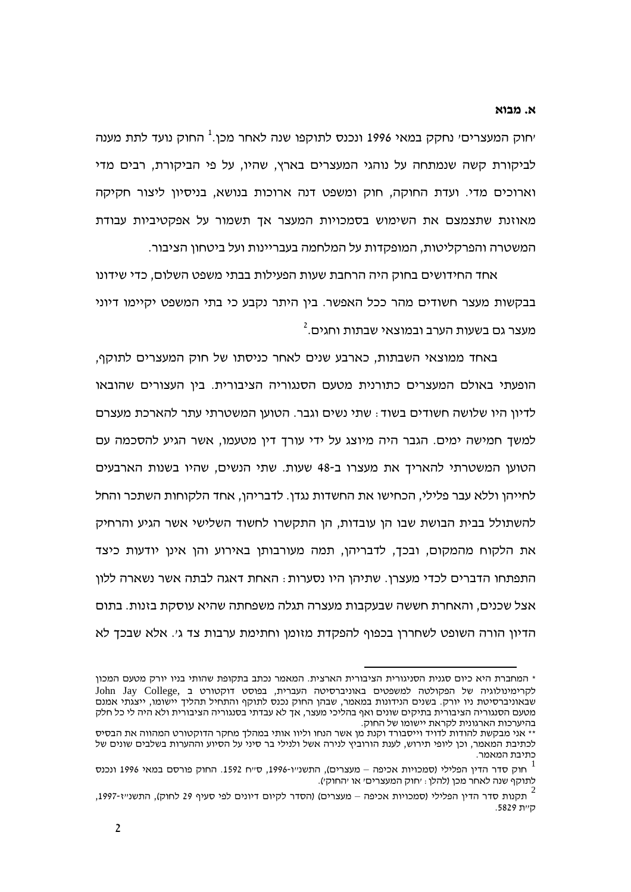## א. מבוא

יחוק המעצרים<sup>,</sup> נחקק במאי 1996 ונכנס לתוקפו שנה לאחר מכן.<sup>1</sup> החוק נועד לתת מענה לביקורת קשה שנמתחה על נוהגי המעצרים בארץ, שהיו, על פי הביקורת, רבים מדי וארוכים מדי. ועדת החוקה, חוק ומשפט דנה ארוכות בנושא, בניסיון ליצור חקיקה מאוזנת שתצמצם את השימוש בסמכויות המעצר אך תשמור על אפקטיביות עבודת המשטרה והפרקליטות, המופקדות על המלחמה בעבריינות ועל ביטחון הציבור.

אחד החידושים בחוק היה הרחבת שעות הפעילות בבתי משפט השלום, כדי שידונו בבקשות מעצר חשודים מהר ככל האפשר. ביו היתר נקבע כי בתי המשפט יקיימו דיוני מעצר גם בשעות הערב ובמוצאי שבתות וחגים.<sup>2</sup>

באחד ממוצאי השבתות. כארבע שנים לאחר כניסתו של חוק המעצרים לתוקף. הופעתי באולם המעצרים כתורנית מטעם הסנגוריה הציבורית. בין העצורים שהובאו לדיון היו שלושה חשודים בשוד ּ שתי נשים וגבר. הטוען המשטרתי עתר להארכת מעצרם למשך חמישה ימים. הגבר היה מיוצג על ידי עורך דין מטעמו, אשר הגיע להסכמה עם הטוען המשטרתי להאריך את מעצרו ב-48 שעות. שתי הנשים, שהיו בשנות הארבעים לחייהו וללא עבר פלילי, הכחישו את החשדות נגדו. לדבריהו, אחד הלקוחות השתכר והחל להשתולל בבית הבושת שבו הו עובדות. הו התקשרו לחשוד השלישי אשר הגיע והרחיק את הלקוח מהמקום, ובכך, לדבריהן, תמה מעורבותן באירוע והן אינן יודעות כיצד התפתחו הדברים לכדי מעצרן. שתיהן היו נסערות : האחת דאגה לבתה אשר נשארה ללון אצל שכנים, והאחרת חששה שבעקבות מעצרה תגלה משפחתה שהיא עוסקת בזנות. בתום הדיוו הורה השופט לשחררו בכפוף להפקדת מזומו וחתימת ערבות צד גי. אלא שבכד לא

<sup>\*</sup> המחברת היא כיום סגנית הסניגורית הציבורית הארצית. המאמר נכתב בתקופת שהותי בניו יורק מטעם המכון John Jay College, לקרימינולוגיה של הפקולטה למשפטים באוניברסיטה העברית, בפוסט דוקטורט ב שבאוניברסיטת ניו יורק. בשנים הנידונות במאמר, שבהן החוק נכנס לתוקף והתחיל תהליך יישומו, ייצגתי אמנם מטעם הסנגוריה הציבורית בתיקים שונים ואף בהליכי מעצר, אך לא עבדתי בסנגוריה הציבורית ולא היה לי כל חלק בהיערכות הארגונית לקראת יישומו של החוק.

<sup>\*\*</sup> אני מבקשת להודות לדויד וייסבורד וקנת מן אשר הנחו וליוו אותי במהלך מחקר הדוקטורט המהווה את הבסיס לכתיבת המאמר, וכן ליופי תירוש, לענת הורוביץ לנירה אשל ולנילי בר סיני על הסיוע וההערות בשלבים שונים של כתיבת המאמר.

ונכנס 1996 ווכנס – מעצרים), התשנ״ו-1996, ס״ח 1592. החוק פורסם במאי 1996 ונכנס – חוק סדר הדין הפלילי לתוקף שנה לאחר מכן (להלן: ׳חוק המעצרים׳ או ׳החוק׳).

<sup>,</sup> תקנות סדר הדין הפלילי (סמכויות אכיפה – מעצרים) (הסדר לקיום דיונים לפי סעיף 29 לחוק), התשנייז-1997, היית 5829.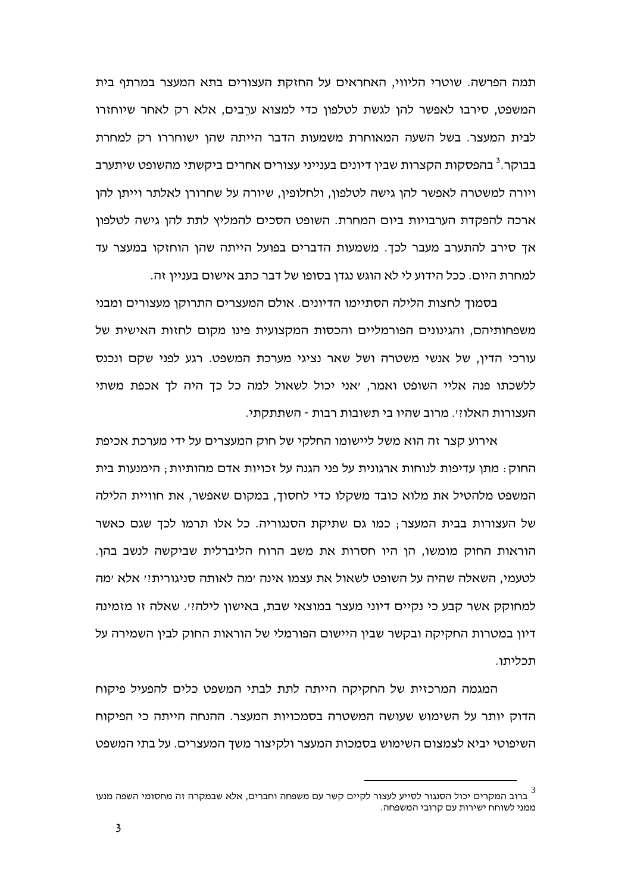תמה הפרשה. שוטרי הליווי, האחראים על החזקת העצורים בתא המעצר במרתף בית המשפט, סירבו לאפשר להן לגשת לטלפון כדי למצוא ערֲבים, אלא רק לאחר שיוחזרו לבית המעצר. בשל השעה המאוחרת משמעות הדבר הייתה שהן ישוחררו רק למחרת בבוקר.<sup>3</sup> בהפסקות הקצרות שבין דיונים בענייני עצורים אחרים ביקשתי מהשופט שיתערב ויורה למשטרה לאפשר להו גישה לטלפוו. ולחלופיו. שיורה על שחרורו לאלתר וייתו להו ארכה להפקדת הערבויות ביום המחרת. השופט הסכים להמליץ לתת להן גישה לטלפון אך סירב להתערב מעבר לכך. משמעות הדברים בפועל הייתה שהן הוחזקו במעצר עד למחרת היום. ככל הידוע לי לא הוגש נגדו בסופו של דבר כתב אישום בעניין זה.

בסמוך לחצות הלילה הסתיימו הדיונים. אולם המעצרים התרוקן מעצורים ומבני משפחותיהם. והגינונים הפורמליים והכסות המקצועית פינו מקום לחזות האישית של עורכי הדין, של אנשי משטרה ושל שאר נציגי מערכת המשפט. רגע לפני שקם ונכנס ללשכתו פנה אליי השופט ואמר, יאני יכול לשאול למה כל כך היה לך אכפת משתי העצורות האלו!י. מרוב שהיו בי תשובות רבות - השתתקתי.

אירוע קצר זה הוא משל ליישומו החלקי של חוק המעצרים על ידי מערכת אכיפת החוק: מתן עדיפות לנוחות ארגונית על פני הגנה על זכויות אדם מהותיות; הימנעות בית המשפט מלהטיל את מלוא כובד משקלו כדי לחסוך, במקום שאפשר, את חוויית הלילה של העצורות בבית המעצר; כמו גם שתיקת הסנגוריה. כל אלו תרמו לכך שגם כאשר הוראות החוק מומשו, הו היו חסרות את משב הרוח הליברלית שביקשה לנשב בהן. לטעמי, השאלה שהיה על השופט לשאול את עצמו אינה ימה לאותה סניגורית!י אלא ימה למחוקק אשר קבע כי נקיים דיוני מעצר במוצאי שבת, באישון לילה!י. שאלה זו מזמינה דיון במטרות החקיקה ובקשר שבין היישום הפורמלי של הוראות החוק לבין השמירה על חרליחו

המגמה המרכזית של החקיקה הייתה לתת לבתי המשפט כלים להפעיל פיקוח הדוק יותר על השימוש שעושה המשטרה בסמכויות המעצר. ההנחה הייתה כי הפיקוח השיפוטי יביא לצמצום השימוש בסמכות המעצר ולקיצור משך המעצרים. על בתי המשפט

ברוב המקרים יכול הסנגור לסייע לעצור לקיים קשר עם משפחה וחברים, אלא שבמקרה זה מחסומי השפה מנעו  $^3$ ממני לשוחח ישירות עם קרובי המשפחה.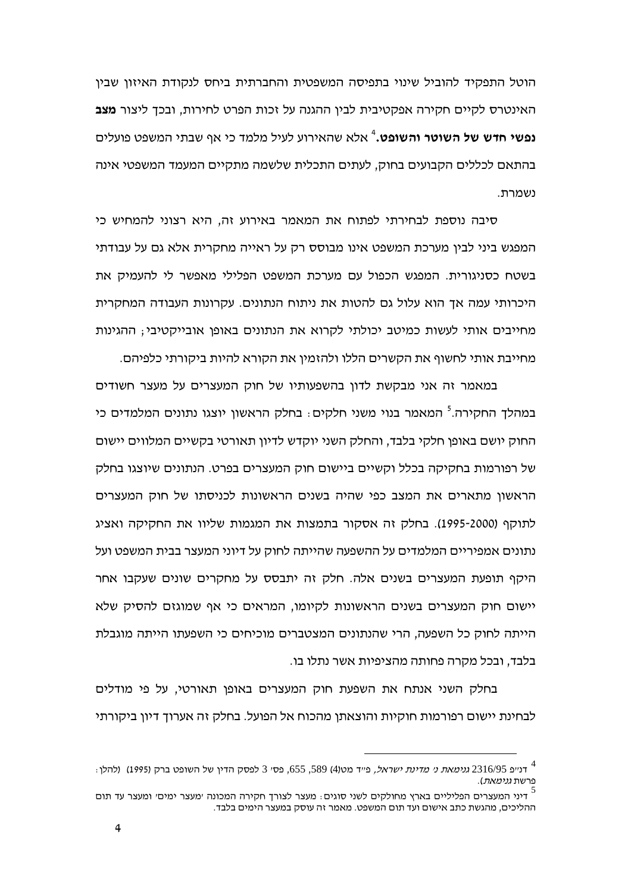הוטל התפקיד להוביל שינוי בתפיסה המשפטית והחברתית ביחס לנקודת האיזון שבין האינטרס לקיים חקירה אפקטיבית לבין ההגנה על זכות הפרט לחירות, ובכך ליצור מצב נפשי חדש של השוטר והשופט.<sup>4</sup> אלא שהאירוע לעיל מלמד כי אף שבתי המשפט פועלים בהתאם לכללים הקבועים בחוק, לעתים התכלית שלשמה מתקיים המעמד המשפטי אינה נשמרת.

סיבה נוספת לבחירתי לפתוח את המאמר באירוע זה, היא רצוני להמחיש כי המפגש ביני לבין מערכת המשפט אינו מבוסס רק על ראייה מחקרית אלא גם על עבודתי בשטח כסניגורית. המפגש הכפול עם מערכת המשפט הפלילי מאפשר לי להעמיק את היכרותי עמה אך הוא עלול גם להטות את ניתוח הנתונים. עקרונות העבודה המחקרית מחייבים אותי לעשות כמיטב יכולתי לקרוא את הנתונים באופו אובייקטיבי: ההגינות מחייבת אותי לחשוף את הקשרים הללו ולהזמין את הקורא להיות ביקורתי כלפיהם.

במאמר זה אני מבקשת לדון בהשפעותיו של חוק המעצרים על מעצר חשודים במהלד החקירה.<sup>5</sup> המאמר בנוי משני חלקים: בחלק הראשון יוצגו נתונים המלמדים כי החוק יושם באופו חלקי בלבד, והחלק השני יוקדש לדיון תאורטי בקשיים המלווים יישום של רפורמות בחקיקה בכלל וקשיים ביישום חוק המעצרים בפרט. הנתונים שיוצגו בחלק הראשוו מתארים את המצב כפי שהיה בשנים הראשונות לכניסתו של חוק המעצרים לתוקף (1995-2000). בחלק זה אסקור בתמצות את המגמות שליוו את החקיקה ואציג נתונים אמפיריים המלמדים על ההשפעה שהייתה לחוק על דיוני המעצר בבית המשפט ועל היקף תופעת המעצרים בשנים אלה. חלק זה יתבסס על מחקרים שונים שעקבו אחר יישום חוק המעצרים בשנים הראשונות לקיומו, המראים כי אף שמוגזם להסיק שלא הייתה לחוק כל השפעה. הרי שהנתונים המצטברים מוכיחים כי השפעתו הייתה מוגבלת בלבד, ובכל מקרה פחותה מהציפיות אשר נתלו בו.

בחלק השני אנתח את השפעת חוק המעצרים באופן תאורטי, על פי מודלים לבחינת יישום רפורמות חוקיות והוצאתו מהכוח אל הפועל. בחלק זה אערוד דיוו ביקורתי

ולהלן (2316/95 *גנימאת ני מדינת ישראל,* פייד מט(4) 589, 585, פסי 3 לפסק הדין של השופט ברק (1995) (להלן -פרשת *גנימאת*).

דיני המעצרים הפליליים בארץ מחולקים לשני סוגים: מעצר לצורך חקירה המכונה ׳מעצר ימים׳ ומעצר עד תום  $^5$ ההליכים, מהגשת כתב אישום ועד תום המשפט. מאמר זה עוסק במעצר הימים בלבד.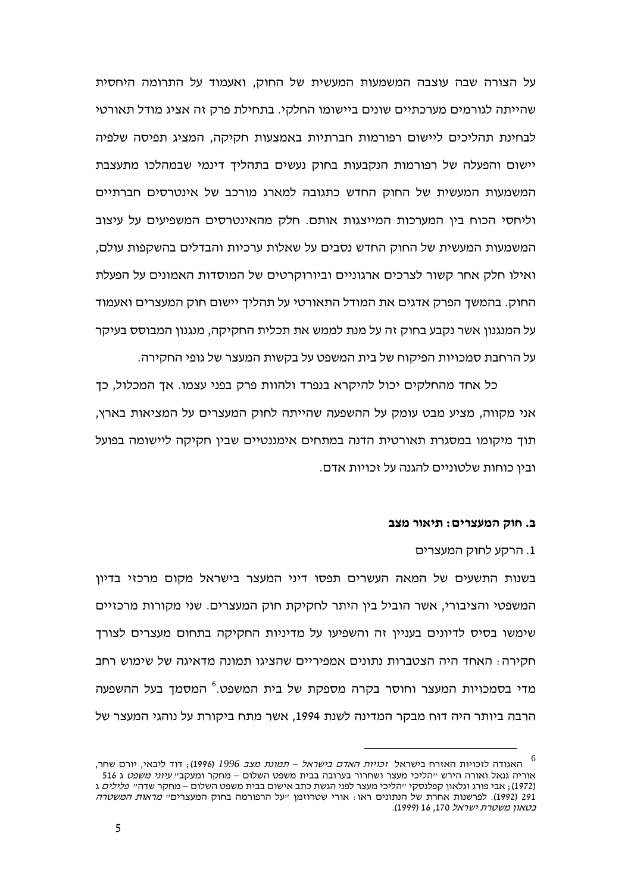על הצורה שבה עוצבה המשמעות המעשית של החוק, ואעמוד על התרומה היחסית שהייתה לגורמים מערכתיים שונים ביישומו החלקי. בתחילת פרק זה אציג מודל תאורטי לבחינת תהליכים ליישום רפורמות חברתיות באמצעות חקיקה, המציג תפיסה שלפיה יישום והפעלה של רפורמות הנקבעות בחוק נעשים בתהליך דינמי שבמהלכו מתעצבת המשמעות המעשית של החוק החדש כתגובה למארג מורכב של אינטרסים חברתיים וליחסי הכוח ביו המערכות המייצגות אותם. חלק מהאינטרסים המשפיעים על עיצוב המשמעות המעשית של החוק החדש נסבים על שאלות ערכיות והבדלים בהשקפות עולם, ואילו חלק אחר קשור לצרכים ארגוניים וביורוקרטים של המוסדות האמונים על הפעלת החוק. בהמשך הפרק אדגים את המודל התאורטי על תהליך יישום חוק המעצרים ואעמוד על המנגנון אשר נקבע בחוק זה על מנת לממש את תכלית החקיקה, מנגנון המבוסס בעיקר על הרחבת סמכויות הפיקוח של בית המשפט על בקשות המעצר של גופי החקירה.

כל אחד מהחלקים יכול להיקרא בנפרד ולהוות פרק בפני עצמו. אך המכלול, כך אני מקווה, מציע מבט עומק על ההשפעה שהייתה לחוק המעצרים על המציאות בארץ, תוך מיקומו במסגרת תאורטית הדנה במתחים אימננטיים שבין חקיקה ליישומה בפועל ובין כוחות שלטוניים להגנה על זכויות אדם.

## ב. חוק המעצרים: תיאור מצב

1. הרקע לחוק המעצרים

בשנות התשעים של המאה העשרים תפסו דיני המעצר בישראל מקום מרכזי בדיון המשפטי והציבורי, אשר הוביל בין היתר לחקיקת חוק המעצרים. שני מקורות מרכזיים שימשו בסיס לדיונים בעניין זה והשפיעו על מדיניות החקיקה בתחום מעצרים לצורך חקירה: האחד היה הצטברות נתונים אמפיריים שהציגו תמונה מדאיגה של שימוש רחב מדי בסמכויות המעצר וחוסר בקרה מספקת של בית המשפט.<sup>6</sup> המסמך בעל ההשפעה הרבה ביותר היה דוּח מבקר המדינה לשנת 1994. אשר מתח ביקורת על נוהגי המעצר של

<sup>6</sup> האגודה לזכויות האזרח בישראל ז*כויות האדם בישראל – תמונת מצב 1996* (1996). דוד ליבאי, יורם שחר. אוריה גנאל ואורה הירש ייהליכי מעצר ושחרור בערובה בבית משפט השלום – מחקר ומעקבי*י עיוני משפט* ג 516 (1972), אבי פורג וגלאון קפלנסקי ייהליכי מעצר לפני הגשת כתב אישום בבית משפט השלום – מחקר שדהיי פ*לילים* ג 291 (1992). לפרשנות אחרת של הנתונים ראו : אורי שטרוזמו ״על הרפורמה בחוק המעצרים״ *מראות המשטרה* בטאון משטרת ישראל 170, 16 (1999).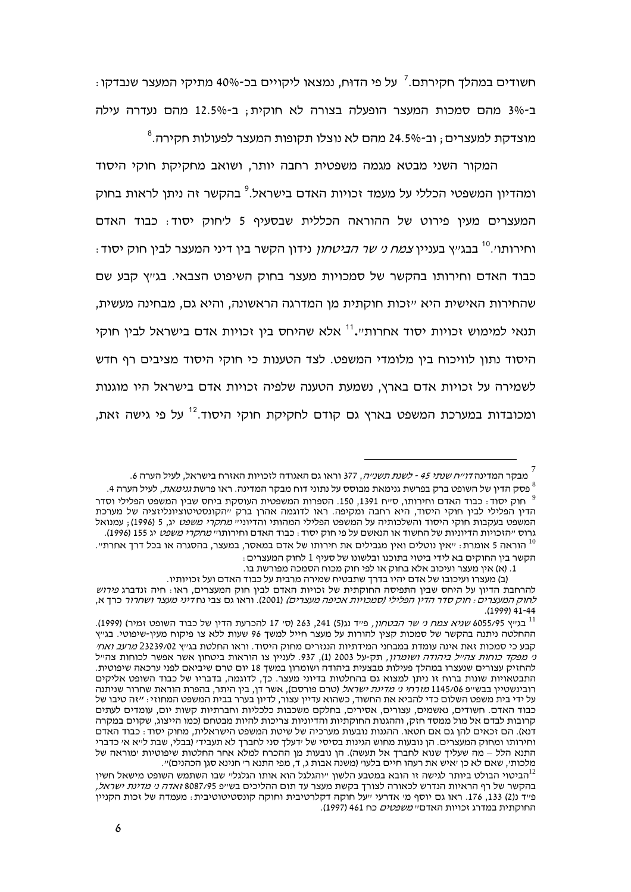חשודים במהלך חקירתם.<sup>7</sup> על פי הדוּח, נמצאו ליקויים בכ-40% מתיקי המעצר שנבדקו <del>.</del> ב-3% מהם סמכות המעצר הופעלה בצורה לא חוקית; ב-12.5% מהם נעדרה עילה מוצדקת למעצרים ; וב-24.5% מהם לא נוצלו תקופות המעצר לפעולות חקירה.<sup>8</sup>

המקור השני מבטא מגמה משפטית רחבה יותר, ושואב מחקיקת חוקי היסוד ומהדיוו המשפטי הכללי על מעמד זכויות האדם בישראל.<sup>9</sup> בהקשר זה ניתו לראות בחוק המעצרים מעין פירוט של ההוראה הכללית שבסעיף 5 ליחוק יסוד: כבוד האדם וחירותו׳.<sup>10</sup> בבג׳׳א בעניין *צמח נ׳ שר הביטחוו* נידון הקשר בין דיני המעצר לבין חוק יסוד⊹ כבוד האדם וחירותו בהקשר של סמכויות מעצר בחוק השיפוט הצבאי. בגייץ קבע שם שהחירות האישית היא ״זכות חוקתית מן המדרגה הראשונה, והיא גם, מבחינה מעשית, תנאי למימוש זכויות יסוד אחרות".<sup>11</sup> אלא שהיחס בין זכויות אדם בישראל לבין חוקי היסוד נתון לוויכוח בין מלומדי המשפט. לצד הטענות כי חוקי היסוד מציבים רף חדש לשמירה על זכויות אדם בארץ, נשמעת הטענה שלפיה זכויות אדם בישראל היו מוגנות ומכובדות במערכת המשפט בארץ גם קודם לחקיקת חוקי היסוד.<sup>12</sup> על פי גישה זאת,

<sup>.&</sup>lt;br>מבקר המדינה *דוייח שנתי 45 - לשנת תשנייה*, 377 וראו גם האגודה לזכויות האזרח בישראל, לעיל הערה 6.

<sup>.&</sup>lt;br>פסק הדיו של השופט ברק בפרשת גנימאת מבוסס על נתוני דוח מבקר המדינה. ראו פרשת *גנימאת*, לעיל הערה 4. חוק יסוד. כבוד האדם וחירותו. ס״ח 1391, 150. הספרות המשפטית העוסקת ביחס שבין המשפט הפלילי וסדר  $^9$ הדיו הפלילי לביו חוקי היסוד, היא רחבה ומקיפה. ראו לדוגמה אהרו ברק ״הקונסטיטוציונליזציה של מערכת המשפט בעקבות חוקי היסוד והשלכותיה על המשפט הפלילי המהותי והדיוני" *מחקרי משפט* יג, 5 (1996); עמנואל גרוס ״הזכויות הדיוניות של החשוד או הנאשם על פי חוק יסוד : כבוד האדם וחירותו״ *מחקרי משפט* יג 155 (1996).

<sup>.</sup> הוראה 5 אומרת $\cdot$  "אין נוטלים ואין מגבילים את חירותו של אדם במאסר, במעצר, בהסגרה או בכל דרך אחרתי הקשר בין החוקים בא לידי ביטוי בתוכנו ובלשונו של סעיף 1 לחוק המעצרים:

<sup>1. (</sup>א) אין מעצר ועיכוב אלא בחוק או לפי חוק מכוח הסמכה מפורשת בו.

<sup>(</sup>ב) מעצרו ועיכובו של אדם יהיו בדרך שתבטיח שמירה מרבית על כבוד האדם ועל זכויותיו.

להרחבת הדיון על היחס שבין התפיסה החוקתית של זכויות האדם לבין חוק המעצרים, ראו: חיה זנדברג *פירוש* לחוק המעצרים: חוק סדר הדין הפלילי (סמכויות אכיפה מעצרים) (2001). וראו גם צבי נחדיני מעצר ושחרור כרך א.  $(1999)$  41-44

<sup>11</sup> בגייץ 6055/95 שג*יא צמח ני שר הבטחון,* פייד נג(5) 241, 263 (סי 17 להכרעת הדין של כבוד השופט זמיר) (1999). ההחלטה ניתנה בהקשר של סמכות קציו להורות על מעצר חייל למשד 96 שעות ללא צו פיקוח מעיו-שיפוטי. בג׳׳ץ קבע כי סמכות זאת אינה עומדת במבחני המידתיות הנגזרים מחוק היסוד. וראו החלטת בגיץ 23239/02 *מרעב ואחי* נ*י מפקד כוחות צהייל ביהודה ושומרון*, תק-על 2003 (1), 937. לעניין צו הוראות ביטחון אשר אפשר לכוחות צהייל להחזיק עצורים שנעצרו במהלך פעילות מבצעית ביהודה ושומרון במשך 18 יום טרם שיביאם לפני ערכאה שיפוטית. התבטאויות שונות ברוח זו ניתן למצוא גם בהחלטות בדיוני מעצר. כך, לדוגמה, בדבריו של כבוד השופט אליקים רובינשטיין בבש״פ 1145/06 *מזרחי ני מדינת ישראל* (טרם פורסם), אשר דן, בין היתר, בהפרת הוראת שחרור שניתנה על ידי בית משפט השלום כדי להביא את החשוד, כשהוא עדיין עצור, לדיון בערר בבית המשפט המחוזי: ״זה טיבו של כבוד האדם. חשודים, נאשמים, עצורים, אסירים, בחלקם משכבות כלכליות וחברתיות קשות יום, עומדים לעתים קרובות לבדם אל מול ממסד חזק, וההגנות החוקתיות והדיוניות צריכות להיות מבטחם (כמו הייצוג, שקוים במקרה דנא). הם זכאים להן גם אם חטאו. ההגנות נובעות מערכיה של שיטת המשפט הישראלית, מחוק יסוד: כבוד האדם וחירותו ומחוק המעצרים. הן נובעות מחוש הגינות בסיסי של ידעלך סני לחברך לא תעבידי (בבלי, שבת לייא אי כדברי התנא הלל – מה שעליך שנוא לחברך אל תעשה). הן נובעות מן ההכרח למלא אחר החלטות שיפוטיות ימוראה של מלכותי, שאם לא כן ׳איש את רעהו חיים בלעו׳ (משנה אבות ג, ד, מפי התנא ר׳ חנינא סגן הכהנים)״.

הביטוי הבולט ביותר לגישה זו הובא במטבע הלשון ״והגלגל הוא אותו הגלגל״ שבו השתמש השופט מישאל חשין $^{12}$ בהקשר של רף הראיות הנדרש לכאורה לצורך בקשת מעצר עד תום ההליכים בשייפ 8087/95 זא*דה ני מדינת ישראל,* פייד ג'2) 133. 176. ראו גם יוסף מי אדרעי ייעל חוקה דקלרטיבית וחוקה קונסטיטוטיבית: מעמדה של זכות הקנייו החוקתית במדרג זכויות האדם" *משפטים* כח 461 (1997).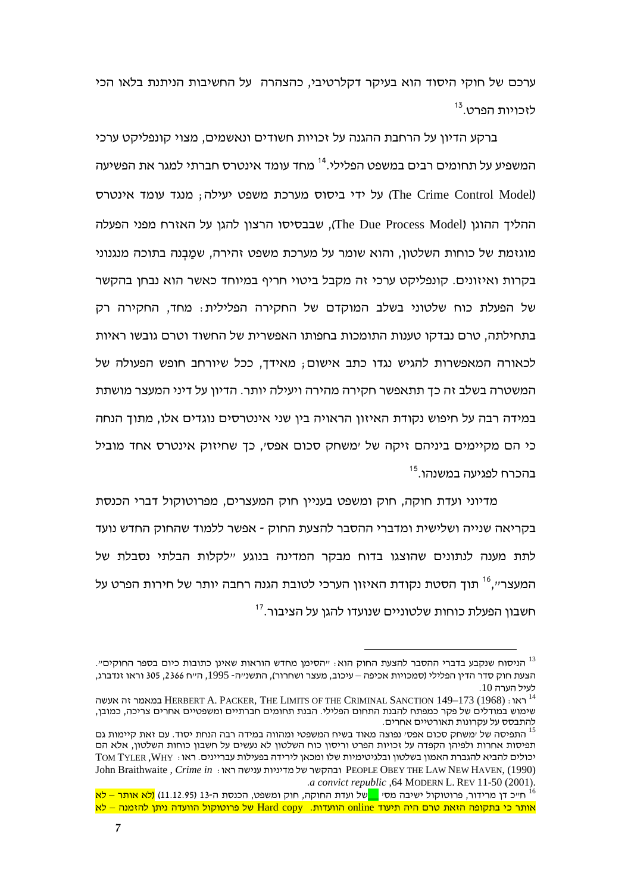ערכם של חוקי היסוד הוא בעיקר דקלרטיבי, כהצהרה על החשיבות הניתנת בלאו הכי לזכויות הפרט.<sup>13</sup>

ברקע הדיון על הרחבת ההגנה על זכויות חשודים ונאשמים, מצוי קונפליקט ערכי המשפיע על תחומים רבים במשפט הפלילי.<sup>14</sup> מחד עומד אינטרס חברתי למגר את הפשיעה על ידי ביסוס מערכת משפט יעילה; מנגד עומד אינטרס (The Crime Control Model) ההליך ההוגן (The Due Process Model), שבבסיסו הרצון להגן על האזרח מפני הפעלה מוגזמת של כוחות השלטון, והוא שומר על מערכת משפט זהירה, שמַבְנה בתוכה מנגנוני בקרות ואיזונים. קונפליקט ערכי זה מקבל ביטוי חריף במיוחד כאשר הוא נבחן בהקשר של הפעלת כוח שלטוני בשלב המוקדם של החקירה הפלילית $\,$  מחד, החקירה רק בתחילתה, טרם נבדקו טענות התומכות בחפותו האפשרית של החשוד וטרם גובשו ראיות לכאורה המאפשרות להגיש נגדו כתב אישום; מאידך, ככל שיורחב חופש הפעולה של המשטרה בשלב זה כך תתאפשר חקירה מהירה ויעילה יותר. הדיון על דיני המעצר מושתת במידה רבה על חיפוש נקודת האיזון הראויה בין שני אינטרסים נוגדים אלו, מתוך הנחה כי הם מקיימים ביניהם זיקה של ׳משחק סכום אפס׳, כך שחיזוק אינטרס אחד מוביל בהכרח לפגיעה במשנהו.<sup>15</sup>

מדיוני ועדת חוקה, חוק ומשפט בעניין חוק המעצרים, מפרוטוקול דברי הכנסת בקריאה שנייה ושלישית ומדברי ההסבר להצעת החוק - אפשר ללמוד שהחוק החדש נועד לתת מענה לנתונים שהוצגו בדוח מבקר המדינה בנוגע ״לקלות הבלתי נסבלת של המעצר׳׳,<sup>16</sup> תוך הסטת נקודת האיזון הערכי לטובת הגנה רחבה יותר של חירות הפרט על חשבון הפעלת כוחות שלטוניים שנועדו להגן על הציבור.<sup>17</sup>

הניסוח שנקבע בדברי ההסבר להצעת החוק הוא $\cdot$  "הסימן מחדש הוראות שאינן כתובות כיום בספר החוקים". הצעת חוק סדר הדין הפלילי (סמכויות אכיפה – עיכוב, מעצר ושחרור), התשנ״ה- 1995, ה״ח 2366, 305 וראו זנדברג, .10

לעיל הערה 10.<br><sup>14</sup> ראו : HERBERT A. PACKER, THE LIMITS OF THE CRIMINAL SANCTION 149–173 (1968) במאמר זה אעשה שימוש במודלים של פקר כמפתח להבנת התחום הפלילי. הבנת תחומים חברתיים ומשפטיים אחרים צריכה, כמובן, להתבסס על עקרונות תאורטיים אחרים.

להתבסס על עקרונות תאורטיים אחרים.<br><sup>15</sup> התפיסה של ימשחק סכום אפסי נפוצה מאוד בשיח המשפטי ומהווה במידה רבה הנחת יסוד. עם זאת קיימות גם תפיסות אחרות ולפיהן הקפדה על זכויות הפרט וריסון כוח השלטון לא נעשים על חשבון כוחות השלטון, אלא הם יכולים להביא להגברת האמון בשלטון ובלגיטימיות שלו ומכאן לירידה בפעילות עבריינים. ראו $\cdot$  TOM TYLER ,WHY יכולים John Braithwaite *, Crime in* :   PEOPLE OBEY THE LAW NEW HAVEN, (1990) .*a convict republic* ,64 MODERN L. REV 11-50 (2001).

<sup>&</sup>lt;sup>16</sup> ח׳יכ דן מרידור, פרוטוקול ישיבה מסי <mark>\_\_</mark>של ועדת החוקה, חוק ומשפט, הכנסת ה-13 (11.12.95) <mark>(לא אותר – לא</mark> אותר כי בתקופה הזאת טרם היה תיעוד online הוועדות. Hard copy של פרוטוקול הוועדה ניתן להזמנה – לא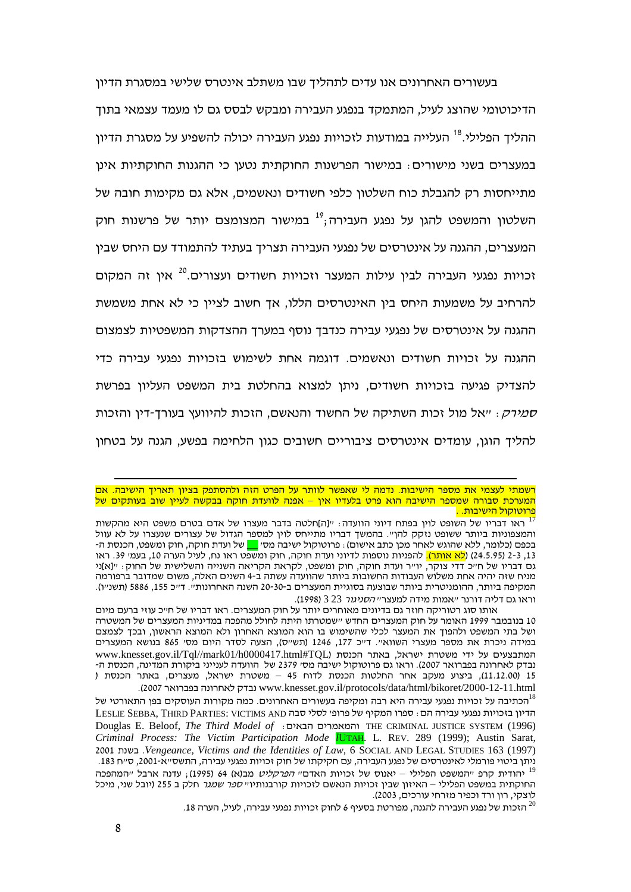בעשורים האחרונים אנו עדים לתהליך שבו משתלב אינטרס שלישי במסגרת הדיון הדיכוטומי שהוצג לעיל, המתמקד בנפגע העבירה ומבקש לבסס גם לו מעמד עצמאי בתוך ההליך הפלילי.<sup>18</sup> העלייה במודעות לזכויות נפגע העבירה יכולה להשפיע על מסגרת הדיון במעצרים בשני מישורים: במישור הפרשנות החוקתית נטען כי ההגנות החוקתיות אינן מתייחסות רק להגבלת כוח השלטון כלפי חשודים ונאשמים, אלא גם מקימות חובה של השלטון והמשפט להגן על נפגע העבירה;<sup>19</sup> במישור המצומצם יותר של פרשנות חוק המעצרים, ההגנה על אינטרסים של נפגעי העבירה תצריך בעתיד להתמודד עם היחס שבין זכויות נפגעי העבירה לבין עילות המעצר וזכויות חשודים ועצורים.<sup>20</sup> אין זה המקום להרחיב על משמעות היחס בין האינטרסים הללו, אך חשוב לציין כי לא אחת משמשת ההגנה על אינטרסים של נפגעי עבירה כנדבך נוסף במערך ההצדקות המשפטיות לצמצום ההגנה על זכויות חשודים ונאשמים. דוגמה אחת לשימוש בזכויות נפגעי עבירה כדי להצדיק פגיעה בזכויות חשודים, ניתן למצוא בהחלטת בית המשפט העליון בפרשת ס*מירק* : ״אל מול זכות השתיקה של החשוד והנאשם, הזכות להיוועץ בעורך-דין והזכות להליך הוגן, עומדים אינטרסים ציבוריים חשובים כגון הלחימה בפשע, הגנה על בטחון

רשמתי לעצמי את מספר הישיבות. נדמה לי שאפשר לוותר על הפרט הזה ולהסתפק בציון תאריך הישיבה. אם המערכת סבורה שמספר הישיבה הוא פרט בלעדיו אין – אפנה לוועדת חוקה בבקשה לעיין שוב בעותקים של <mark>. פרוטוקול הישיבות.</mark>

<sup>&</sup>lt;mark>פרוטוקול הישיבות. .</mark><br><sup>17</sup> ראו דבריו של השופט לוין בפתח דיוני הוועדה ּ ״[ה]חלטה בדבר מעצרו של אדם בטרם משפט היא מהקשות והמצפוניות ביותר ששופט נזקק להן״. בהמשך דבריו מתייחס לוין למספר הגדול של עצורים שנעצרו על לא עוול בכפם (כלומר, ללא שהוגש לאחר מכן כתב אישום) ؛ פרוטוקול ישיבה מסי <u>—</u> של ועדת חוקה, חוק ומשפט, הכנסת ה-הפניות נוספות לדיוני ועדת חוקה, חוק ומשפט ראו נח, לעיל הערה 10, בעמי 39. ראו 13, 2-3 (24.5.95) (<mark>לא אותר).</mark> להפניות נוספות לדיוני ועדת חוקה, חוק ומשפט ראו נח, לעיל הערה 10, בעמי 39. ראו<br>גם דבריו של ח״כ דדי צוקר, יו״ר ועדת חוקה, חוק ומשפט, לקראת הקריאה השנייה והשלישית של החוק : ״[א]ני מניח שזה יהיה אחת משלוש העבודות החשובות ביותר שהוועדה עשתה ב-4 השנים האלה, משום שמדובר ברפורמה המקיפה ביותר, ההומניטרית ביותר שבוצעה בסוגיית המעצרים ב-20-30 השנה האחרונות״. ד״כ 155, 5886 (תשנ״ו). וראו גם דליה דורנר ״אמות מידה למעצר״ *הסניגור* 323 (1998).

אותו סוג רטוריקה חוזר גם בדיונים מאוחרים יותר על חוק המעצרים. ראו דבריו של ח״כ עוזי ברעם מיום 10 בנובמבר 1999 האומר על חוק המעצרים החדש ״שמטרתו היתה לחולל מהפכה במדיניות המעצרים של המשטרה ושל בתי המשפט ולהפוך את המעצר לכלי שהשימוש בו הוא המוצא האחרון ולא המוצא הראשון, ובכך לצמצם במידה ניכרת את מספר מעצרי השווא״. ד״כ 177, 1246 (תש״ס), הצעה לסדר היום מסי 865 בנושא המעצרים www.knesset.gov.il/Tql//mark01/h0000417.html#TQL) ' , נבדק לאחרונה בפברואר 2007). וראו גם פרוטוקול ישיבה מס*י 2379* של הוועדה לענייני ביקורת המדינה, הכנסת ה-15 (11.12.00), ביצוע מעקב אחר החלטות הכנסת לדוח 45 – משטרת ישראל, מעצרים, באתר הכנסת ( .(2007   www.knesset.gov.il/protocols/data/html/bikoret/2000-12-11.html

הכתיבה על זכויות נפגעי עבירה היא רבה ומקיפה בעשורים האחרונים. כמה מקורות העוסקים בפן התאורטי של $^{\rm l8}$ LESLIE SEBBA, THIRD PARTIES: VICTIMS AND ' ' ' & ' :  "  Douglas E. Beloof, *The Third Model of* :  THE CRIMINAL JUSTICE SYSTEM (1996) *Criminal Process: The Victim Participation Mode l*UTAH. L. REV. 289 (1999); Austin Sarat, 2001 .*Vengeance, Victims and the Identities of Law,* 6 SOCIAL AND LEGAL STUDIES 163 (1997) העבירה, עם חקיקתו של חוק זכויות נפגעי עבירה, התשס״א-2001, ס״ח 183. ניתן ביטוי פורמלי לאינטרסים של נפגע העבירה, עם חקיקתו של חוק זכויות נפגעי עבירה, התשס״א-2001, ס״ח 183.<br><sup>19</sup> יהודית קרפ ״המשפט הפלילי – יאנוס של זכויות האדם״ *הפרקליט* מב(א) 64 (1995); עדנה ארבל ״המהפכה החוקתית במשפט הפלילי – האיזון שבין זכויות הנאשם לזכויות קורבנותיו״ *ספר שמגר* חלק ב 255 (יובל שני, מיכל לוצקי, רון ורד וכפיר מזרחי עורכים, 2003).<br><sup>20</sup> הזכות של נפגע העבירה להגנה, מפורטת בסעיף 6 לחוק זכויות נפגעי עבירה, לעיל, הערה 18.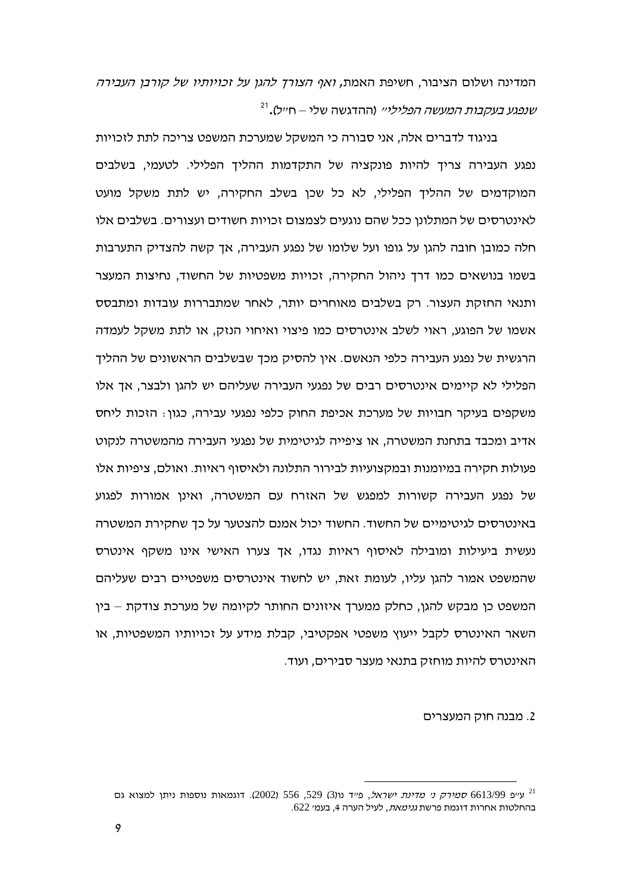המדינה ושלום הציבור, חשיפת האמת, *ואף הצורך להגן על זכויותיו של קורבן העבירה* שנפגע בעקבות המעשה הפ*לילייי* (ההדגשה שלי – חייל).<sup>21</sup>

בניגוד לדברים אלה, אני סבורה כי המשקל שמערכת המשפט צריכה לתת לזכויות נפגע העבירה צריך להיות פונקציה של התקדמות ההליך הפלילי. לטעמי, בשלבים המוקדמים של ההליד הפלילי, לא כל שכו בשלב החקירה, יש לתת משקל מועט לאינטרסים של המתלונן ככל שהם נוגעים לצמצום זכויות חשודים ועצורים. בשלבים אלו חלה כמובן חובה להגן על גופו ועל שלומו של נפגע העבירה, אך קשה להצדיק התערבות בשמו בנושאים כמו דרד ניהול החקירה, זכויות משפטיות של החשוד, נחיצות המעצר ותנאי החזקת העצור. רק בשלבים מאוחרים יותר, לאחר שמתבררות עובדות ומתבסס אשמו של הפוגע. ראוי לשלב אינטרסים כמו פיצוי ואיחוי הנזק. או לתת משקל לעמדה הרגשית של נפגע העבירה כלפי הנאשם. אין להסיק מכד שבשלבים הראשונים של ההליד הפלילי לא קיימים אינטרסים רבים של נפגעי העבירה שעליהם יש להגן ולבצר. אד אלו משקפים בעיקר חבויות של מערכת אכיפת החוק כלפי נפגעי עבירה, כגון: הזכות ליחס אדיב ומכבד בתחנת המשטרה. או ציפייה לגיטימית של נפגעי העבירה מהמשטרה לנקוט פעולות חקירה במיומנות ובמקצועיות לבירור התלונה ולאיסוף ראיות. ואולם, ציפיות אלו של נפגע העבירה קשורות למפגש של האזרח עם המשטרה, ואינן אמורות לפגוע באינטרסים לגיטימיים של החשוד. החשוד יכול אמנם להצטער על כך שחקירת המשטרה נעשית ביעילות ומובילה לאיסוף ראיות נגדו. אד צערו האישי אינו משקף אינטרס שהמשפט אמור להגן עליו, לעומת זאת, יש לחשוד אינטרסים משפטיים רבים שעליהם המשפט כן מבקש להגן, כחלק ממערך איזונים החותר לקיומה של מערכת צודקת – בין השאר האינטרס לקבל ייעוץ משפטי אפקטיבי, קבלת מידע על זכויותיו המשפטיות, או האינטרס להיות מוחזק בתנאי מעצר סבירים, ועוד.

2. מבנה חוק המעצרים

עייפ 6613/99 *סמירק ני מדינת ישראל*, פייד נו(3) 529, 556 (2002). דוגמאות נוספות ניתן למצוא גם בהחלטות אחרות דוגמת פרשת *גנימאת*, לעיל הערה 4, בעמ*י 6*22.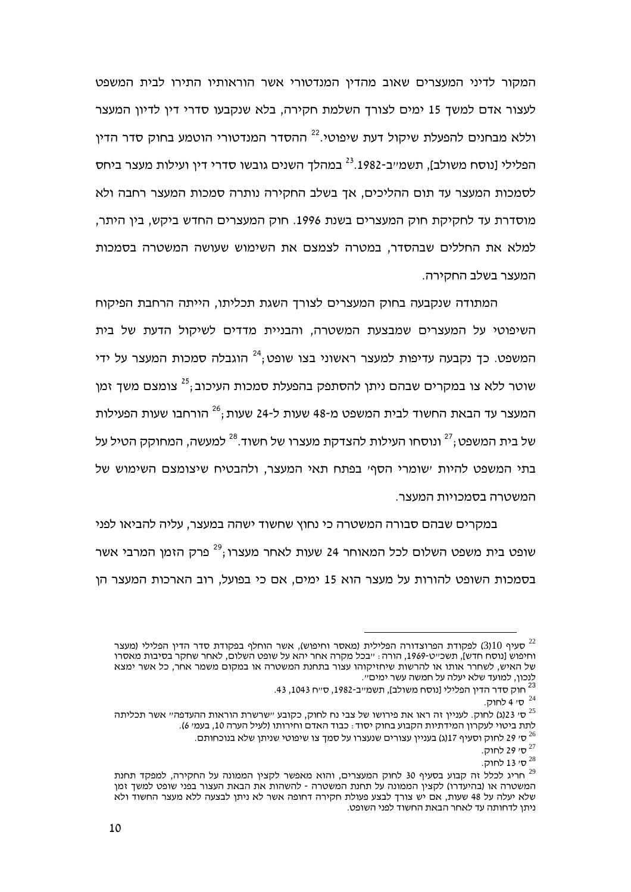המקור לדיני המעצרים שאוב מהדין המנדטורי אשר הוראותיו התירו לבית המשפט לעצור אדם למשך 15 ימים לצורך השלמת חקירה, בלא שנקבעו סדרי דין לדיון המעצר וללא מבחנים להפעלת שיקול דעת שיפוטי.<sup>22</sup> ההסדר המנדטורי הוטמע בחוק סדר הדיו הפלילי ונוסח משולב). תשמ״ב-1982.<sup>23</sup> במהלד השנים גובשו סדרי דין ועילות מעצר ביחס לסמכות המעצר עד תום ההליכים, אך בשלב החקירה נותרה סמכות המעצר רחבה ולא מוסדרת עד לחקיקת חוק המעצרים בשנת 1996. חוק המעצרים החדש ביקש, בין היתר, למלא את החללים שבהסדר. במטרה לצמצם את השימוש שעושה המשטרה בסמכות המעצר בשלב החקירה.

המתודה שנקבעה בחוק המעצרים לצורך השגת תכליתו, הייתה הרחבת הפיקוח השיפוטי על המעצרים שמבצעת המשטרה. והבניית מדדים לשיקול הדעת של בית המשפט. כד נקבעה עדיפות למעצר ראשוני בצו שופט:<sup>24</sup> הוגבלה סמכות המעצר על ידי שוטר ללא צו במקרים שבהם ניתו להסתפק בהפעלת סמכות העיכוב:<sup>25</sup> צומצם משד זמו המעצר עד הבאת החשוד לבית המשפט מ-48 שעות ל-24 שעות :<sup>26</sup> הורחבו שעות הפעילות של בית המשפט;<sup>27</sup> ונוסחו העילות להצדקת מעצרו של חשוד.<sup>28</sup> למעשה, המחוקק הטיל על בתי המשפט להיות ישומרי הסףי בפתח תאי המעצר, ולהבטיח שיצומצם השימוש של המשטרה בסמכויות המעצר.

במקרים שבהם סבורה המשטרה כי נחוץ שחשוד ישהה במעצר, עליה להביאו לפני שופט בית משפט השלום לכל המאוחר 24 שעות לאחר מעצרו:<sup>29</sup> פרק הזמו המרבי אשר בסמכות השופט להורות על מעצר הוא 15 ימים. אם כי בפועל, רוב הארכות המעצר הו

<sup>27</sup> ס' 29 לחוק.

סעיף 3110) לפקודת הפרוצדורה הפלילית (מאסר וחיפוש), אשר הוחלף בפקודת סדר הדין הפלילי (מעצר T $^{22}$ וחיפוש [נוסח חדש], תשכ״ט-1969, הורה : ״בכל מקרה אחר יהא על שופט השלום, לאחר שחקר בסיבות מאסרו של האיש, לשחרר אותו או להרשות שיחזיקוהו עצור בתחנת המשטרה או במקום משמר אחר, כל אשר ימצא לנכון, למועד שלא יעלה על חמשה עשר ימים".

<sup>&</sup>lt;sup>23</sup> חוק סדר הדין הפלילי [נוסח משולב], תשמ״ב-1982, ס״ח 1043, 43.

<sup>.&</sup>lt;br><sup>24</sup> ס' 4 לחוק.

<sup>.&</sup>lt;br><sup>25</sup> סי 23(ג) לחוק. לענייו זה ראו את פירושו של צבי נח לחוק, כקובע ״שרשרת הוראות ההעדפה״ אשר תכליתה לתת ביטוי לעקרוו המידתיות הקבוע בחוק יסוד : כבוד האדם וחירותו (לעיל הערה 10. בעמי 6).

<sup>.&</sup>lt;br>די 29 לחוק וסעיף 17(ג) בעניין עצורים שנעצרו על סמך צו שיפוטי שניתן שלא בנוכחותם.  $^{26}$ 

<sup>5°</sup> ס' 13 לחוק.

<sup>.&</sup>lt;br>חריג לכלל זה קבוע בסעיף 30 לחוק המעצרים, והוא מאפשר לקצין הממונה על החקירה, למפקד תחנת המשטרה או (בהיעדרו) לקציו הממונה על תחנת המשטרה - להשהות את הבאת העצור בפני שופט למשד זמו שלא יעלה על 48 שעות. אם יש צורד לבצע פעולת חקירה דחופה אשר לא ניתו לבצעה ללא מעצר החשוד ולא ניתן לדחותה עד לאחר הבאת החשוד לפני השופט.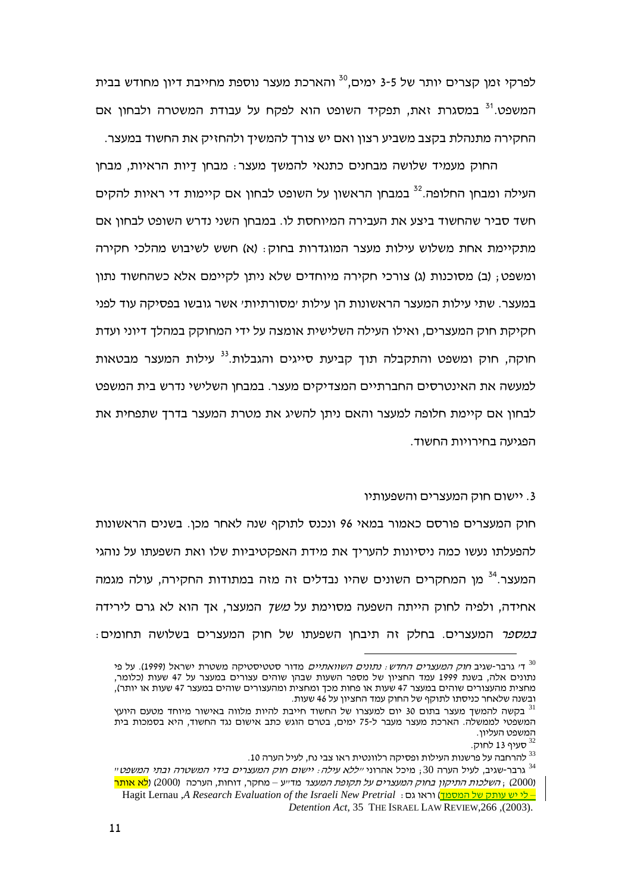לפרקי זמן קצרים יותר של 3-5 ימים.<sup>30</sup> והארכת מעצר נוספת מחייבת דיון מחודש בבית המשפט.<sup>31</sup> במסגרת זאת, תפקיד השופט הוא לפקח על עבודת המשטרה ולבחון אם החקירה מתנהלת בקצב משביע רצון ואם יש צורך להמשיך ולהחזיק את החשוד במעצר.

החוק מעמיד שלושה מבחנים כתנאי להמשך מעצר: מבחן דַיות הראיות, מבחן העילה ומבחו החלופה.<sup>32</sup> במבחו הראשוו על השופט לבחוו אם קיימות די ראיות להקים חשד סביר שהחשוד ביצע את העבירה המיוחסת לו. במבחן השני נדרש השופט לבחון אם מתקיימת אחת משלוש עילות מעצר המוגדרות בחוק: (א) חשש לשיבוש מהלכי חקירה ומשפט; (ב) מסוכנות (ג) צורכי חקירה מיוחדים שלא ניתן לקיימם אלא כשהחשוד נתון במעצר. שתי עילות המעצר הראשונות הן עילות ׳מסורתיות׳ אשר גובשו בפסיקה עוד לפני חקיקת חוק המעצרים, ואילו העילה השלישית אומצה על ידי המחוקק במהלך דיוני ועדת חוקה, חוק ומשפט והתקבלה תוך קביעת סייגים והגבלות.<sup>33</sup> עילות המעצר מבטאות למעשה את האינטרסים החברתיים המצדיקים מעצר. במבחן השלישי נדרש בית המשפט לבחון אם קיימת חלופה למעצר והאם ניתן להשיג את מטרת המעצר בדרד שתפחית את הפגיעה בחירויות החשוד.

## 3. יישום חוק המעצרים והשפעותיו

חוק המעצרים פורסם כאמור במאי 96 ונכנס לתוקף שנה לאחר מכן. בשנים הראשונות להפעלתו נעשו כמה ניסיונות להעריך את מידת האפקטיביות שלו ואת השפעתו על נוהגי המעצר.<sup>34</sup> מן המחקרים השונים שהיו נבדלים זה מזה במתודות החקירה, עולה מגמה אחידה, ולפיה לחוק הייתה השפעה מסוימת על *משך* המעצר, אך הוא לא גרם לירידה *במספר* המעצרים. בחלק זה תיבחן השפעתו של חוק המעצרים בשלושה תחומים:

על פי Fי גרבר-שגיב *חוק המעצרים החדש: נתונים השוואתיים* מדור סטטיסטיקה משטרת ישראל (1999). על פי C נתונים אלה, בשנת 1999 עמד החציון של מספר השעות שבהן שוהים עצורים במעצר על 47 שעות (כלומר, מחצית מהעצורים שוהים במעצר 47 שעות או פחות מכך ומחצית ומהעצורים שוהים במעצר 47 שעות או יותר), ובשנה שלאחר כניסתו לתוקף של החוק עמד החציון על 46 שעות.

בקשה להמשד מעצר בתום 30 יום למעצרו של החשוד חייבת להיות מלווה באישור מיוחד מטעם היועץ המשפטי לממשלה. הארכת מעצר מעבר ל-75 ימים, בטרם הוגש כתב אישום נגד החשוד, היא בסמכות בית המשפט העליון.

<sup>-</sup> סעיף 13 לחוק.

<sup>.10</sup> להרחבה על פרשנות העילות ופסיקה רלוונטית ראו צבי נח, לעיל הערה 10

<sup>&</sup>quot; גרבר-שגיב, לעיל הערה 30; מיכל אהרוני *ייללא עילה*: *יישום חוק המעצרים בידי המשטרה ובתי המשפט*י (2000) , *השלכות התיקון בחוק המעצרים על תקופת המעצר* מד״ע – מחקר, דוחות, הערכה (2000) (<mark>לא אותר</mark> – לי יש עותק של המסמך) וראו גם: Hagit Lernau .A Research Evaluation of the Israeli New Pretrial Detention Act, 35 THE ISRAEL LAW REVIEW, 266, (2003).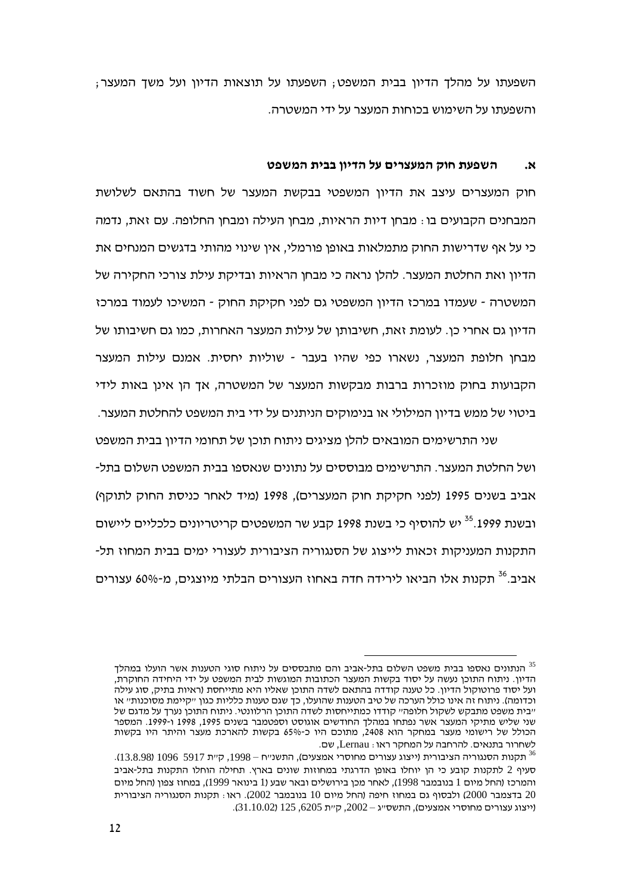השפעתו על מהלך הדיון בבית המשפט, השפעתו על תוצאות הדיון ועל משך המעצר, והשפעתו על השימוש בכוחות המעצר על ידי המשטרה.

#### השפעת חוק המעצרים על הדיון בבית המשפט .N

חוק המעצרים עיצב את הדיון המשפטי בבקשת המעצר של חשוד בהתאם לשלושת המבחנים הקבועים בו : מבחו דיות הראיות. מבחו העילה ומבחו החלופה. עם זאת. נדמה כי על אף שדרישות החוק מתמלאות באופן פורמלי, אין שינוי מהותי בדגשים המנחים את הדיון ואת החלטת המעצר. להלן נראה כי מבחן הראיות ובדיקת עילת צורכי החקירה של המשטרה - שעמדו במרכז הדיוו המשפטי גם לפני חקיקת החוק - המשיכו לעמוד במרכז הדיון גם אחרי כן. לעומת זאת, חשיבותו של עילות המעצר האחרות, כמו גם חשיבותו של מבחו חלופת המעצר, נשארו כפי שהיו בעבר - שוליות יחסית. אמנם עילות המעצר הקבועות בחוק מוזכרות ברבות מבקשות המעצר של המשטרה, אך הן אינן באות לידי ביטוי של ממש בדיון המילולי או בנימוקים הניתנים על ידי בית המשפט להחלטת המעצר.

שני התרשימים המובאים להלו מציגים ניתוח תוכו של תחומי הדיון בבית המשפט ושל החלטת המעצר. התרשימים מבוססים על נתונים שנאספו בבית המשפט השלום בתל-אביב בשנים 1995 (לפני חקיקת חוק המעצרים), 1998 (מיד לאחר כניסת החוק לתוקף) ובשנת 1999.<sup>35</sup> יש להוסיף כי בשנת 1998 קבע שר המשפטים קריטריונים כלכליים ליישום התקנות המעניקות זכאות לייצוג של הסנגוריה הציבורית לעצורי ימים בבית המחוז תל-אביב.<sup>36</sup> תקנות אלו הביאו לירידה חדה באחוז העצורים הבלתי מיוצגים, מ-60% עצורים

הנתונים נאספו בבית משפט השלום בתל-אביב והם מתבססים על ניתוח סוגי הטענות אשר הועלו במהלך הדיון. ניתוח התוכן נעשה על יסוד בקשות המעצר הכתובות המוגשות לבית המשפט על ידי היחידה החוקרת. ועל יסוד פרוטוקול הדיון. כל טענה קודדה בהתאם לשדה התוכן שאליו היא מתייחסת (ראיות בתיק, סוג עילה וכדומה). ניתוח זה אינו כולל הערכה של טיב הטענות שהועלו, כך שגם טענות כלליות כגון "קיימת מסוכנות" או ״בית משפט מתבקש לשקול חלופה״ קודדו כמתייחסות לשדה התוכו הרלוונטי. ניתוח התוכו נערד על מדגם של שני שליש מתיקי המעצר אשר נפתחו במהלך החודשים אוגוסט וספטמבר בשנים 1995, 1998 ו-1999. המספר הכולל של רישומי מעצר במחקר הוא 2408, מתוכם היו כ-65% בקשות להארכת מעצר והיתר היו בקשות לשחרור בתנאים. להרחבה על המחקר ראו: Lernau, שם.

תקנות הסנגוריה הציבורית (ייצוג עצורים מחוסרי אמצעים), התשנ״ח – 1998, ק״ת 5917 1096 (13.8.98). סעיף 2 לתקנות קובע כי הן יוחלו באופן הדרגתי במחוזות שונים בארץ. תחילה הוחלו התקנות בתל-אביב והמרכז (החל מיום 1 בנובמבר 1998), לאחר מכן בירושלים ובאר שבע (1 בינואר 1999), במחוז צפון (החל מיום 20 בדצמבר 2000) ולבסוף גם במחוז חיפה (החל מיום 10 בנובמבר 2002). ראו: תקנות הסנגוריה הציבורית  $(31.10.02)$  (ייצוג עצורים מחוסרי אמצעים), התשסייג - 2002, קיית 6205, 125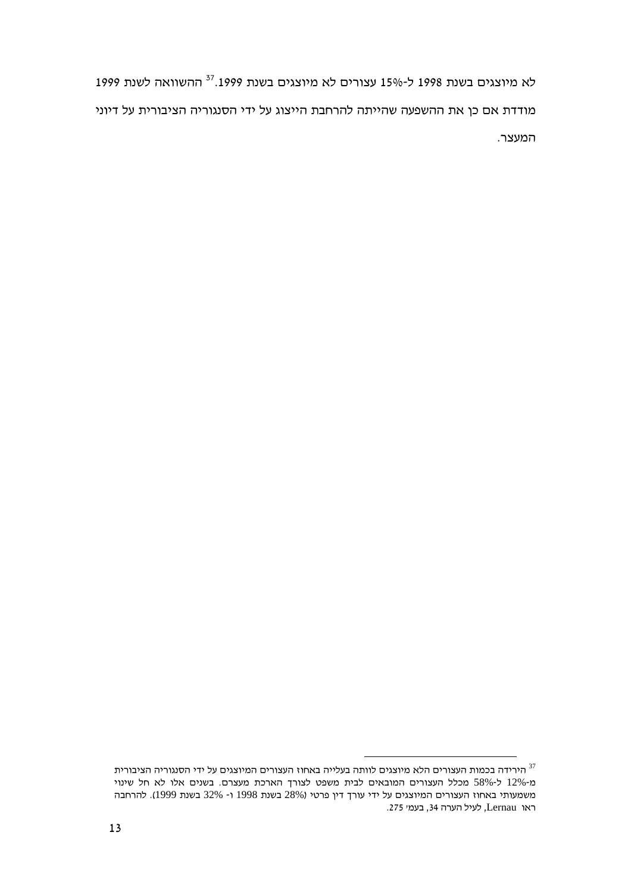לא מיוצגים בשנת 1998 ל-15% עצורים לא מיוצגים בשנת 1999.<sup>37</sup> ההשוואה לשנת 1999 מודדת אם כן את ההשפעה שהייתה להרחבת הייצוג על ידי הסנגוריה הציבורית על דיוני המעצר.

הירידה בכמות העצורים הלא מיוצגים לוותה בעלייה באחוז העצורים המיוצגים על ידי הסנגוריה הציבורית $^{\rm 37}$ מ-12% ל-58% מכלל העצורים המובאים לבית משפט לצורך הארכת מעצרם. בשנים אלו לא חל שינוי משמעותי באחוז העצורים המיוצגים על ידי עורך דין פרטי (28% בשנת 1998 ו- 32% בשנת 1999). להרחבה ראו Lernau, לעיל הערה 34, בעמי 275.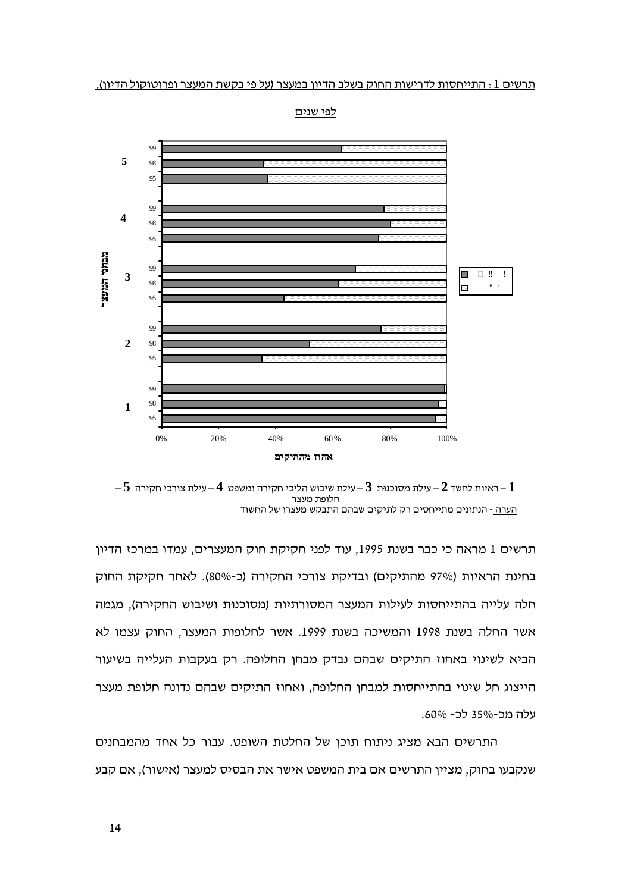

לפי שנים

 $-5$  – ראיות לחשד  $-2$  עילת מסוכנות  $-3$  – עילת שיבוש הליכי חקירה ומשפט  $-4$  – עילת צורכי חקירה  $-1$ חלופת מעצר הערה - הנתונים מתייחסים רק לתיקים שבהם התבקש מעצרו של החשוד

תרשים 1 מראה כי כבר בשנת 1995, עוד לפני חקיקת חוק המעצרים, עמדו במרכז הדיון בחינת הראיות (97% מהתיקים) ובדיקת צורכי החקירה (כ-80%). לאחר חקיקת החוק חלה עלייה בהתייחסות לעילות המעצר המסורתיות (מסוכנות ושיבוש החקירה), מגמה אשר החלה בשנת 1998 והמשיכה בשנת 1999. אשר לחלופות המעצר, החוק עצמו לא הביא לשינוי באחוז התיקים שבהם נבדק מבחן החלופה. רק בעקבות העלייה בשיעור הייצוג חל שינוי בהתייחסות למבחן החלופה, ואחוז התיקים שבהם נדונה חלופת מעצר עלה מכ-35% לכ- 60%.

התרשים הבא מציג ניתוח תוכן של החלטת השופט. עבור כל אחד מהמבחנים שנקבעו בחוק, מציין התרשים אם בית המשפט אישר את הבסיס למעצר (אישור), אם קבע

14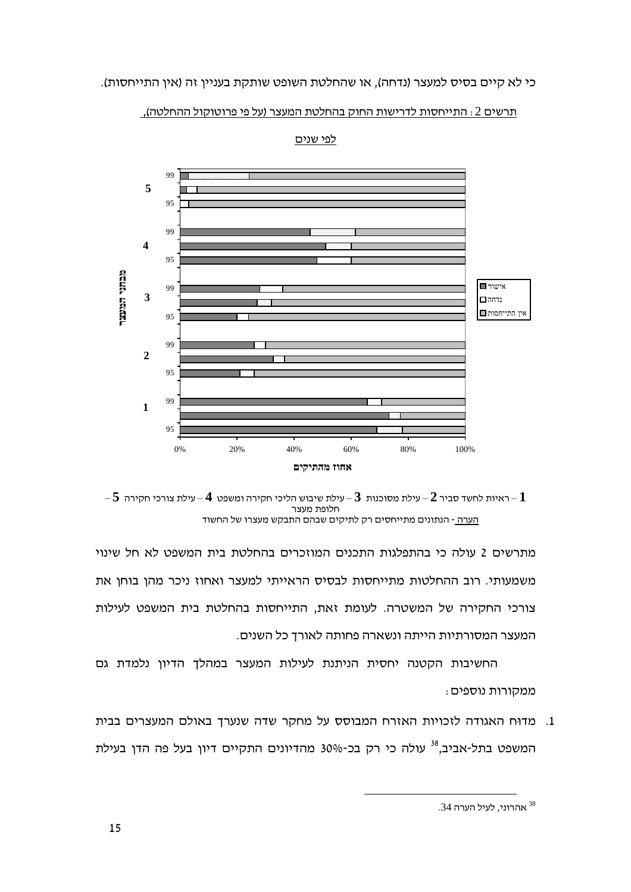



לפי שנים

 $-5$  – ראיות לחשד סביר  $2$  – עילת מסוכנות  $3$  – עילת שיבוש הליכי חקירה ומשפט  $-4$  – עילת צורכי חקירה  $-1$ חלופת מעצר הערה - הנתונים מתייחסים רק לתיקים שבהם התבקש מעצרו של החשוד

מתרשים 2 עולה כי בהתפלגות התכנים המוזכרים בהחלטת בית המשפט לא חל שינוי משמעותי. רוב ההחלטות מתייחסות לבסיס הראייתי למעצר ואחוז ניכר מהן בוחן את צורכי החקירה של המשטרה. לעומת זאת, התייחסות בהחלטת בית המשפט לעילות המעצר המסורתיות הייתה ונשארה פחותה לאורך כל השנים.

החשיבות הקטנה יחסית הניתנת לעילות המעצר במהלך הדיון נלמדת גם ממקורות נוספים:

1. מדוּח האגודה לזכויות האזרח המבוסס על מחקר שדה שנערך באולם המעצרים בבית המשפט בתל-אביב.<sup>38</sup> עולה כי רק בכ-30% מהדיונים התקיים דיוו בעל פה הדו בעילת

<sup>.34</sup> אהרוני, לעיל הערה <sup>38</sup>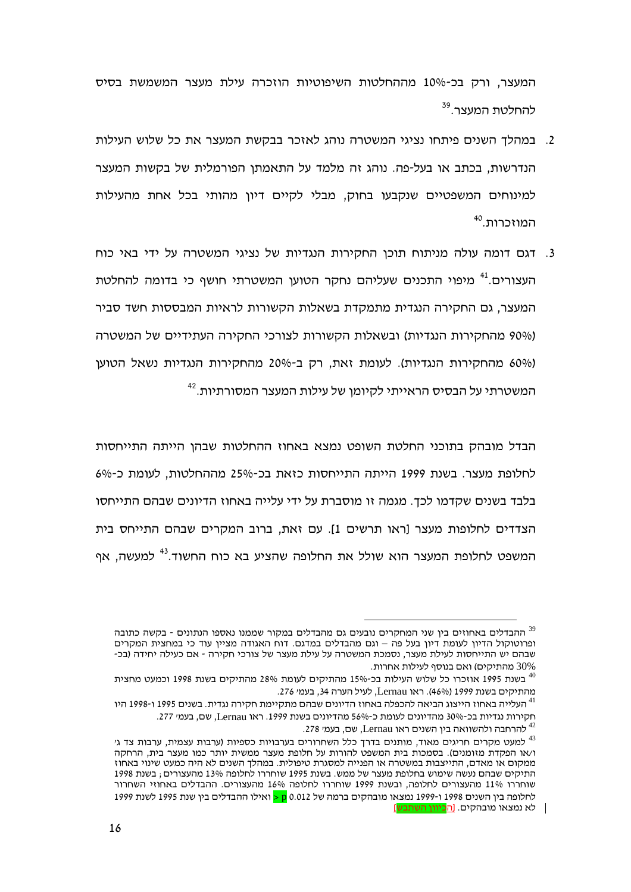המעצר, ורק בכ-10% מההחלטות השיפוטיות הוזכרה עילת מעצר המשמשת בסיס להחלטת המעצר.<sup>39</sup>

- 2. במהלד השנים פיתחו נציגי המשטרה נוהג לאזכר בבקשת המעצר את כל שלוש העילות הנדרשות, בכתב או בעל-פה. נוהג זה מלמד על התאמתן הפורמלית של בקשות המעצר למינוחים המשפטיים שנקבעו בחוק, מבלי לקיים דיון מהותי בכל אחת מהעילות המוזכרות.<sup>40</sup>
- 3. דגם דומה עולה מניתוח תוכן החקירות הנגדיות של נציגי המשטרה על ידי באי כוח העצורים.<sup>41</sup> מיפוי התכנים שעליהם נחקר הטועו המשטרתי חושף כי בדומה להחלטת המעצר, גם החקירה הנגדית מתמקדת בשאלות הקשורות לראיות המבססות חשד סביר (90% מהחקירות הנגדיות) ובשאלות הקשורות לצורכי החקירה העתידיים של המשטרה (60% מהחקירות הנגדיות). לעומת זאת, רק ב-20% מהחקירות הנגדיות נשאל הטוען המשטרתי על הבסיס הראייתי לקיומן של עילות המעצר המסורתיות.<sup>42</sup>

הבדל מובהק בתוכני החלטת השופט נמצא באחוז ההחלטות שבהן הייתה התייחסות לחלופת מעצר. בשנת 1999 הייתה התייחסות כזאת בכ-25% מההחלטות. לעומת כ-6% בלבד בשנים שקדמו לכד. מגמה זו מוסברת על ידי עלייה באחוז הדיונים שבהם התייחסו הצדדים לחלופות מעצר [ראו תרשים 1]. עם זאת, ברוב המקרים שבהם התייחס בית המשפט לחלופת המעצר הוא שולל את החלופה שהציע בא כוח החשוד.<sup>43</sup> למעשה. אף

ההבדלים באחוזים בין שני המחקרים נובעים גם מהבדלים במקור שממנו נאספו הנתונים - בקשה כתובה  $^{\rm 39}$ ופרוטוקול הדיון לעומת דיון בעל פה – וגם מהבדלים במדגם. דוח האגודה מציין עוד כי במחצית המקרים שבהם יש התייחסות לעילת מעצר, נסמכת המשטרה על עילת מעצר של צורכי חקירה - אם כעילה יחידה (בכ-30% מהתיקים) ואם בנוסף לעילות אחרות.

<sup>&</sup>lt;sup>40</sup> בשנת 1995 אוזכרו כל שלוש העילות בכ-15% מהתיקים לעומת 28% מהתיקים בשנת 1998 וכמעט מחצית מהתיקים בשנת 1999 (46%). ראו Lernau, לעיל הערה 34, בעמ׳ 276.

העלייה באחוז הייצוג הביאה להכפלה באחוז הדיונים שבהם מתקיימת חקירה נגדית. בשנים 1995 ו-1998 היו  $^{\rm 41}$ חקירות נגדיות בכ-30% מהדיונים לעומת כ-56% מהדיונים בשנת 1999. ראו Lernau, שם, בעמי 277.

<sup>.&</sup>lt;br>להרחבה ולהשוואה בין השנים ראו Lernau, שם, בעמי 278.

למעט מקרים חריגים מאוד, מותנים בדרך כלל השחרורים בערבויות כספיות (ערבות עצמית, ערבות צד ג' ו/או הפקדת מזומנים). בסמכות בית המשפט להורות על חלופת מעצר ממשית יותר כמו מעצר בית. הרחקה ממקום או מאדם, התייצבות במשטרה או הפנייה למסגרת טיפולית. במהלך השנים לא היה כמעט שינוי באחוז התיקים שבהם נעשה שימוש בחלופת מעצר של ממש. בשנת 1995 שוחררו לחלופה 13% מהעצורים : בשנת 1998 שוחררו 11% מהעצורים לחלופה, ובשנת 1999 שוחררו לחלופה 16% מהעצורים. ההבדלים באחוזי השחרור לחלופה ביו השנים 1998 ו-1999 נמצאו מובהקים ברמה של 0.012 <mark>p <</mark> ואילו ההבדלים ביו שנת 1995 לשנת 1999 לא נמצאו מובהקים. [ה<mark>כיוון השתבש</mark>]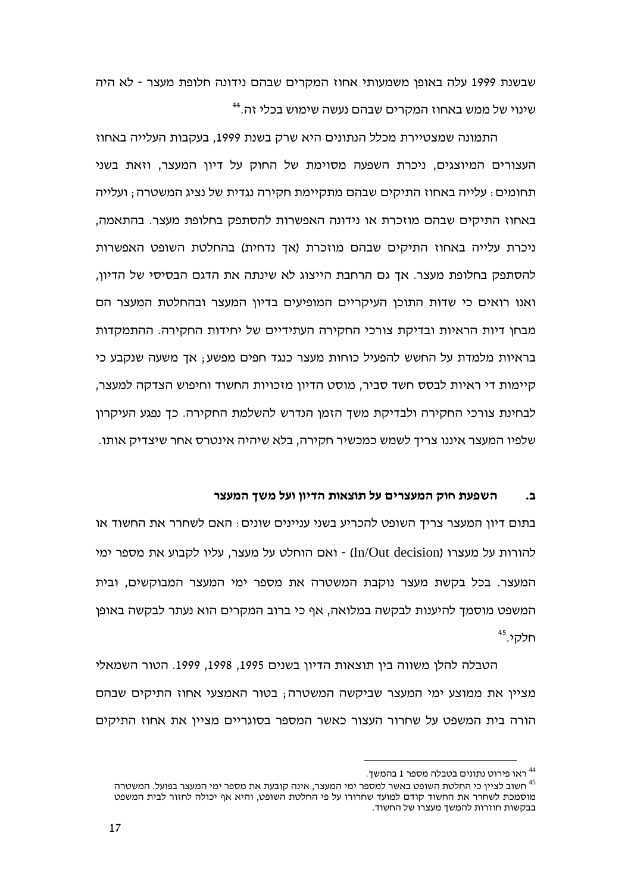שבשנת 1999 עלה באופן משמעותי אחוז המקרים שבהם נידונה חלופת מעצר - לא היה שינוי של ממש באחוז המקרים שבהם נעשה שימוש בכלי זה.<sup>44</sup>

התמונה שמצטיירת מכלל הנתונים היא שרק בשנת 1999, בעקבות העלייה באחוז העצורים המיוצגים, ניכרת השפעה מסוימת של החוק על דיון המעצר, וזאת בשני תחומים : עלייה באחוז התיקים שבהם מתקיימת חקירה נגדית של נציג המשטרה : ועלייה באחוז התיקים שבהם מוזכרת או נידונה האפשרות להסתפק בחלופת מעצר. בהתאמה. ניכרת עלייה באחוז התיקים שבהם מוזכרת (אך נדחית) בהחלטת השופט האפשרות להסתפק בחלופת מעצר. אך גם הרחבת הייצוג לא שינתה את הדגם הבסיסי של הדיון, ואנו רואים כי שדות התוכן העיקריים המופיעים בדיון המעצר ובהחלטת המעצר הם מבחו דיות הראיות ובדיקת צורכי החקירה העתידיים של יחידות החקירה. ההתמקדות בראיות מלמדת על החשש להפעיל כוחות מעצר כנגד חפים מפשע; אד משעה שנקבע כי קיימות די ראיות לבסס חשד סביר, מוסט הדיון מזכויות החשוד וחיפוש הצדקה למעצר, לבחינת צורכי החקירה ולבדיקת משך הזמן הנדרש להשלמת החקירה. כך נפגע העיקרון שלפיו המעצר איננו צריד לשמש כמכשיר חקירה, בלא שיהיה אינטרס אחר שיצדיק אותו.

### השפעת חוק המעצרים על תוצאות הדיון ועל משד המעצר  $\mathbf{L}$

בתום דיון המעצר צריד השופט להכריע בשני עניינים שונים. האם לשחרר את החשוד או להורות על מעצרו (In/Out decision) - ואם הוחלט על מעצר. עליו לקבוע את מספר ימי המעצר. בכל בקשת מעצר נוקבת המשטרה את מספר ימי המעצר המבוקשים, ובית המשפט מוסמך להיענות לבקשה במלואה, אף כי ברוב המקרים הוא נעתר לבקשה באופן חלקי.<sup>45</sup>

הטבלה להלן משווה בין תוצאות הדיון בשנים 1995, 1998, 1999. הטור השמאלי מציין את ממוצע ימי המעצר שביקשה המשטרה; בטור האמצעי אחוז התיקים שבהם הורה בית המשפט על שחרור העצור כאשר המספר בסוגריים מציין את אחוז התיקים

<sup>.</sup> ראו פירוט נתונים בטבלה מספר 1 בהמשך

חשוב לצייו כי החלטת השופט באשר למספר ימי המעצר, אינה קובעת את מספר ימי המעצר בפועל. המשטרה  $^{\rm 45}$ מוסמכת לשחרר את החשוד קודם למועד שחרורו על פי החלטת השופט. והיא אף יכולה לחזור לבית המשפט בבקשות חוזרות להמשך מעצרו של החשוד.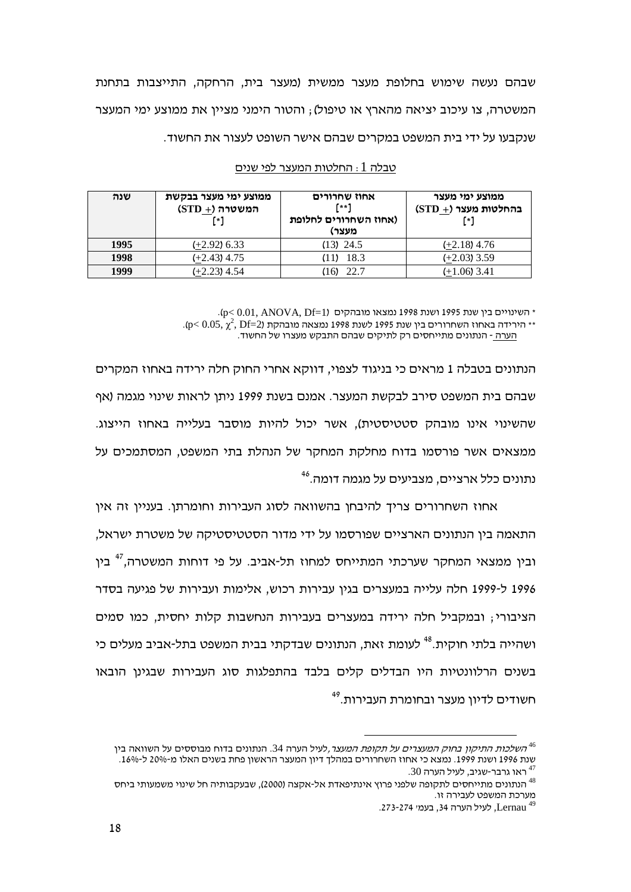שבהם נעשה שימוש בחלופת מעצר ממשית (מעצר בית, הרחקה, התייצבות בתחנת המשטרה, צו עיכוב יציאה מהארץ או טיפול); והטור הימני מציין את ממוצע ימי המעצר שנקבעו על ידי בית המשפט במקרים שבהם אישר השופט לעצור את החשוד.

| שנה  | ממוצע ימי מעצר בבקשת<br>$(STD + \n)$ המשטרה<br>٢٠1 | אחוז שחרורים<br>$f**1$<br>(אחוז השחרורים לחלופת<br>מעצר) | ממוצע ימי מעצר<br>בהחלטות מעצר (+ STD)<br>r*1 |
|------|----------------------------------------------------|----------------------------------------------------------|-----------------------------------------------|
| 1995 | $(+2.92)$ 6.33                                     | $(13)$ 24.5                                              | $(+2.18)$ 4.76                                |
| 1998 | $(+2.43)$ 4.75                                     | (11) 18.3                                                | $(+2.03)$ 3.59                                |
| 1999 | $(+2.23)$ 4.54                                     | $(16)$ 22.7                                              | $(+1.06)$ 3.41                                |

## <u>טבלה 1 : החלטות המעצר לפי שנים</u>

.(p $< 0.01, \, \mathrm{ANOVA}, \, \mathrm{Df}$ חשינויים בין שנת 1995 ושנת 1998 נמצאו מובהקים  $^*$ 

.(p< 0.05,  $\chi^2$ , Df=2) ומצאה מובהקת 1995 (-p< 0.05,  $\chi^2$  , Df=2) ומצאה מובהקת

<u>הערה -</u> הנתונים מתייחסים רק לתיקים שבהם התבקש מעצרו של החשוד.

הנתונים בטבלה 1 מראים כי בניגוד לצפוי, דווקא אחרי החוק חלה ירידה באחוז המקרים שבהם בית המשפט סירב לבקשת המעצר. אמנם בשנת 1999 ניתן לראות שינוי מגמה (אף שהשינוי אינו מובהק סטטיסטית), אשר יכול להיות מוסבר בעלייה באחוז הייצוג. ממצאים אשר פורסמו בדוח מחלקת המחקר של הנהלת בתי המשפט, המסתמכים על נתונים כלל ארציים, מצביעים על מגמה דומה.<sup>46</sup>

אחוז השחרורים צריך להיבחן בהשוואה לסוג העבירות וחומרתן. בעניין זה אין התאמה בין הנתונים הארציים שפורסמו על ידי מדור הסטטיסטיקה של משטרת ישראל, ובין ממצאי המחקר שערכתי המתייחס למחוז תל-אביב. על פי דוחות המשטרה,<sup>47</sup> בין 1996 ל-1999 חלה עלייה במעצרים בגין עבירות רכוש, אלימות ועבירות של פגיעה בסדר הציבורי; ובמקביל חלה ירידה במעצרים בעבירות הנחשבות קלות יחסית, כמו סמים ושהייה בלתי חוקית.<sup>48</sup> לעומת זאת, הנתונים שבדקתי בבית המשפט בתל-אביב מעלים כי בשנים הרלוונטיות היו הבדלים קלים בלבד בהתפלגות סוג העבירות שבגינן הובאו תשודים לדיון מעצר ובחומרת העבירות.<sup>49</sup>

הש*לכות התיקון בחוק המעצרים על תקופת המעצר,*לעיל הערה 34. הנתונים בדוח מבוססים על השוואה בין  $^{46}$ השחרורים במהלך דיון המעצר הראשון פחת בשנים האלו מ-20% ל-16%. שנת 1996 ושנת 1999. נמצא כי אחוז ה<br><sup>47</sup> ראו גרבר-שגיב, לעיל הערה 30.

הנתונים מתייחסים לתקופה שלפני פרוץ אינתיפאדת אל-אקצה (2000), שבעקבותיה חל שינוי משמעותי ביחס  $^{48}$ המשפט לעבירה זו. מערכת המשפט לעבירה זו.<br>4<sup>9 ב</sup>Lernau, לעיל הערה 34, בעמ*י 27*3-274.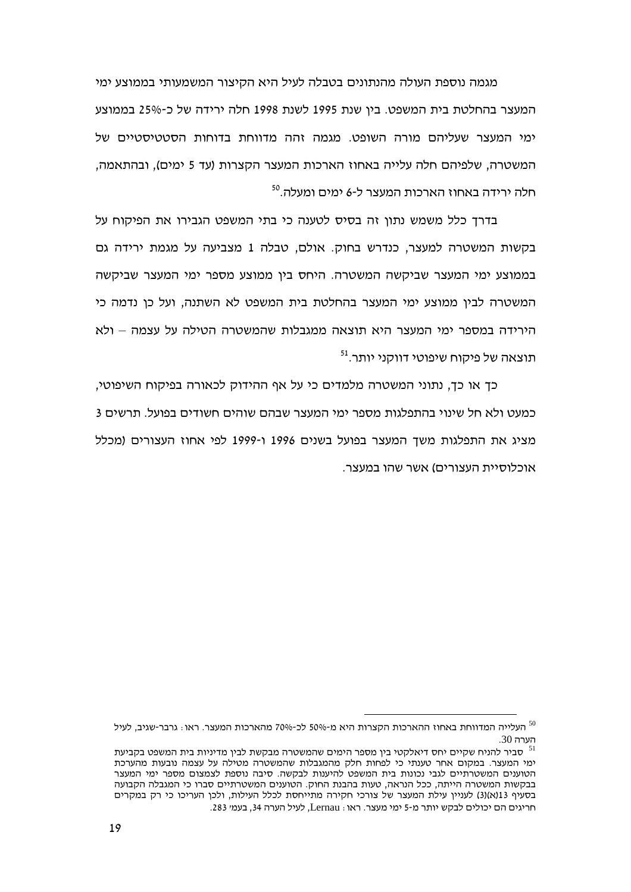מגמה נוספת העולה מהנתונים בטבלה לעיל היא הקיצור המשמעותי בממוצע ימי המעצר בהחלטת בית המשפט. בין שנת 1995 לשנת 1998 חלה ירידה של כ-25% בממוצע ימי המעצר שעליהם מורה השופט. מגמה זהה מדווחת בדוחות הסטטיסטיים של המשטרה, שלפיהם חלה עלייה באחוז הארכות המעצר הקצרות (עד 5 ימים), ובהתאמה, חלה ירידה באחוז הארכות המעצר ל-6 ימים ומעלה.<sup>50</sup>

בדרד כלל משמש נתוו זה בסיס לטענה כי בתי המשפט הגבירו את הפיקוח על בקשות המשטרה למעצר, כנדרש בחוק. אולם, טבלה 1 מצביעה על מגמת ירידה גם בממוצע ימי המעצר שביקשה המשטרה. היחס בין ממוצע מספר ימי המעצר שביקשה המשטרה לביו ממוצע ימי המעצר בהחלטת בית המשפט לא השתנה. ועל כו נדמה כי הירידה במספר ימי המעצר היא תוצאה ממגבלות שהמשטרה הטילה על עצמה – ולא תוצאה של פיקוח שיפוטי דווקני יותר.<sup>51</sup>

כך או כך, נתוני המשטרה מלמדים כי על אף ההידוק לכאורה בפיקוח השיפוטי, כמעט ולא חל שינוי בהתפלגות מספר ימי המעצר שבהם שוהים חשודים בפועל. תרשים 3 מציג את התפלגות משך המעצר בפועל בשנים 1996 ו-1999 לפי אחוז העצורים (מכלל אוכלוסיית העצורים) אשר שהו במעצר.

יתעלייה המדווחת באחוז ההארכות הקצרות היא מ-50% לכ-70% מהארכות המעצר. ראו $\cdot$  גרבר-שגיב, לעיל  $^{50}$ הערה 30.

סביר להניח שקיים יחס דיאלקטי בין מספר הימים שהמשטרה מבקשת לבין מדיניות בית המשפט בקביעת  $^{\rm 51}$ ימי המעצר. במקום אחר טענתי כי לפחות חלק מהמגבלות שהמשטרה מטילה על עצמה נובעות מהערכת הטוענים המשטרתיים לגבי נכונות בית המשפט להיענות לבקשה. סיבה נוספת לצמצום מספר ימי המעצר בבקשות המשטרה הייתה, ככל הנראה, טעות בהבנת החוק. הטוענים המשטרתיים סברו כי המגבלה הקבועה בסעיף 13(א)(3) לעניין עילת המעצר של צורכי חקירה מתייחסת לכלל העילות, ולכן העריכו כי רק במקרים חריגים הם יכולים לבקש יותר מ-5 ימי מעצר. ראו: Lernau, לעיל הערה 34, בעמי 283.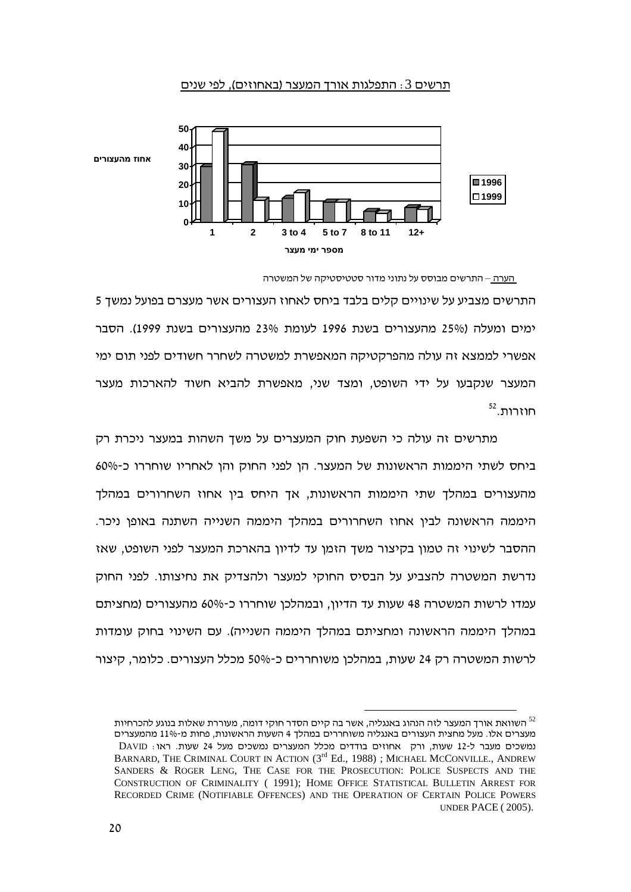## <u>תרשים 3 : התפלגות אורך המעצר (באחוזים), לפי שנים</u>



<sup>&</sup>lt;u>הערה –</u> התרשים מבוסס על נתוני מדור סטטיסטיקה של המשטרה

התרשים מצביע על שינויים קלים בלבד ביחס לאחוז העצורים אשר מעצרם בפועל נמשך 5 ימים ומעלה (25% מהעצורים בשנת 1996 לעומת 23% מהעצורים בשנת 1999). הסבר אפשרי לממצא זה עולה מהפרקטיקה המאפשרת למשטרה לשחרר חשודים לפני תום ימי המעצר שנקבעו על ידי השופט, ומצד שני, מאפשרת להביא חשוד להארכות מעצר  $52$ . חוזרות

מתרשים זה עולה כי השפעת חוק המעצרים על משך השהות במעצר ניכרת רק ביחס לשתי היממות הראשונות של המעצר. הן לפני החוק והן לאחריו שוחררו כ-60% מהעצורים במהלך שתי היממות הראשונות, אך היחס בין אחוז השחרורים במהלך היממה הראשונה לבין אחוז השחרורים במהלך היממה השנייה השתנה באופן ניכר. ההסבר לשינוי זה טמון בקיצור משך הזמן עד לדיון בהארכת המעצר לפני השופט, שאז נדרשת המשטרה להצביע על הבסיס החוקי למעצר ולהצדיק את נחיצותו. לפני החוק עמדו לרשות המשטרה 48 שעות עד הדיון, ובמהלכן שוחררו כ-60% מהעצורים (מחציתם במהלך היממה הראשונה ומחציתם במהלך היממה השנייה). עם השינוי בחוק עומדות לרשות המשטרה רק 24 שעות, במהלכן משוחררים כ-50% מכלל העצורים. כלומר, קיצור

השוואת אורך המעצר לזה הנהוג באנגליה, אשר בה קיים הסדר חוקי דומה, מעוררת שאלות בנוגע להכרחיות  $^{\rm 52}$ מעצרים אלו. מעל מחצית העצורים באנגליה משוחררים במהלך 4 השעות הראשונות, פחות מ-11% מהמעצרים נמשכים מעבר ל-12 שעות, ורק אחוזים בודדים מכלל המעצרים נמשכים מעל 24 שעות. ראו: DAVID BARNARD, THE CRIMINAL COURT IN ACTION (3<sup>rd</sup> Ed., 1988) ; MICHAEL MCCONVILLE., ANDREW SANDERS & ROGER LENG, THE CASE FOR THE PROSECUTION: POLICE SUSPECTS AND THE CONSTRUCTION OF CRIMINALITY ( 1991); HOME OFFICE STATISTICAL BULLETIN ARREST FOR RECORDED CRIME (NOTIFIABLE OFFENCES) AND THE OPERATION OF CERTAIN POLICE POWERS UNDER PACE ( 2005).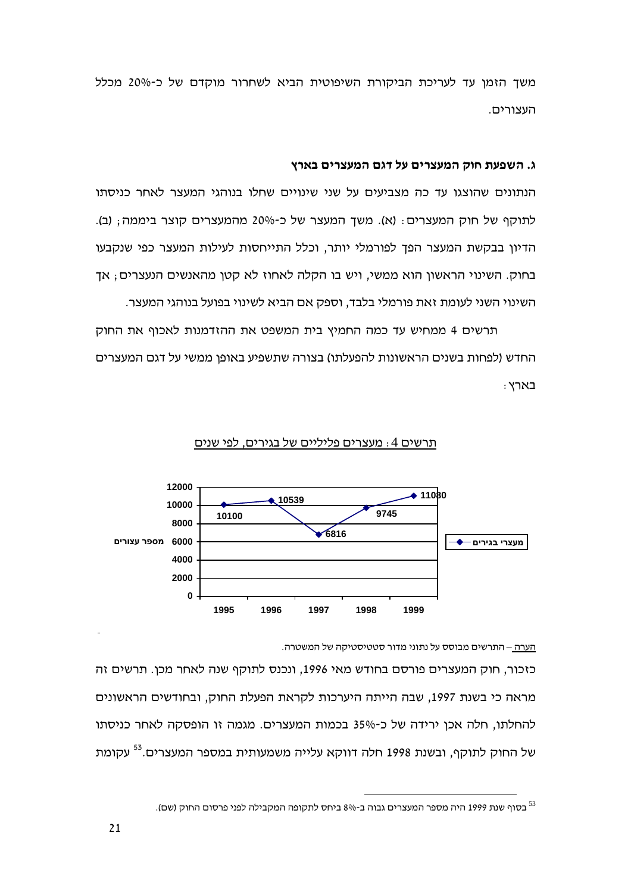משך הזמן עד לעריכת הביקורת השיפוטית הביא לשחרור מוקדם של כ-20% מכלל העצורים.

### ג. השפעת חוק המעצרים על דגם המעצרים בארץ

הנתונים שהוצגו עד כה מצביעים על שני שינויים שחלו בנוהגי המעצר לאחר כניסתו לתוקף של חוק המעצרים: (א). משך המעצר של כ-20% מהמעצרים קוצר ביממה; (ב). הדיון בבקשת המעצר הפך לפורמלי יותר, וכלל התייחסות לעילות המעצר כפי שנקבעו בחוק. השינוי הראשון הוא ממשי, ויש בו הקלה לאחוז לא קטן מהאנשים הנעצרים, אך השינוי השני לעומת זאת פורמלי בלבד, וספק אם הביא לשינוי בפועל בנוהגי המעצר.

תרשים 4 ממחיש עד כמה החמיץ בית המשפט את ההזדמנות לאכוף את החוק החדש (לפחות בשנים הראשונות להפעלתו) בצורה שתשפיע באופן ממשי על דגם המעצרים : בארץ



## תרשים 4: מעצרים פליליים של בגירים, לפי שנים

<u>הערה – התרשים מבוסס על נתוני מדור סטטיסטיקה של המשטרה.</u>

כזכור, חוק המעצרים פורסם בחודש מאי 1996, ונכנס לתוקף שנה לאחר מכן. תרשים זה מראה כי בשנת 1997, שבה הייתה היערכות לקראת הפעלת החוק, ובחודשים הראשונים להחלתו, חלה אכן ירידה של כ-35% בכמות המעצרים. מגמה זו הופסקה לאחר כניסתו של החוק לתוקף, ובשנת 1998 חלה דווקא עלייה משמעותית במספר המעצרים.<sup>53</sup> עקומת

<sup>&</sup>lt;sup>53</sup> בסוף שנת 1999 היה מספר המעצרים גבוה ב-8% ביחס לתקופה המקבילה לפני פרסום החוק (שם).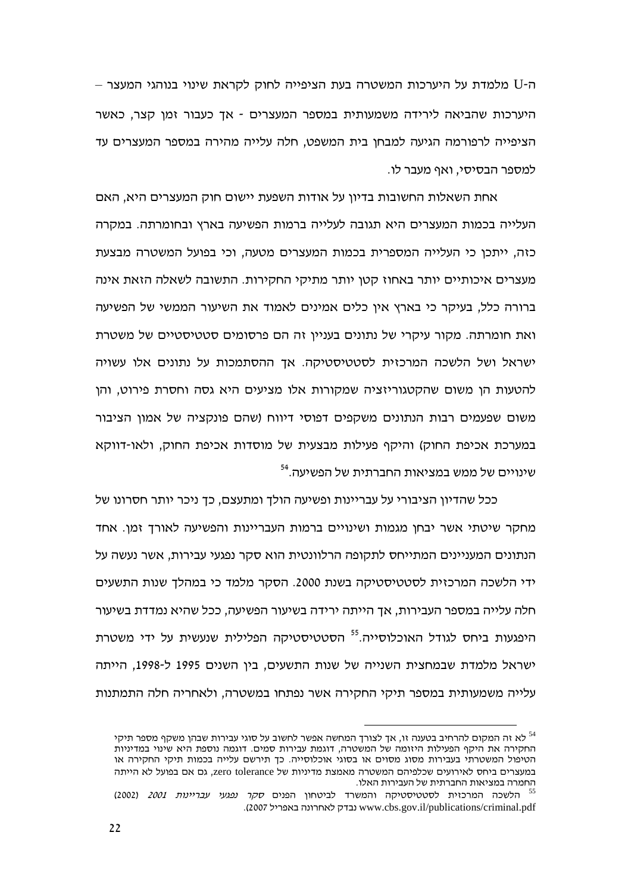ה-U מלמדת על היערכות המשטרה בעת הציפייה לחוק לקראת שינוי בנוהגי המעצר – היערכות שהביאה לירידה משמעותית במספר המעצרים - אד כעבור זמו קצר. כאשר הציפייה לרפורמה הגיעה למבחו בית המשפט, חלה עלייה מהירה במספר המעצרים עד למספר הבסיסי, ואף מעבר לו.

אחת השאלות החשובות בדיון על אודות השפעת יישום חוק המעצרים היא, האם העלייה בכמות המעצרים היא תגובה לעלייה ברמות הפשיעה בארץ ובחומרתה. במקרה כזה, ייתכו כי העלייה המספרית בכמות המעצרים מטעה, וכי בפועל המשטרה מבצעת מעצרים איכותיים יותר באחוז קטן יותר מתיקי החקירות. התשובה לשאלה הזאת אינה ברורה כלל, בעיקר כי בארץ אין כלים אמינים לאמוד את השיעור הממשי של הפשיעה ואת חומרתה. מקור עיקרי של נתונים בעניין זה הם פרסומים סטטיסטיים של משטרת ישראל ושל הלשכה המרכזית לסטטיסטיקה. אך ההסתמכות על נתונים אלו עשויה להטעות הו משום שהקטגוריזציה שמקורות אלו מציעים היא גסה וחסרת פירוט. והו משום שפעמים רבות הנתונים משקפים דפוסי דיווח (שהם פונקציה של אמון הציבור במערכת אכיפת החוק) והיקף פעילות מבצעית של מוסדות אכיפת החוק, ולאו-דווקא <sup>54</sup>.שינויים של ממש במציאות החברתית של הפשיעה.

ככל שהדיון הציבורי על עבריינות ופשיעה הולך ומתעצם, כך ניכר יותר חסרונו של מחקר שיטתי אשר יבחן מגמות ושינויים ברמות העבריינות והפשיעה לאורך זמן. אחד הנתונים המעניינים המתייחס לתקופה הרלוונטית הוא סקר נפגעי עבירות, אשר נעשה על ידי הלשכה המרכזית לסטטיסטיקה בשנת 2000. הסקר מלמד כי במהלד שנות התשעים חלה עלייה במספר העבירות, אך הייתה ירידה בשיעור הפשיעה, ככל שהיא נמדדת בשיעור היפגעות ביחס לגודל האוכלוסייה.<sup>55</sup> הסטטיסטיקה הפלילית שנעשית על ידי משטרת ישראל מלמדת שבמחצית השנייה של שנות התשעים, בין השנים 1995 ל-1998, הייתה עלייה משמעותית במספר תיקי החקירה אשר נפתחו במשטרה, ולאחריה חלה התמתנות

לא זה המקום להרחיב בטענה זו. אד לצורד המחשה אפשר לחשוב על סוגי עבירות שבהן משקף מספר תיקי  $^{\rm 54}$ החקירה את היקף הפעילות היזומה של המשטרה, דוגמת עבירות סמים. דוגמה נוספת היא שינוי במדיניות הטיפול המשטרתי בעבירות מסוג מסוים או בסוגי אוכלוסייה. כך תירשם עלייה בכמות תיקי החקירה או במעצרים ביחס לאירועים שכלפיהם המשטרה מאמצת מדיניות של zero tolerance, גם אם בפועל לא הייתה החמרה במציאות החברתית של העבירות האלו.

<sup>&</sup>lt;sup>55</sup> הלשכה המרכזית לסטטיסטיקה והמשרד לביטחון הפנים *סקר נפגעי עבריינות 2001* (2002) www.cbs.gov.il/publications/criminal.pdf נבדק לאחרונה באפריל 2007).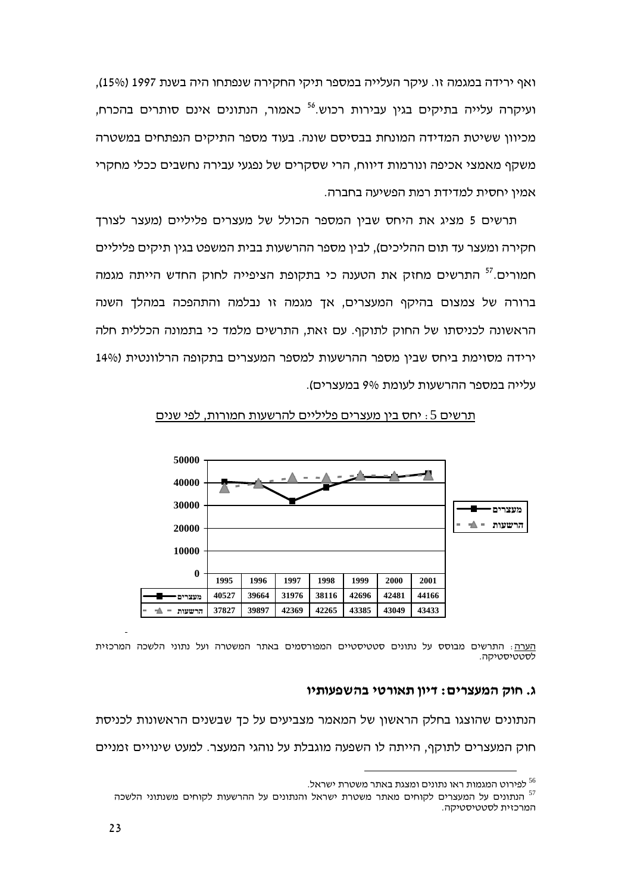ואף ירידה במגמה זו. עיקר העלייה במספר תיקי החקירה שנפתחו היה בשנת 1997 (15%), ועיקרה עלייה בתיקים בגין עבירות רכוש.<sup>56</sup> כאמור, הנתונים אינם סותרים בהכרח, מכיוון ששיטת המדידה המונחת בבסיסם שונה. בעוד מספר התיקים הנפתחים במשטרה משקף מאמצי אכיפה ונורמות דיווח, הרי שסקרים של נפגעי עבירה נחשבים ככלי מחקרי אמין יחסית למדידת רמת הפשיעה בחברה.

תרשים 5 מציג את היחס שביו המספר הכולל של מעצרים פליליים (מעצר לצורד חקירה ומעצר עד תום ההליכים), לבין מספר ההרשעות בבית המשפט בגין תיקים פליליים חמורים.<sup>57</sup> התרשים מחזק את הטענה כי בתקופת הציפייה לחוק החדש הייתה מגמה ברורה של צמצום בהיקף המעצרים, אך מגמה זו נבלמה והתהפכה במהלך השנה הראשונה לכניסתו של החוק לתוקף. עם זאת, התרשים מלמד כי בתמונה הכללית חלה ירידה מסוימת ביחס שבין מספר ההרשעות למספר המעצרים בתקופה הרלוונטית (14% עלייה במספר ההרשעות לעומת 9% במעצרים).



תרשים 5: יחס בין מעצרים פליליים להרשעות חמורות, לפי שנים

<u>הערה</u>: התרשים מבוסס על נתונים סטטיסטיים המפורסמים באתר המשטרה ועל נתוני הלשכה המרכזית <u>לסטטיסטיקה.</u>

## ג. חוק המעצרים: דיון תאורטי בהשפעותיו

הנתונים שהוצגו בחלק הראשון של המאמר מצביעים על כך שבשנים הראשונות לכניסת חוק המעצרים לתוקף, הייתה לו השפעה מוגבלת על נוהגי המעצר. למעט שינויים זמניים

לפירוט המגמות ראו נתונים ומצגת באתר משטרת ישראל.

הנתונים על המעצרים לקוחים מאתר משטרת ישראל והנתונים על ההרשעות לקוחים משנתוני הלשכה המרכזית לסטטיסטיקה.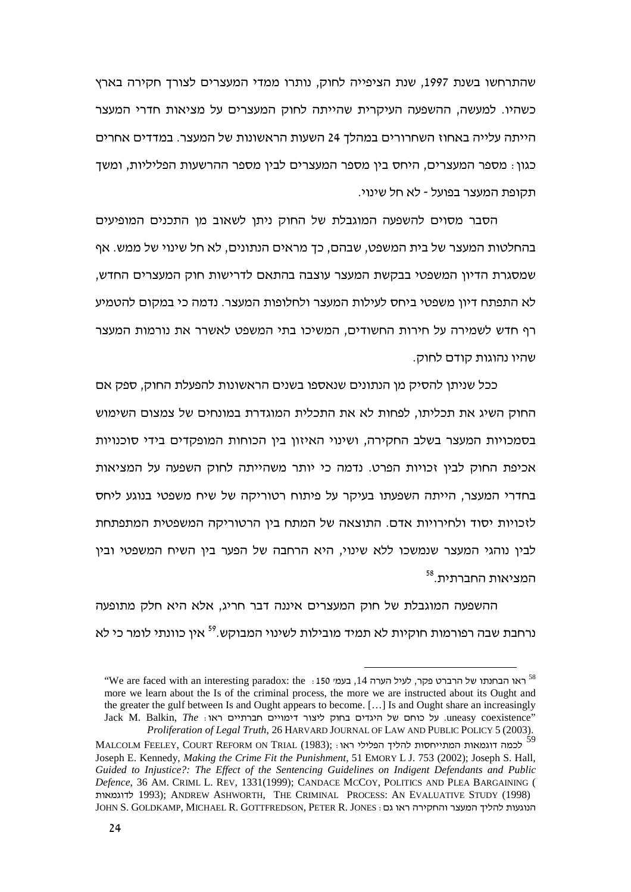שהתרחשו בשנת 1997, שנת הציפייה לחוק, נותרו ממדי המעצרים לצורך חקירה בארץ כשהיו. למעשה, ההשפעה העיקרית שהייתה לחוק המעצרים על מציאות חדרי המעצר הייתה עלייה באחוז השחרורים במהלך 24 השעות הראשונות של המעצר. במדדים אחרים כגון : מספר המעצרים, היחס בין מספר המעצרים לבין מספר ההרשעות הפליליות, ומשך תקופת המעצר בפועל - לא חל שינוי.

הסבר מסוים להשפעה המוגבלת של החוק ניתן לשאוב מן התכנים המופיעים בהחלטות המעצר של בית המשפט, שבהם, כך מראים הנתונים, לא חל שינוי של ממש. אף שמסגרת הדיון המשפטי בבקשת המעצר עוצבה בהתאם לדרישות חוק המעצרים החדש, לא התפתח דיון משפטי ביחס לעילות המעצר ולחלופות המעצר. נדמה כי במקום להטמיע רף חדש לשמירה על חירות החשודים, המשיכו בתי המשפט לאשרר את נורמות המעצר שהיו נהוגות קודם לחוק.

כל שניתן להסיק מן הנתונים שנאספו בשנים הראשונות להפעלת החוק, ספק אם החוק השיג את תכליתו, לפחות לא את התכלית המוגדרת במונחים של צמצום השימוש בסמכויות המעצר בשלב החקירה, ושינוי האיזון בין הכוחות המופקדים בידי סוכנויות אכיפת החוק לבין זכויות הפרט. נדמה כי יותר משהייתה לחוק השפעה על המציאות בחדרי המעצר, הייתה השפעתו בעיקר על פיתוח רטוריקה של שיח משפטי בנוגע ליחס לזכויות יסוד ולחירויות אדם. התוצאה של המתח בין הרטוריקה המשפטית המתפתחת לבין נוהגי המעצר שנמשכו ללא שינוי, היא הרחבה של הפער בין השיח המשפטי ובין המציאות החברתית.<sup>58</sup>

ההשפעה המוגבלת של חוק המעצרים איננה דבר חריג, אלא היא חלק מתופעה נרחבת שבה רפורמות חוקיות לא תמיד מובילות לשינוי המבוקש.<sup>59</sup> אין כוונתי לומר כי לא

 $^{\circ}$ We are faced with an interesting paradox: the . בעמי 150. לאו הבחנתו של הרברט פקר, לעיל הערה  $^{58}$ more we learn about the Is of the criminal process, the more we are instructed about its Ought and the greater the gulf between Is and Ought appears to become. […] Is and Ought share an increasingly Uack M. Balkin, *The* היגדים בחוק ליצור דימויים חברתיים ראו *Proliferation of Legal Truth*, 26 HARVARD JOURNAL OF LAW AND PUBLIC POLICY 5 (2003).

<sup>59</sup> MALCOLM FEELEY, COURT REFORM ON TRIAL (1983); : '
   Joseph E. Kennedy, *Making the Crime Fit the Punishment*, 51 EMORY L J. 753 (2002); Joseph S. Hall*, Guided to Injustice?: The Effect of the Sentencing Guidelines on Indigent Defendants and Public Defence*, 36 AM. CRIML L. REV*,* 1331(1999); CANDACE MCCOY, POLITICS AND PLEA BARGAINING (   1993); ANDREW ASHWORTH, THE CRIMINAL PROCESS: AN EVALUATIVE STUDY (1998) JOHN S. GOLDKAMP, MICHAEL R. GOTTFREDSON, PETER R. JONES :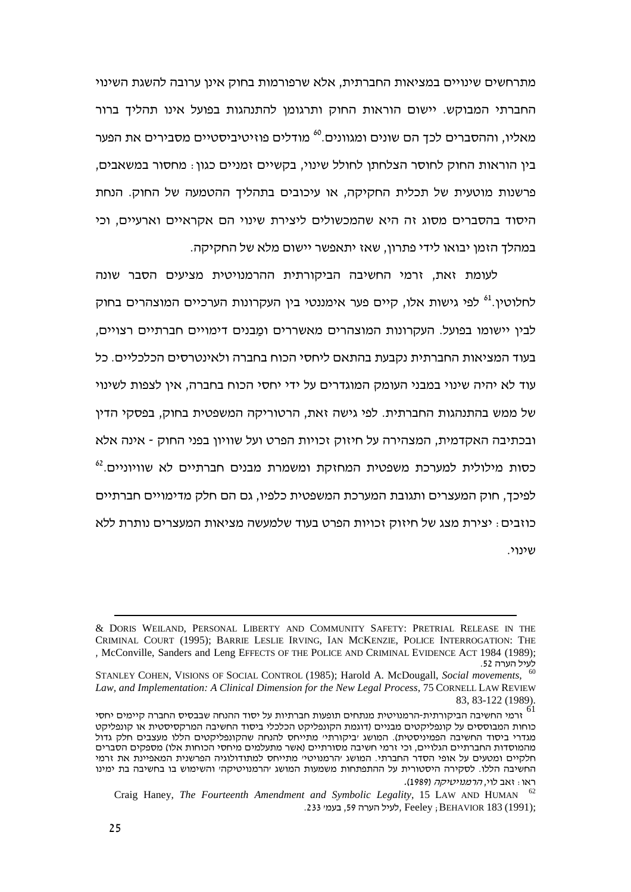מתרחשים שינויים במציאות החברתית, אלא שרפורמות בחוק אינן ערובה להשגת השינוי החברתי המבוקש. יישום הוראות החוק ותרגומן להתנהגות בפועל אינו תהליך ברור מאליו, וההסברים לכך הם שונים ומגוונים.<sup>60</sup> מודלים פוזיטיביסטיים מסבירים את הפער בין הוראות החוק לחוסר הצלחתן לחולל שינוי, בקשיים זמניים כגון : מחסור במשאבים, פרשנות מוטעית של תכלית החקיקה, או עיכובים בתהליך ההטמעה של החוק. הנחת היסוד בהסברים מסוג זה היא שהמכשולים ליצירת שינוי הם אקראיים וארעיים, וכי במהלך הזמן יבואו לידי פתרון, שאז יתאפשר יישום מלא של החקיקה.

לעומת זאת, זרמי החשיבה הביקורתית ההרמנויטית מציעים הסבר שונה לחלוטין.<sup>ו</sup> לפי גישות אלו, קיים פער אימננטי בין העקרונות הערכיים המוצהרים בחוק לבין יישומו בפועל. העקרונות המוצהרים מאשררים ו<u>מ</u>בנים דימויים חברתיים רצויים, בעוד המציאות החברתית נקבעת בהתאם ליחסי הכוח בחברה ולאינטרסים הכלכליים. כל עוד לא יהיה שינוי במבני העומק המוגדרים על ידי יחסי הכוח בחברה, אין לצפות לשינוי של ממש בהתנהגות החברתית. לפי גישה זאת, הרטוריקה המשפטית בחוק, בפסקי הדין ובכתיבה האקדמית, המצהירה על חיזוק זכויות הפרט ועל שוויון בפני החוק - אינה אלא כסות מילולית למערכת משפטית המחזקת ומשמרת מבנים חברתיים לא שוויוניים.<sup>62</sup> לפיכך, חוק המעצרים ותגובת המערכת המשפטית כלפיו, גם הם חלק מדימויים חברתיים כוזבים : יצירת מצג של חיזוק זכויות הפרט בעוד שלמעשה מציאות המעצרים נותרת ללא ......

<sup>&</sup>amp; DORIS WEILAND, PERSONAL LIBERTY AND COMMUNITY SAFETY: PRETRIAL RELEASE IN THE CRIMINAL COURT (1995); BARRIE LESLIE IRVING, IAN MCKENZIE, POLICE INTERROGATION: THE , McConville, Sanders and Leng EFFECTS OF THE POLICE AND CRIMINAL EVIDENCE ACT 1984 (1989); .52

<sup>60</sup> STANLEY COHEN, VISIONS OF SOCIAL CONTROL (1985); Harold A. McDougall, *Social movements, Law, and Implementation: A Clinical Dimension for the New Legal Process,* 75 CORNELL LAW REVIEW 83, 83-122 (1989).

ורמי החשיבה הביקורתית-הרמנויטית מנתחים תופעות חברתיות על יסוד ההנחה שבבסיס החברה קיימים יחסי $^{61}$ כוחות המבוססים על קונפליקטים מבניים (דוגמת הקונפליקט הכלכלי ביסוד החשיבה המרקסיסטית או קונפליקט מגדרי ביסוד החשיבה הפמיניסטית). המושג ׳ביקורתי׳ מתייחס להנחה שהקונפליקטים הללו מעצבים חלק גדול מהמוסדות החברתיים הגלויים, וכי זרמי חשיבה מסורתיים (אשר מתעלמים מיחסי הכוחות אלו) מספקים הסברים חלקיים ומטעים על אופי הסדר החברתי. המושג ׳הרמנויטי׳ מתייחס למתודולוגיה הפרשנית המאפיינת את זרמי החשיבה הללו. לסקירה היסטורית על ההתפתחות משמעות המושג ׳הרמנויטיקה׳ והשימוש בו בחשיבה בת ימינו ראו : זאב לוי, *הרמנויטיקה* (1989).

<sup>62</sup> Craig Haney, *The Fourteenth Amendment and Symbolic Legality*, 15 LAW AND HUMAN לעיל הערה 59, בעמי 233. Feeley ; BEHAVIOR 183 (1991);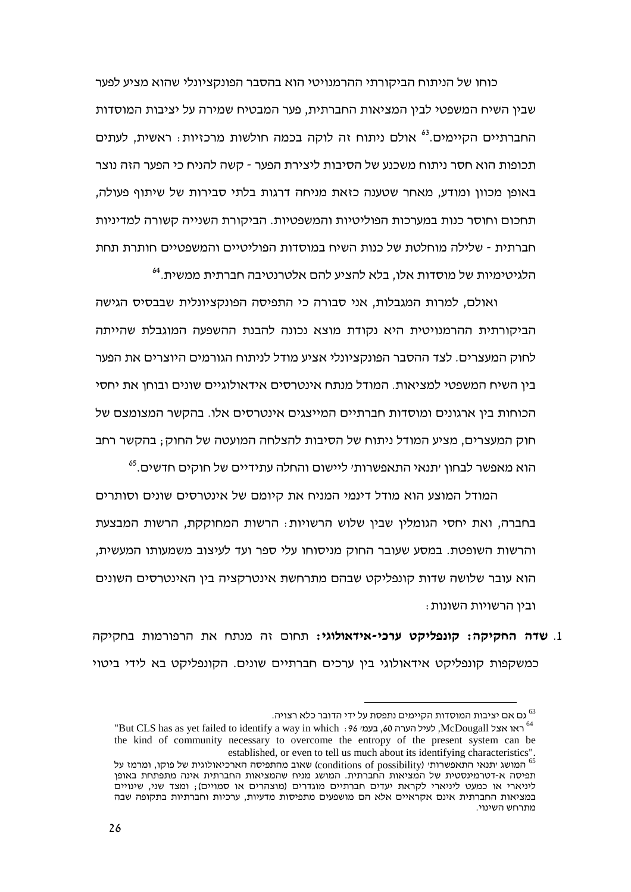כוחו של הניתוח הביקורתי ההרמנויטי הוא בהסבר הפונקציונלי שהוא מציע לפער שבין השיח המשפטי לבין המציאות החברתית, פער המבטיח שמירה על יציבות המוסדות החברתיים הקיימים.<sup>63</sup> אולם ניתוח זה לוקה בכמה חולשות מרכזיות: ראשית, לעתים תכופות הוא חסר ניתוח משכנע של הסיבות ליצירת הפער - קשה להניח כי הפער הזה נוצר באופן מכוון ומודע, מאחר שטענה כזאת מניחה דרגות בלתי סבירות של שיתוף פעולה, תחכום וחוסר כנות במערכות הפוליטיות והמשפטיות. הביקורת השנייה קשורה למדיניות חברתית - שלילה מוחלטת של כנות השיח במוסדות הפוליטיים והמשפטיים חותרת תחת הלגיטימיות של מוסדות אלו, בלא להציע להם אלטרנטיבה חברתית ממשית.<sup>64</sup>

ואולם, למרות המגבלות, אני סבורה כי התפיסה הפונקציונלית שבבסיס הגישה הביקורתית ההרמנויטית היא נקודת מוצא נכונה להבנת ההשפעה המוגבלת שהייתה לחוק המעצרים. לצד ההסבר הפונקציונלי אציע מודל לניתוח הגורמים היוצרים את הפער בין השיח המשפטי למציאות. המודל מנתח אינטרסים אידאולוגיים שונים ובוחן את יחסי הכוחות בין ארגונים ומוסדות חברתיים המייצגים אינטרסים אלו. בהקשר המצומצם של חוק המעצרים, מציע המודל ניתוח של הסיבות להצלחה המועטה של החוק ; בהקשר רחב הוא מאפשר לבחון ׳תנאי התאפשרות׳ ליישום והחלה עתידיים של חוקים חדשים.<sup>65</sup>

המודל המוצע הוא מודל דינמי המניח את קיומם של אינטרסים שונים וסותרים בחברה, ואת יחסי הגומלין שבין שלוש הרשויות $\cdot$  הרשות המחוקקת, הרשות המבצעת והרשות השופטת. במסע שעובר החוק מניסוחו עלי ספר ועד לעיצוב משמעותו המעשית, הוא עובר שלושה שדות קונפליקט שבהם מתרחשת אינטרקציה בין האינטרסים השונים : ובין הרשויות השונות

**1. שדה החקיקה: קונפליקט ערכי-אידאולוגי:** תחום זה מנתח את הרפורמות בחקיקה כמשקפות קונפליקט אידאולוגי בין ערכים חברתיים שונים. הקונפליקט בא לידי ביטוי

<sup>.</sup>גם אם יציבות המוסדות הקיימים נתפסת על ידי הדובר כלא רצויה  $^{\rm 63}$ 

<sup>&</sup>lt;sup>ם</sup> גם אם יציבות המוסדות הקיימים נתפסת על ידי הדובר כלא רצויה.<br><sup>64</sup> ראו אצל McDougall, לעיל הערה 60, בעמי 69 : McDougall ("But CLS has as yet failed to identify a way in which the kind of community necessary to overcome the entropy of the present system can be established, or even to tell us much about its identifying characteristics".

המושג יתנאי התאפשרותי (conditions of possibility) שאוב מהתפיסה הארכיאולוגית של פוקו, ומרמז על  $^{\rm 65}$ תפיסה א-דטרמינסטית של המציאות החברתית. המושג מניח שהמציאות החברתית אינה מתפתחת באופן ליניארי או כמעט ליניארי לקראת יעדים חברתיים מוגדרים (מוצהרים או סמויים); ומצד שני, שינויים במציאות החברתית אינם אקראיים אלא הם מושפעים מתפיסות מדעיות, ערכיות וחברתיות בתקופה שבה<br>מתרחש השינוי. מתרחש השינוי.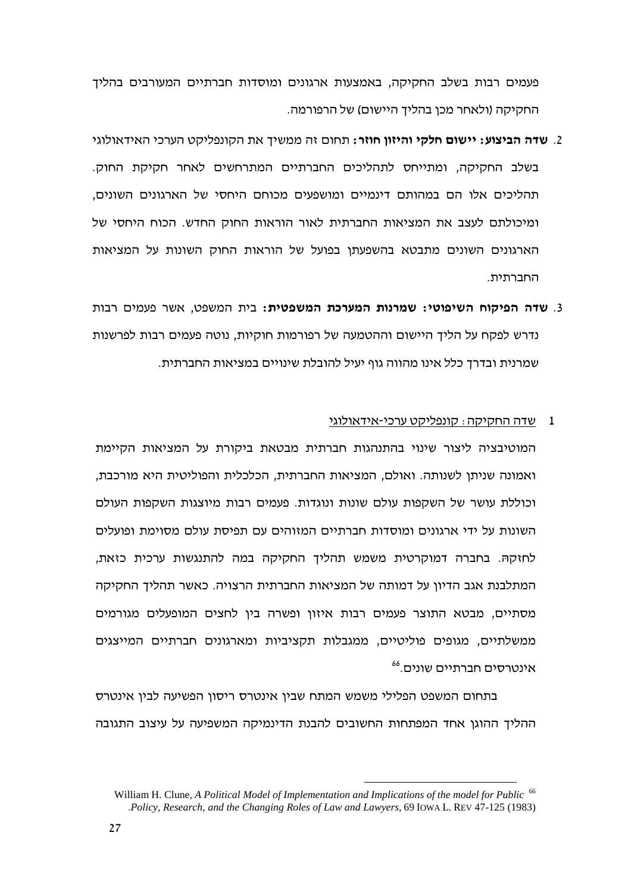פעמים רבות בשלב החקיקה, באמצעות ארגונים ומוסדות חברתיים המעורבים בהליך החקיקה (ולאחר מכן בהליך היישום) של הרפורמה.

- 2. **שדה הביצוע: יישום חלקי והיזוו חוזר:** תחום זה ממשיד את הקונפליקט הערכי האידאולוגי בשלב החקיקה, ומתייחס לתהליכים החברתיים המתרחשים לאחר חקיקת החוק. תהליכים אלו הם במהותם דינמיים ומושפעים מכוחם היחסי של הארגונים השונים, ומיכולתם לעצב את המציאות החברתית לאור הוראות החוק החדש. הכוח היחסי של הארגונים השונים מתבטא בהשפעתן בפועל של הוראות החוק השונות על המציאות החברתית.
- 3. שדה הפיקוח השיפוטי: שמרנות המערכת המשפטית: בית המשפט, אשר פעמים רבות נדרש לפקח על הליך היישום וההטמעה של רפורמות חוקיות, נוטה פעמים רבות לפרשנות שמרנית ובדרך כלל אינו מהווה גוף יעיל להובלת שינויים במציאות החברתית.

### שדה החקיקה : קונפליקט ערכי-אידאולוגי  $\mathbf{1}$

המוטיבציה ליצור שינוי בהתנהגות חברתית מבטאת ביקורת על המציאות הקיימת ואמונה שניתן לשנותה. ואולם, המציאות החברתית, הכלכלית והפוליטית היא מורכבת, וכוללת עושר של השקפות עולם שונות ונוגדות. פעמים רבות מיוצגות השקפות העולם השונות על ידי ארגונים ומוסדות חברתיים המזוהים עם תפיסת עולם מסוימת ופועלים לחזקה. בחברה דמוקרטית משמש תהליך החקיקה במה להתנגשות ערכית כזאת, המתלבנת אגב הדיון על דמותה של המציאות החברתית הרצויה. כאשר תהליך החקיקה מסתיים, מבטא התוצר פעמים רבות איזון ופשרה בין לחצים המופעלים מגורמים ממשלתיים, מגופים פוליטיים, ממגבלות תקציביות ומארגונים חברתיים המייצגים אינטרסים חברתיים שונים.66

בתחום המשפט הפלילי משמש המתח שביו אינטרס ריסוו הפשיעה לביו אינטרס ההליך ההוגן אחד המפתחות החשובים להבנת הדינמיקה המשפיעה על עיצוב התגובה

William H. Clune, A Political Model of Implementation and Implications of the model for Public<sup>66</sup> .Policy, Research, and the Changing Roles of Law and Lawyers, 69 IOWA L. REV 47-125 (1983)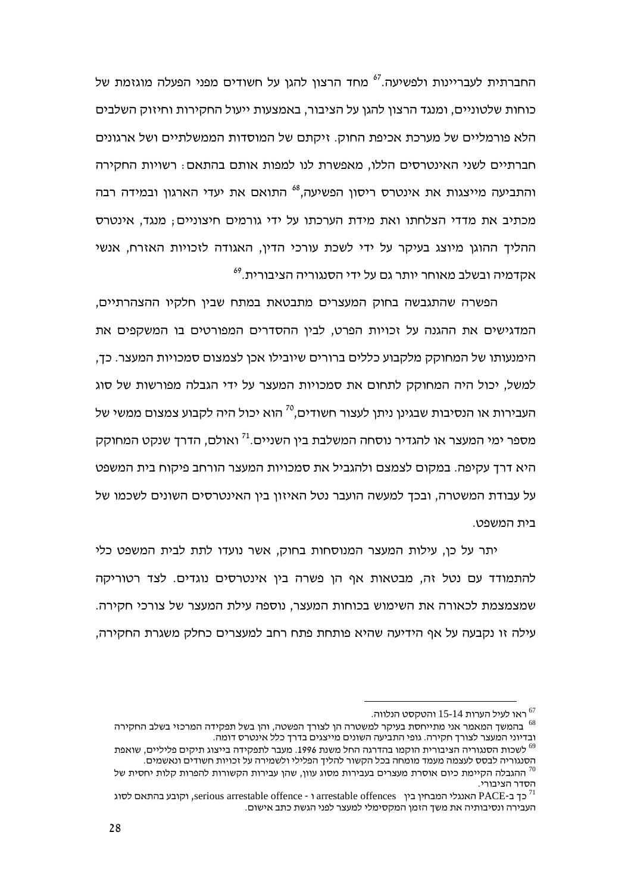החברתית לעבריינות ולפשיעה.<sup>67</sup> מחד הרצון להגן על חשודים מפני הפעלה מוגזמת של כוחות שלטוניים, ומנגד הרצון להגן על הציבור, באמצעות ייעול החקירות וחיזוק השלבים הלא פורמליים של מערכת אכיפת החוק. זיקתם של המוסדות הממשלתיים ושל ארגונים חברתיים לשני האינטרסים הללו, מאפשרת לנו למפות אותם בהתאם: רשויות החקירה והתביעה מייצגות את אינטרס ריסוו הפשיעה.<sup>68</sup> התואם את יעדי הארגוו ובמידה רבה מכתיב את מדדי הצלחתו ואת מידת הערכתו על ידי גורמים חיצוניים; מנגד, אינטרס ההליך ההוגן מיוצג בעיקר על ידי לשכת עורכי הדין, האגודה לזכויות האזרח, אנשי אקדמיה ובשלב מאוחר יותר גם על ידי הסנגוריה הציבורית.<sup>69</sup>

הפשרה שהתגבשה בחוק המעצרים מתבטאת במתח שבין חלקיו ההצהרתיים, המדגישים את ההגנה על זכויות הפרט, לבין ההסדרים המפורטים בו המשקפים את הימנעותו של המחוקק מלקבוע כללים ברורים שיובילו אכן לצמצום סמכויות המעצר. כד, למשל, יכול היה המחוקק לתחום את סמכויות המעצר על ידי הגבלה מפורשות של סוג העבירות או הנסיבות שבגינו ניתו לעצור חשודים.<sup>70</sup> הוא יכול היה לקבוע צמצום ממשי של מספר ימי המעצר או להגדיר נוסחה המשלבת בין השניים.<sup>71</sup> ואולם, הדרד שנקט המחוקק היא דרך עקיפה. במקום לצמצם ולהגביל את סמכויות המעצר הורחב פיקוח בית המשפט על עבודת המשטרה, ובכך למעשה הועבר נטל האיזון בין האינטרסים השונים לשכמו של בית המשפט.

יתר על כן, עילות המעצר המנוסחות בחוק, אשר נועדו לתת לבית המשפט כלי להתמודד עם נטל זה, מבטאות אף הן פשרה בין אינטרסים נוגדים. לצד רטוריקה שמצמצמת לכאורה את השימוש בכוחות המעצר, נוספה עילת המעצר של צורכי חקירה. עילה זו נקבעה על אף הידיעה שהיא פותחת פתח רחב למעצרים כחלק משגרת החקירה.

<sup>.</sup> ראו לעיל הערות 15-14 והטקסט הנלווה

בהמשד המאמר אני מתייחסת בעיקר למשטרה הן לצורך הפשטה, והן בשל תפקידה המרכזי בשלב החקירה  $^{68}$ ובדיוני המעצר לצורד חקירה. גופי התביעה השונים מייצגים בדרד כלל אינטרס דומה.

<sup>&</sup>lt;sup>69</sup> לשכות הסנגוריה הציבורית הוקמו בהדרגה החל משנת 1996. מעבר לתפקידה בייצוג תיקים פליליים. שואפת הסנגוריה לבסס לעצמה מעמד מומחה בכל הקשור להליך הפלילי ולשמירה על זכויות חשודים ונאשמים.

לות יחסית של ההגבלה הקיימת כיום אוסרת מעצרים בעבירות מסוג עוון, שהן עבירות הקשורות להפרות קלות יחסית של ה הסדר הציבורי.

וקובע בהתאם לסוג serious arrestable offence - ו arrestable offences (וקובע בהתאם כאוג PACE- כך ב-PACE העבירה ונסיבותיה את משך הזמן המקסימלי למעצר לפני הגשת כתב אישום.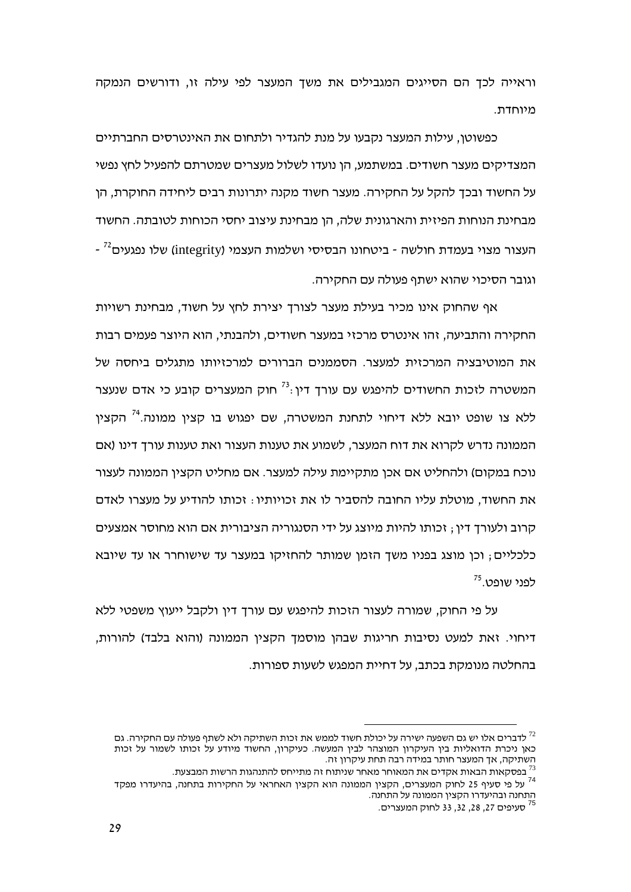וראייה לכך הם הסייגים המגבילים את משך המעצר לפי עילה זו, ודורשים הנמקה מיוחדת.

כפשוטו, עילות המעצר נקבעו על מנת להגדיר ולתחום את האינטרסים החברתיים המצדיקים מעצר חשודים. במשתמע, הן נועדו לשלול מעצרים שמטרתם להפעיל לחץ נפשי על החשוד ובכך להקל על החקירה. מעצר חשוד מקנה יתרונות רבים ליחידה החוקרת, הן מבחינת הנוחות הפיזית והארגונית שלה. הו מבחינת עיצוב יחסי הכוחות לטובתה. החשוד - העצור מצוי בעמדת חולשה - ביטחונו הבסיסי ושלמות העצמי (integrity) שלו נפגעים<sup>72</sup> וגובר הסיכוי שהוא ישתף פעולה עם החקירה.

אף שהחוק אינו מכיר בעילת מעצר לצורד יצירת לחץ על חשוד, מבחינת רשויות החקירה והתביעה, זהו אינטרס מרכזי במעצר חשודים, ולהבנתי, הוא היוצר פעמים רבות את המוטיבציה המרכזית למעצר. הסממנים הברורים למרכזיותו מתגלים ביחסה של המשטרה לזכות החשודים להיפגש עם עורד דיו:<sup>73</sup> חוק המעצרים קובע כי אדם שנעצר ללא צו שופט יובא ללא דיחוי לתחנת המשטרה, שם יפגוש בו קצין ממונה.<sup>74</sup> הקצין הממונה נדרש לקרוא את דוח המעצר, לשמוע את טענות העצור ואת טענות עורך דינו (אם נוכח במקום) ולהחליט אם אכן מתקיימת עילה למעצר. אם מחליט הקצין הממונה לעצור את החשוד. מוטלת עליו החובה להסביר לו את זכויותיו : זכותו להודיע על מעצרו לאדם קרוב ולעורך דין ; זכותו להיות מיוצג על ידי הסנגוריה הציבורית אם הוא מחוסר אמצעים כלכליים; וכן מוצג בפניו משך הזמן שמותר להחזיקו במעצר עד שישוחרר או עד שיובא לפני שופט.<sup>75</sup>

על פי החוק, שמורה לעצור הזכות להיפגש עם עורך דין ולקבל ייעוץ משפטי ללא דיחוי. זאת למעט נסיבות חריגות שבהן מוסמך הקצין הממונה (והוא בלבד) להורות, בהחלטה מנומקת בכתב, על דחיית המפגש לשעות ספורות.

לדברים אלו יש גם השפעה ישירה על יכולת חשוד לממש את זכות השתיקה ולא לשתף פעולה עם החקירה. גם  $^{72}$ כאו ניכרת הדואליות בין העיקרון המוצהר לבין המעשה. כעיקרון, החשוד מיודע על זכותו לשמור על זכות השתיקה, אד המעצר חותר במידה רבה תחת עיקרון זה.

<sup>.</sup> בפסקאות הבאות אקדים את המאוחר מאחר שניתוח זה מתייחס להתנהגות הרשות המבצעת.

בכס אותו הביא הברי המעצרים, הקצין הממונה הוא הקצין האחראי על החקירות בתחנה, בהיעדרו מפקד<br><sup>74</sup> על פי סעיף 25 לחוק המעצרים, הקצין הממונה הוא הקצין האחראי על החקירות בתחנה, בהיעדרו מפקד התחנה ובהיעדרו הקצין הממונה על התחנה.

<sup>&</sup>lt;sup>75</sup> סעיפים 27, 28, 32, 33 לחוק המעצרים.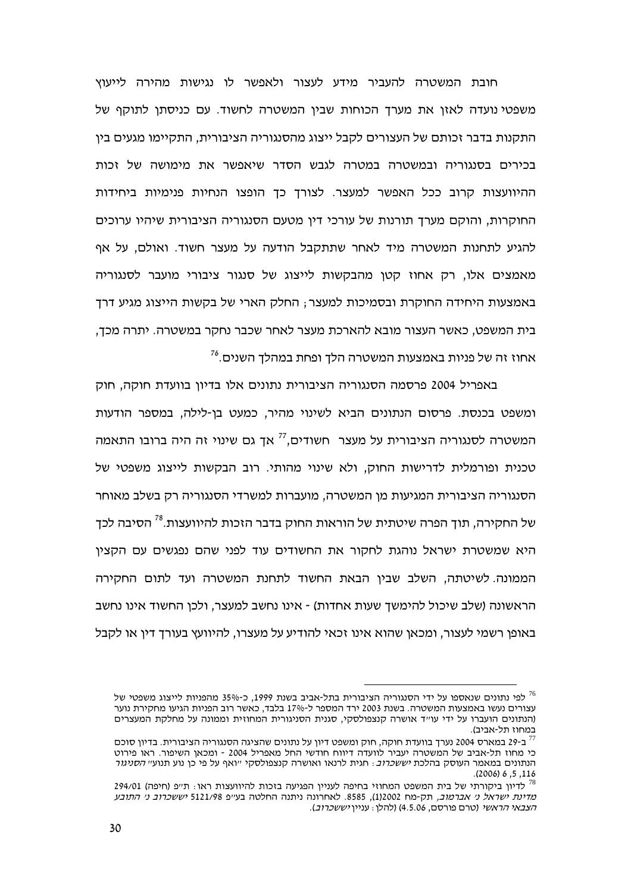חובת המשטרה להעביר מידע לעצור ולאפשר לו נגישות מהירה לייעוץ משפטי נועדה לאזן את מערך הכוחות שבין המשטרה לחשוד. עם כניסתן לתוקף של התקנות בדבר זכותם של העצורים לקבל ייצוג מהסנגוריה הציבורית, התקיימו מגעים בין בכירים בסנגוריה ובמשטרה במטרה לגבש הסדר שיאפשר את מימושה של זכות ההיוועצות קרוב ככל האפשר למעצר. לצורד כך הופצו הנחיות פנימיות ביחידות החוקרות, והוקם מערך תורנות של עורכי דין מטעם הסנגוריה הציבורית שיהיו ערוכים להגיע לתחנות המשטרה מיד לאחר שתתקבל הודעה על מעצר חשוד. ואולם, על אף מאמצים אלו, רק אחוז קטן מהבקשות לייצוג של סנגור ציבורי מועבר לסנגוריה באמצעות היחידה החוקרת ובסמיכות למעצר; החלק הארי של בקשות הייצוג מגיע דרך בית המשפט. כאשר העצור מובא להארכת מעצר לאחר שכבר נחקר במשטרה. יתרה מכד. אחוז זה של פניות באמצעות המשטרה הלד ופחת במהלד השנים.<sup>76</sup>

באפריל 2004 פרסמה הסנגוריה הציבורית נתונים אלו בדיון בוועדת חוקה, חוק ומשפט בכנסת. פרסום הנתונים הביא לשינוי מהיר, כמעט בן-לילה, במספר הודעות המשטרה לסנגוריה הציבורית על מעצר חשודים.<sup>77</sup> אך גם שינוי זה היה ברובו התאמה טכנית ופורמלית לדרישות החוק, ולא שינוי מהותי. רוב הבקשות לייצוג משפטי של הסנגוריה הציבורית המגיעות מו המשטרה, מועברות למשרדי הסנגוריה רק בשלב מאוחר של החקירה, תוך הפרה שיטתית של הוראות החוק בדבר הזכות להיוועצות.<sup>78</sup> הסיבה לכד היא שמשטרת ישראל נוהגת לחקור את החשודים עוד לפני שהם נפגשים עם הקצין הממונה. לשיטתה, השלב שבין הבאת החשוד לתחנת המשטרה ועד לתום החקירה הראשונה (שלב שיכול להימשך שעות אחדות) - אינו נחשב למעצר, ולכן החשוד אינו נחשב באופו רשמי לעצור. ומכאו שהוא אינו זכאי להודיע על מעצרו. להיוועץ בעורד דיו או לקבל

לפי נתונים שנאספו על ידי הסנגוריה הציבורית בתל-אביב בשנת 1999, כ-35% מהפניות לייצוג משפטי של עצורים נעשו באמצעות המשטרה. בשנת 2003 ירד המספר ל-17% בלבד, כאשר רוב הפניות הגיעו מחקירת נוער (הנתונים הועברו על ידי עוייד אושרה קנצפולסקי, סגנית הסניגורית המחוזית וממונה על מחלקת המעצרים במחוז תל-אביב).

ב-29 במארס 2004 נערך בוועדת חוקה, חוק ומשפט דיון על נתונים שהציגה הסנגוריה הציבורית. בדיון סוכם כי מחוז תל-אביב של המשטרה יעביר לוועדה דיווח חודשי החל מאפריל 2004 - ומכאו השיפור. ראו פירוט הנתונים במאמר העוסק בהלכת *יששכרוב*: חגית לרנאו ואושרה קנצפולסקי ״ואף על פי כן נוע תנוע״ *הסניגור*  $(2006)$  6, 5, 116

לדיון ביקורתי של בית המשפט המחוזי בחיפה לעניין הפגיעה בזכות להיוועצות ראו: תייפ (חיפה) 294/01 *מדינת ישראל ני אברמוב.* תק-מח 1)2002). 8585. לאחרונה ניתנה החלטה בע״פ 5121/98 *יששכרוב ני התובע* הצבאי הראשי (טרם פורסם, 4.5.06) (להלן: עניין יששכרוב).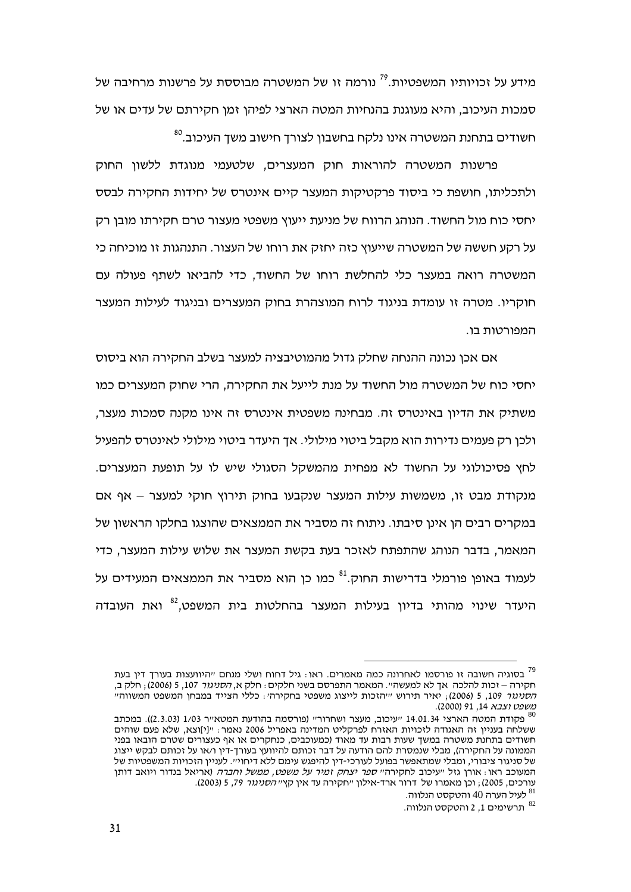מידע על זכויותיו המשפטיות.<sup>79</sup> נורמה זו של המשטרה מבוססת על פרשנות מרחיבה של סמכות העיכוב, והיא מעוגנת בהנחיות המטה הארצי לפיהן זמן חקירתם של עדים או של חשודים בתחנת המשטרה אינו נלקח בחשבון לצורך חישוב משד העיכוב.<sup>80</sup>

פרשנות המשטרה להוראות חוק המעצרים, שלטעמי מנוגדת ללשון החוק ולתכליתו, חושפת כי ביסוד פרקטיקות המעצר קיים אינטרס של יחידות החקירה לבסס יחסי כוח מול החשוד. הנוהג הרווח של מניעת ייעוץ משפטי מעצור טרם חקירתו מובן רק על רקע חששה של המשטרה שייעוץ כזה יחזק את רוחו של העצור. התנהגות זו מוכיחה כי המשטרה רואה במעצר כלי להחלשת רוחו של החשוד, כדי להביאו לשתף פעולה עם חוקריו. מטרה זו עומדת בניגוד לרוח המוצהרת בחוק המעצרים ובניגוד לעילות המעצר המפורטות בו.

אם אכו נכונה ההנחה שחלק גדול מהמוטיבציה למעצר בשלב החקירה הוא ביסוס יחסי כוח של המשטרה מול החשוד על מנת לייעל את החקירה, הרי שחוק המעצרים כמו משתיק את הדיון באינטרס זה. מבחינה משפטית אינטרס זה אינו מקנה סמכות מעצר, ולכו רק פעמים נדירות הוא מקבל ביטוי מילולי. אד היעדר ביטוי מילולי לאינטרס להפעיל לחץ פסיכולוגי על החשוד לא מפחית מהמשקל הסגולי שיש לו על תופעת המעצרים. מנקודת מבט זו, משמשות עילות המעצר שנקבעו בחוק תירוץ חוקי למעצר – אף אם במקרים רבים הן אינן סיבתו. ניתוח זה מסביר את הממצאים שהוצגו בחלקו הראשון של המאמר, בדבר הנוהג שהתפתח לאזכר בעת בקשת המעצר את שלוש עילות המעצר, כדי לעמוד באופן פורמלי בדרישות החוק.<sup>81</sup> כמו כן הוא מסביר את הממצאים המעידים על היעדר שינוי מהותי בדיון בעילות המעצר בהחלטות בית המשפט,<sup>82</sup> ואת העובדה

בסוגיה חשובה זו פורסמו לאחרונה כמה מאמרים. ראו: גיל דחוח ושלי מנחם "היוועצות בעורך דין בעת משפט וצבא 14, 91 (2000).

<sup>1/03</sup> מקודת המטא"ר 14.01.34 וועיכוב, מעצר ושחרור" (פורסמה בהודעת המטא"ר 1/03 (2.3.03)). במכתב 19/1 ששלחה בענייו זה האגודה לזכויות האזרח לפרקליט המדינה באפריל 2006 נאמר: ״!יווצא. שלא פעם שוהים חשודים בתחנת משטרה במשך שעות רבות עד מאוד (כמעוכבים, כנחקרים או אף כעצורים שטרם הובאו בפני הממונה על החקירה), מבלי שנמסרת להם הודעה על דבר זכותם להיוועץ בעורד-דין ו/או על זכותם לבקש ייצוג של סניגור ציבורי. ומבלי שמתאפשר בפועל לעורכי-דיו להיפגש עימם ללא דיחוי״. לענייו הזכויות המשפטיות של המעוכב ראו . אורו גזל ייעיכוב לחקירהי*י ספר יצחק זמיר על משפט. ממשל וחברה* (אריאל בנדור ויואב דותו עורכים, 2005) , וכן מאמרו של דרור ארד-אילון ״חקירה עד אין קץ״ *הסניגור 79*, 5 (2003).

<sup>.</sup> לעיל הערה 40 והטקסט הנלווה  $^{\rm 81}$ 

<sup>.</sup>תרשימים 1, 2 והטקסט הנלווה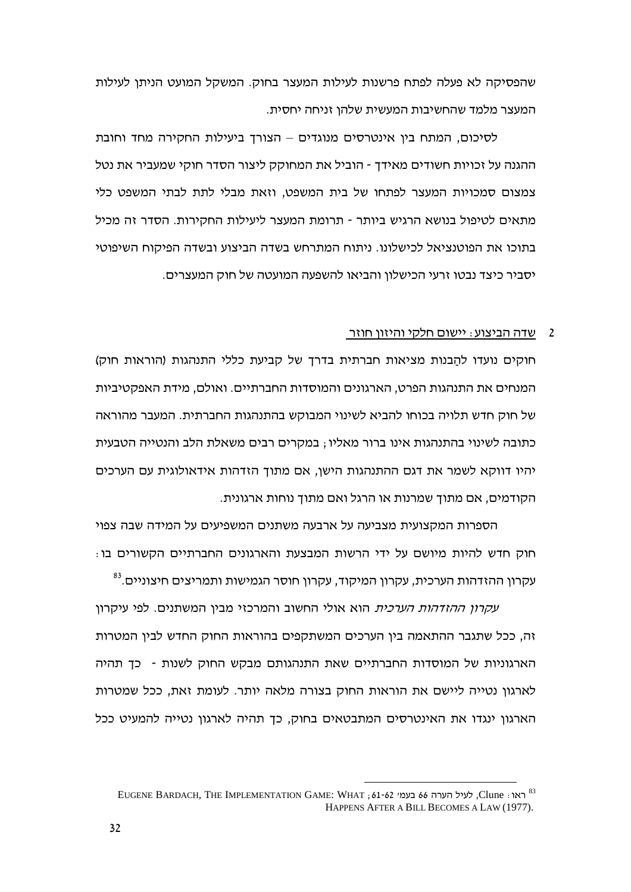שהפסיקה לא פעלה לפתח פרשנות לעילות המעצר בחוק. המשקל המועט הניתן לעילות המעצר מלמד שהחשיבות המעשית שלהן זניחה יחסית.

לסיכום, המתח בין אינטרסים מנוגדים – הצורך ביעילות החקירה מחד וחובת ההגנה על זכויות חשודים מאידך - הוביל את המחוקק ליצור הסדר חוקי שמעביר את נטל צמצום סמכויות המעצר לפתחו של בית המשפט. וזאת מבלי לתת לבתי המשפט כלי מתאים לטיפול בנושא הרגיש ביותר - תרומת המעצר ליעילות החקירות. הסדר זה מכיל בתוכו את הפוטנציאל לכישלונו. ניתוח המתרחש בשדה הביצוע ובשדה הפיקוח השיפוטי יסביר כיצד נבטו זרעי הכישלון והביאו להשפעה המועטה של חוק המעצרים.

## 2 – שדה הביצוע: יישום חלקי והיזון חוזר

חוקים נועדו להַבנות מציאות חברתית בדרך של קביעת כללי התנהגות (הוראות חוק) המנחים את התנהגות הפרט, הארגונים והמוסדות החברתיים. ואולם, מידת האפקטיביות של חוק חדש תלויה בכוחו להביא לשינוי המבוקש בהתנהגות החברתית. המעבר מהוראה כתובה לשינוי בהתנהגות אינו ברור מאליו ; במקרים רבים משאלת הלב והנטייה הטבעית יהיו דווקא לשמר את דגם ההתנהגות הישן, אם מתוך הזדהות אידאולוגית עם הערכים הקודמים, אם מתוך שמרנות או הרגל ואם מתוך נוחות ארגונית.

הספרות המקצועית מצביעה על ארבעה משתנים המשפיעים על המידה שבה צפוי חוק חדש להיות מיושם על ידי הרשות המבצעת והארגונים החברתיים הקשורים בו: עקרון ההזדהות הערכית, עקרון המיקוד, עקרון חוסר הגמישות ותמריצים חיצוניים.<sup>83</sup>

עקרון ההזדהות הערכית הוא אולי החשוב והמרכזי מבין המשתנים. לפי עיקרון זה, ככל שתגבר ההתאמה בין הערכים המשתקפים בהוראות החוק החדש לבין המטרות הארגוניות של המוסדות החברתיים שאת התנהגותם מבקש החוק לשנות - כך תהיה לארגון נטייה ליישם את הוראות החוק בצורה מלאה יותר. לעומת זאת, ככל שמטרות הארגון ינגדו את האינטרסים המתבטאים בחוק, כך תהיה לארגון נטייה להמעיט ככל

EUGENE BARDACH, THE IMPLEMENTATION GAME: WHAT ; 61-62 בעמ׳ 62-62 64 בעמ׳ Clune : ראו HAPPENS AFTER A BILL BECOMES A LAW (1977).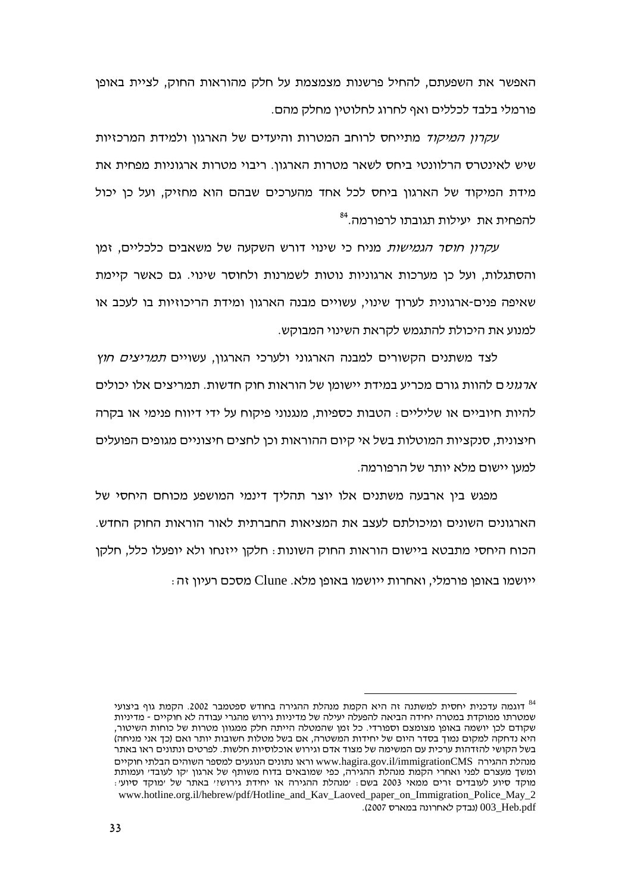האפשר את השפעתם, להחיל פרשנות מצמצמת על חלק מהוראות החוק, לציית באופן פורמלי בלבד לכללים ואף לחרוג לחלוטין מחלק מהם.

*עקרון המיקוד* מתייחס לרוחב המטרות והיעדים של הארגון ולמידת המרכזיות שיש לאינטרס הרלוונטי ביחס לשאר מטרות הארגון. ריבוי מטרות ארגוניות מפחית את מידת המיקוד של הארגון ביחס לכל אחד מהערכים שבהם הוא מחזיק, ועל כן יכול להפחית את יעילות תגובתו לרפורמה.<sup>84</sup>

עקרון חוסר הגמישות מניח כי שינוי דורש השקעה של משאבים כלכליים, זמן והסתגלות, ועל כן מערכות ארגוניות נוטות לשמרנות ולחוסר שינוי. גם כאשר קיימת שאיפה פנים-ארגונית לערוד שינוי. עשויים מבנה הארגוו ומידת הריכוזיות בו לעכב או למנוע את היכולת להתגמש לקראת השינוי המבוקש.

לצד משתנים הקשורים למבנה הארגוני ולערכי הארגון, עשויים *תמריצים חוץ ארגוני*ם להוות גורם מכריע במידת יישומן של הוראות חוק חדשות. תמריצים אלו יכולים להיות חיוביים או שליליים: הטבות כספיות, מנגנוני פיקוח על ידי דיווח פנימי או בקרה חיצונית, סנקציות המוטלות בשל אי קיום ההוראות וכן לחצים חיצוניים מגופים הפועלים למעו יישום מלא יותר של הרפורמה.

מפגש בין ארבעה משתנים אלו יוצר תהליד דינמי המושפע מכוחם היחסי של הארגונים השונים ומיכולתם לעצב את המציאות החברתית לאור הוראות החוק החדש. הכוח היחסי מתבטא ביישום הוראות החוק השונות: חלקן ייזנחו ולא יופעלו כלל, חלקן ייושמו באופן פורמלי, ואחרות ייושמו באופן מלא. Clune מסכם רעיון זה

דוגמה עדכנית יחסית למשתנה זה היא הקמת מנהלת ההגירה בחודש ספטמבר 2002. הקמת גוף ביצועי שמטרתו ממוסדת במטרה יחידה הביאה להפעלה יעילה של מדיניות גירוש מהגרי עבודה לא חוקיים - מדיניות שקודם לכו יושמה באופו מצומצם וספורדי. כל זמו שהמטלה הייתה חלק ממגווו מטרות של כוחות השיטור. היא נדחקה למקום נמוך בסדר היום של יחידות המשטרה, אם בשל מטלות חשובות יותר ואם (כך אני מניחה) בשל הקושי להזדהות ערכית עם המשימה של מצוד אדם וגירוש אוכלוסיות חלשות. לפרטים ונתונים ראו באתר מנהלת ההגירה www.hagira.gov.il/immigrationCMS וראו נתונים הנוגעים למספר השוהים הבלתי חוקיים ומשד מעצרם לפני ואחרי הקמת מנהלת ההגירה, כפי שמובאים בדוח משותף של ארגון ׳קו לעובד׳ ועמותת מוקד סיוע לעובדים זרים ממאי 2003 בשם: ימנהלת ההגירה או יחידת גירושיי באתר של ימוקד סיועי: www.hotline.org.il/hebrew/pdf/Hotline\_and\_Kav\_Laoved\_paper\_on\_Immigration\_Police\_May\_2 003\_Heb.pdf (נבדק לאחרונה במארס 2007).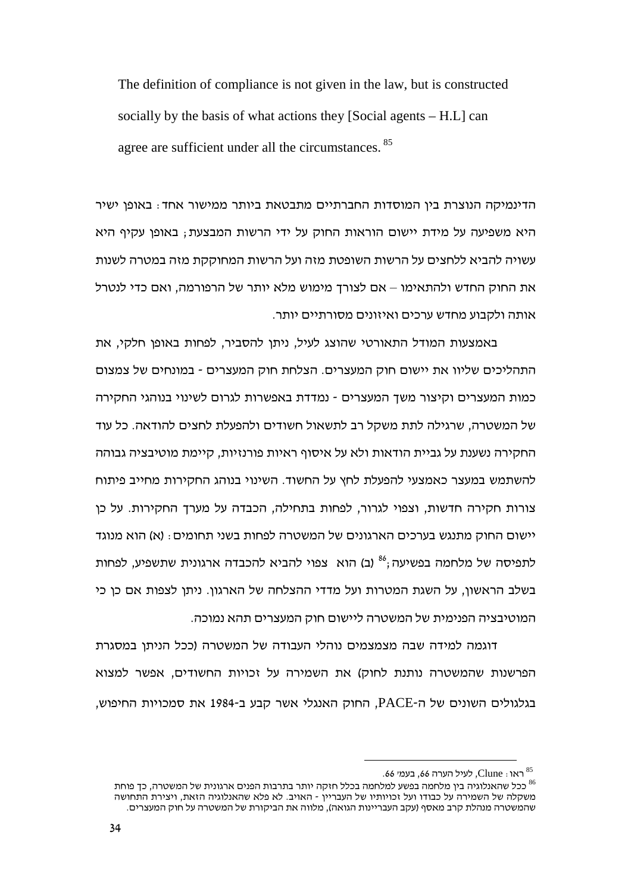The definition of compliance is not given in the law, but is constructed socially by the basis of what actions they [Social agents – H.L] can agree are sufficient under all the circumstances. <sup>85</sup>

הדינמיקה הנוצרת בין המוסדות החברתיים מתבטאת ביותר ממישור אחד: באופן ישיר היא משפיעה על מידת יישום הוראות החוק על ידי הרשות המבצעת ; באופן עקיף היא עשויה להביא ללחצים על הרשות השופטת מזה ועל הרשות המחוקקת מזה במטרה לשנות את החוק החדש ולהתאימו – אם לצורך מימוש מלא יותר של הרפורמה, ואם כדי לנטרל אותה ולקבוע מחדש ערכים ואיזונים מסורתיים יותר.

באמצעות המודל התאורטי שהוצג לעיל, ניתן להסביר, לפחות באופן חלקי, את התהליכים שליוו את יישום חוק המעצרים. הצלחת חוק המעצרים - במונחים של צמצום כמות המעצרים וקיצור משך המעצרים - נמדדת באפשרות לגרום לשינוי בנוהגי החקירה של המשטרה, שרגילה לתת משקל רב לתשאול חשודים ולהפעלת לחצים להודאה. כל עוד החקירה נשענת על גביית הודאות ולא על איסוף ראיות פורנזיות, קיימת מוטיבציה גבוהה להשתמש במעצר כאמצעי להפעלת לחץ על החשוד. השינוי בנוהג החקירות מחייב פיתוח צורות חקירה חדשות, וצפוי לגרור, לפחות בתחילה, הכבדה על מערך החקירות. על כן יישום החוק מתנגש בערכים הארגונים של המשטרה לפחות בשני תחומים $\,$  (א) הוא מנוגד לתפיסה של מלחמה בפשיעה $^{\rm 86}$  (ב) הוא צפוי להביא להכבדה ארגונית שתשפיע, לפחות בשלב הראשון, על השגת המטרות ועל מדדי ההצלחה של הארגון. ניתן לצפות אם כן כי המוטיבציה הפנימית של המשטרה ליישום חוק המעצרים תהא נמוכה.

דוגמה למידה שבה מצמצמים נוהלי העבודה של המשטרה (ככל הניתן במסגרת הפרשנות שהמשטרה נותנת לחוק) את השמירה על זכויות החשודים, אפשר למצוא בגלגולים השונים של ה-PACE, החוק האנגלי אשר קבע ב-1984 את סמכויות החיפוש,

<sup>.66</sup> ראו $\,$  Clune , לעיל הערה 66, בעמי $\,$   $^{85}$ 

<sup>&</sup>lt;sup>8s</sup> ראו : Clune, לעיל הערה 66, בעמי 66.<br><sup>86</sup> ככל שהאנלוגיה בין מלחמה בפשע למלחמה בכלל חזקה יותר בתרבות הפנים ארגונית של המשטרה, כך פוחת משקלה של השמירה על כבודו ועל זכויותיו של העבריין - האויב. לא פלא שהאנלוגיה הזאת, ויצירת התחושה שהמשטרה מנהלת קרב מאסף (עקב העבריינות הגואה), מלווה את הביקורת של המשטרה על חוק המעצרים.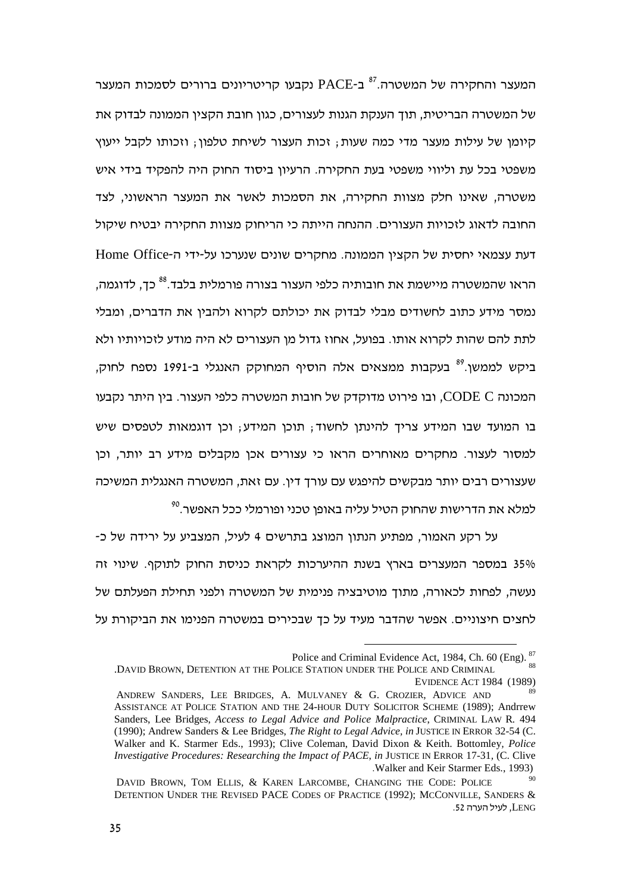המעצר והחקירה של המשטרה.<sup>87</sup> ב-PACE נקבעו קריטריונים ברורים לסמכות המעצר של המשטרה הבריטית, תוך הענקת הגנות לעצורים, כגון חובת הקצין הממונה לבדוק את קיומן של עילות מעצר מדי כמה שעות; זכות העצור לשיחת טלפון; וזכותו לקבל ייעוץ משפטי בכל עת וליווי משפטי בעת החקירה. הרעיון ביסוד החוק היה להפקיד בידי איש משטרה, שאינו חלק מצוות החקירה, את הסמכות לאשר את המעצר הראשוני, לצד החובה לדאוג לזכויות העצורים. ההנחה הייתה כי הריחוק מצוות החקירה יבטיח שיקול Home Office! !   .  ' הראו שהמשטרה מיישמת את חובותיה כלפי העצור בצורה פורמלית בלבד.<sup>88</sup> כך, לדוגמה, נמסר מידע כתוב לחשודים מבלי לבדוק את יכולתם לקרוא ולהבין את הדברים, ומבלי לתת להם שהות לקרוא אותו. בפועל, אחוז גדול מן העצורים לא היה מודע לזכויותיו ולא ביקש לממשן.<sup>89</sup> בעקבות ממצאים אלה הוסיף המחוקק האנגלי ב-1991 נספח לחוק, המכונה CODE C, ובו פירוט מדוקדק של חובות המשטרה כלפי העצור. בין היתר נקבעו בו המועד שבו המידע צריך להינתן לחשוד; תוכן המידע; וכן דוגמאות לטפסים שיש למסור לעצור. מחקרים מאוחרים הראו כי עצורים אכן מקבלים מידע רב יותר, וכן שעצורים רבים יותר מבקשים להיפגש עם עורך דין. עם זאת, המשטרה האנגלית המשיכה  $^{\rm 90}$ למלא את הדרישות שהחוק הטיל עליה באופן טכני ופורמלי ככל האפשר.

על רקע האמור, מפתיע הנתון המוצג בתרשים 4 לעיל, המצביע על ירידה של כ-35% במספר המעצרים בארץ בשנת ההיערכות לקראת כניסת החוק לתוקף. שינוי זה נעשה, לפחות לכאורה, מתוך מוטיבציה פנימית של המשטרה ולפני תחילת הפעלתם של לחצים חיצוניים. אפשר שהדבר מעיד על כך שבכירים במשטרה הפנימו את הביקורת על

Police and Criminal Evidence Act, 1984, Ch. 60 (Eng). <sup>87</sup>

<sup>.</sup>DAVID BROWN, DETENTION AT THE POLICE STATION UNDER THE POLICE AND CRIMINAL EVIDENCE ACT 1984 (1989)

ANDREW SANDERS, LEE BRIDGES, A. MULVANEY & G. CROZIER, ADVICE AND ASSISTANCE AT POLICE STATION AND THE 24-HOUR DUTY SOLICITOR SCHEME (1989); Andrrew Sanders, Lee Bridges, *Access to Legal Advice and Police Malpractice*, CRIMINAL LAW R*.* 494 (1990); Andrew Sanders & Lee Bridges, *The Right to Legal Advice, in* JUSTICE IN ERROR 32-54 (C. Walker and K. Starmer Eds., 1993); Clive Coleman, David Dixon & Keith. Bottomley*, Police Investigative Procedures: Researching the Impact of PACE*, *in* JUSTICE IN ERROR 17-31*,* (C. Clive .Walker and Keir Starmer Eds., 1993)

DAVID BROWN, TOM ELLIS, & KAREN LARCOMBE, CHANGING THE CODE: POLICE DETENTION UNDER THE REVISED PACE CODES OF PRACTICE (1992); MCCONVILLE, SANDERS & LENG, לעיל הערה 52.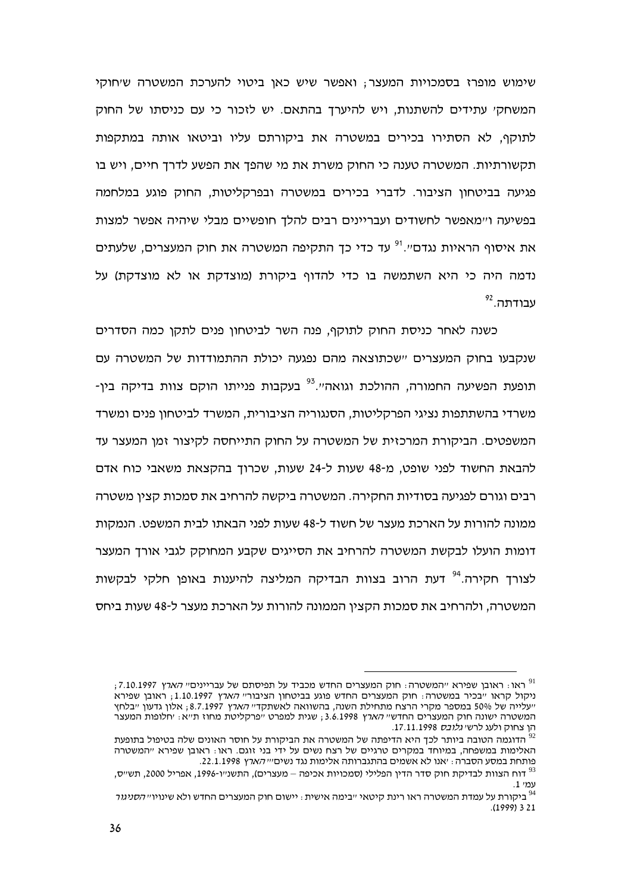שימוש מופרז בסמכויות המעצר, ואפשר שיש כאן ביטוי להערכת המשטרה שיחוקי המשחקי עתידים להשתנות, ויש להיערך בהתאם. יש לזכור כי עם כניסתו של החוק לתוקף, לא הסתירו בכירים במשטרה את ביקורתם עליו וביטאו אותה במתקפות תקשורתיות. המשטרה טענה כי החוק משרת את מי שהפך את הפשע לדרך חיים, ויש בו פגיעה בביטחוו הציבור. לדברי בכירים במשטרה ובפרקליטות. החוק פוגע במלחמה בפשיעה ו״מאפשר לחשודים ועבריינים רבים להלד חופשיים מבלי שיהיה אפשר למצות את איסוף הראיות נגדם״.<sup>וּפ</sup> עד כדי כד התקיפה המשטרה את חוק המעצרים. שלעתים נדמה היה כי היא השתמשה בו כדי להדוף ביקורת (מוצדקת או לא מוצדקת) על  $^{92}$ . עבודתה

כשנה לאחר כניסת החוק לתוקף. פנה השר לביטחוו פנים לתקו כמה הסדרים שנקבעו בחוק המעצרים יישכתוצאה מהם נפגעה יכולת ההתמודדות של המשטרה עם תופעת הפשיעה החמורה, ההולכת וגואה״.<sup>93</sup> בעקבות פנייתו הוקם צוות בדיקה בין-משרדי בהשתתפות נציגי הפרקליטות, הסנגוריה הציבורית, המשרד לביטחון פנים ומשרד המשפטים. הביקורת המרכזית של המשטרה על החוק התייחסה לקיצור זמן המעצר עד להבאת החשוד לפני שופט, מ-48 שעות ל-24 שעות, שכרוך בהקצאת משאבי כוח אדם רבים וגורם לפגיעה בסודיות החקירה. המשטרה ביקשה להרחיב את סמכות קציו משטרה ממונה להורות על הארכת מעצר של חשוד ל-48 שעות לפני הבאתו לבית המשפט. הנמקות דומות הועלו לבקשת המשטרה להרחיב את הסייגים שקבע המחוקק לגבי אורד המעצר לצורד חקירה.<sup>94</sup> דעת הרוב בצוות הבדיקה המליצה להיענות באופו חלקי לבקשות המשטרה, ולהרחיב את סמכות הקצין הממונה להורות על הארכת מעצר ל-48 שעות ביחס

<sup>,7.10.1997 -</sup> ראו: ראובן שפירא "המשטרה: חוק המעצרים החדש מכביד על תפיסתם של עבריינים" *הארץ* ניקול קראו "בכיר במשטרה: חוק המעצרים החדש פוגע בביטחון הציבור" *הארץ* 1.10.1997; ראובן שפירא ייעלייה של 50% במספר מקרי הרצח מתחילת השנה, בהשוואה לאשתקדי*י הארץ* 8.7.1997, אלון גדעון ייבלחץ המשטרה ישונה חוק המעצרים החדשי*י הארץ* 3.6.1998 , שגית למפרט ייפרקליטת מחוז תייא: יחלופות המעצר הו צחוק ולעג לרשי *גלובס* 17.11.1998.

הדוגמה הטובה ביותר לכך היא הדיפתה של המשטרה את הביקורת על חוסר האונים שלה בטיפול בתופעת  $^{92}$ האלימות במשפחה, במיוחד במקרים טרגיים של רצח נשים על ידי בני זוגם. ראו⊹ ראובו שפירא ״המשטרה פותחת במסע הסברה : יאנו לא אשמים בהתגברותה אלימות נגד נשים*יייהארץ* 22.1.1998

<sup>,&</sup>lt;br>דוח הצוות לבדיקת חוק סדר הדין הפלילי (סמכויות אכיפה – מעצרים), התשנ״ו-1996, אפריל 2000, תש״ס  $.1$   $m$ 

ביקורת על עמדת המשטרה ראו רינת קיטאי ״בימה אישית : יישום חוק המעצרים החדש ולא שינויו״ *הסניגור*  $^{94}$  $(1999)$  3 21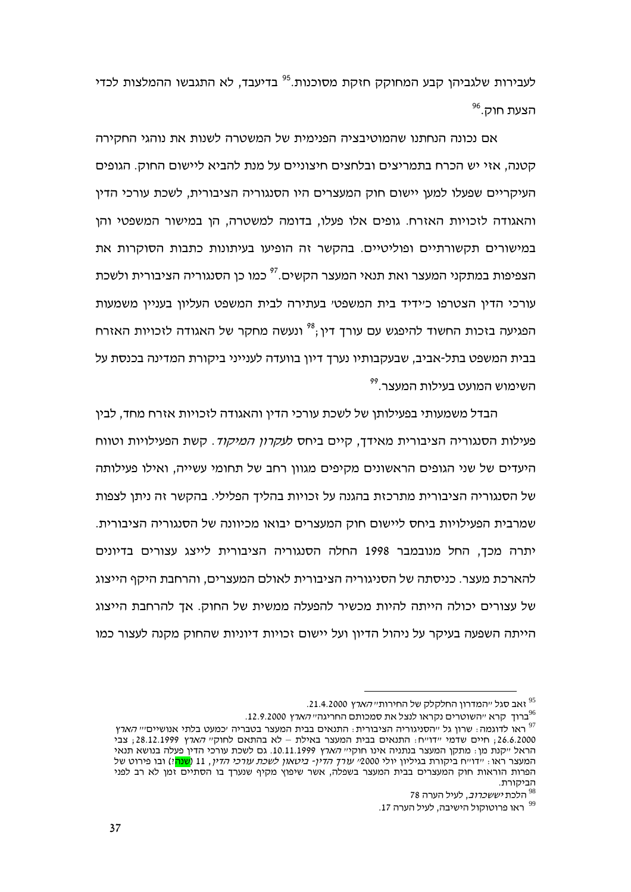לעבירות שלגביהו קבע המחוקק חזקת מסוכנות.<sup>95</sup> בדיעבד, לא התגבשו ההמלצות לכדי הצעת חוק.<sup>96</sup>

אם נכונה הנחתנו שהמוטיבציה הפנימית של המשטרה לשנות את נוהגי החקירה קטנה, אזי יש הכרח בתמריצים ובלחצים חיצוניים על מנת להביא ליישום החוק. הגופים העיקריים שפעלו למעו יישום חוק המעצרים היו הסנגוריה הציבורית. לשכת עורכי הדיו והאגודה לזכויות האזרח. גופים אלו פעלו, בדומה למשטרה, הן במישור המשפטי והן במישורים תקשורתיים ופוליטיים. בהקשר זה הופיעו בעיתונות כתבות הסוקרות את הצפיפות במתקני המעצר ואת תנאי המעצר הקשים.<sup>??</sup> כמו כו הסנגוריה הציבורית ולשכת עורכי הדין הצטרפו כיידיד בית המשפטי בעתירה לבית המשפט העליון בעניין משמעות הפגיעה בזכות החשוד להיפגש עם עורך דין;<sup>38</sup> ונעשה מחקר של האגודה לזכויות האזרח בבית המשפט בתל-אביב. שבעקבותיו נערד דיוו בוועדה לענייני ביקורת המדינה בכנסת על השימוש המועט בעילות המעצר.<sup>99</sup>

הבדל משמעותי בפעילותו של לשכת עורכי הדין והאגודה לזכויות אזרח מחד, לבין פעילות הסנגוריה הציבורית מאידך, קיים ביחס ל*עקרון המיקוד*. קשת הפעילויות וטווח היעדים של שני הגופים הראשונים מקיפים מגוון רחב של תחומי עשייה, ואילו פעילותה של הסנגוריה הציבורית מתרכזת בהגנה על זכויות בהליך הפלילי. בהקשר זה ניתן לצפות שמרבית הפעילויות ביחס ליישום חוק המעצרים יבואו מכיוונה של הסנגוריה הציבורית. יתרה מכך, החל מנובמבר 1998 החלה הסנגוריה הציבורית לייצג עצורים בדיונים להארכת מעצר. כניסתה של הסניגוריה הציבורית לאולם המעצרים, והרחבת היקף הייצוג של עצורים יכולה הייתה להיות מכשיר להפעלה ממשית של החוק. אך להרחבת הייצוג הייתה השפעה בעיקר על ניהול הדיון ועל יישום זכויות דיוניות שהחוק מקנה לעצור כמו

יאב סגל ״המדרון החלקלק של החירות״ *הארץ* 21.4.2000.

<sup>.12.9.2000</sup> ברוד הרא ייהשוטרים נקראו לנצל את סמכותם החריגהי*י הארץ* 12.9.2000

<sup>.&</sup>lt;br>ראו לדוגמה: שרוו גל ״הסניגוריה הציבורית: התנאים בבית המעצר בטבריה ׳כמעט בלתי אנושיים״ *הארץ* 26.6.2000; חיים שדמי "דו"ח: התנאים בבית המעצר באילת - לא בהתאם לחוק" *הארץ* 28.12.1999; צבי הראל ״קנת מן : מתקן המעצר בנתניה אינו חוקי״ *הארץ* 10.11.1999. גם לשכת עורכי הדין פעלה בנושא תנאי המעצר ראו. ״דו״ח ביקורת בגיליוו יולי 2000*״ עורד הדיו- ביטאוו לשכת עורכי הדיו*. 11 (<mark>שנה</mark>?) ובו פירוט של הפרות הוראות חוק המעצרים בבית המעצר בשפלה, אשר שיפוץ מקיף שנערד בו הסתיים זמן לא רב לפני הביקורת.

<sup>78</sup> הלכת *יששכרוב*, לעיל הערה 78

ראו פרוטוקול הישיבה, לעיל הערה 17.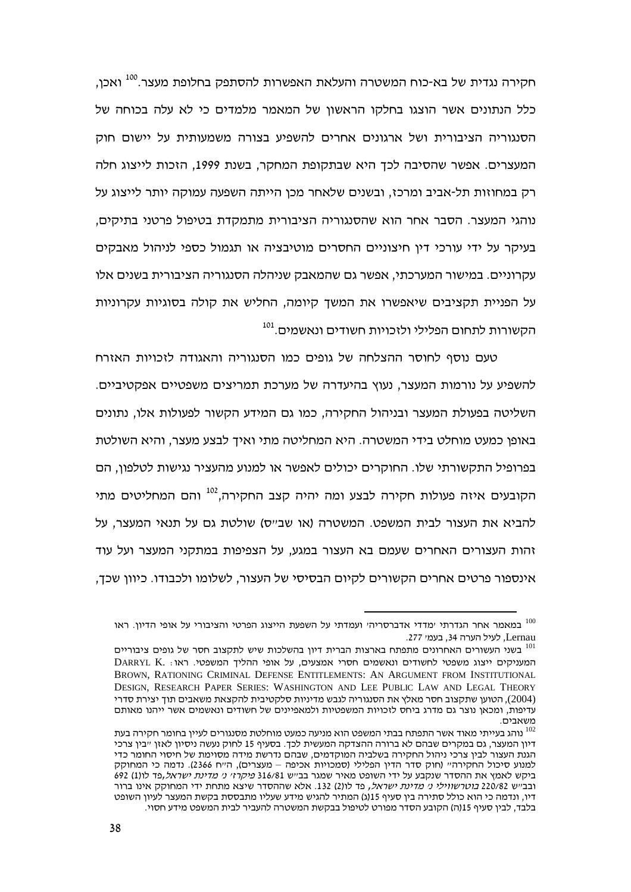חקירה נגדית של בא-כוח המשטרה והעלאת האפשרות להסתפק בחלופת מעצר.<sup>100</sup> ואכן, כלל הנתונים אשר הוצגו בחלקו הראשון של המאמר מלמדים כי לא עלה בכוחה של הסנגוריה הציבורית ושל ארגונים אחרים להשפיע בצורה משמעותית על יישום חוק המעצרים. אפשר שהסיבה לכך היא שבתקופת המחקר, בשנת 1999, הזכות לייצוג חלה רק במחוזות תל-אביב ומרכז, ובשנים שלאחר מכן הייתה השפעה עמוקה יותר לייצוג על נוהגי המעצר. הסבר אחר הוא שהסנגוריה הציבורית מתמקדת בטיפול פרטני בתיקים, בעיקר על ידי עורכי דין חיצוניים החסרים מוטיבציה או תגמול כספי לניהול מאבקים עקרוניים. במישור המערכתי, אפשר גם שהמאבק שניהלה הסנגוריה הציבורית בשנים אלו על הפניית תקציבים שיאפשרו את המשך קיומה, החליש את קולה בסוגיות עקרוניות הקשורות לתחום הפלילי ולזכויות חשודים ונאשמים.<sup>101</sup>

טעם נוסף לחוסר ההצלחה של גופים כמו הסנגוריה והאגודה לזכויות האזרח להשפיע על נורמות המעצר, נעוץ בהיעדרה של מערכת תמריצים משפטיים אפקטיביים. השליטה בפעולת המעצר ובניהול החקירה, כמו גם המידע הקשור לפעולות אלו, נתונים באופן כמעט מוחלט בידי המשטרה. היא המחליטה מתי ואיך לבצע מעצר, והיא השולטת בפרופיל התקשורתי שלו. החוקרים יכולים לאפשר או למנוע מהעציר נגישות לטלפון, הם הקובעים איזה פעולות חקירה לבצע ומה יהיה קצב החקירה,<sup>102</sup> והם המחליטים מתי להביא את העצור לבית המשפט. המשטרה (או שב״ס) שולטת גם על תנאי המעצר, על זהות העצורים האחרים שעמם בא העצור במגע, על הצפיפות במתקני המעצר ועל עוד אינספור פרטים אחרים הקשורים לקיום הבסיסי של העצור, לשלומו ולכבודו. כיוון שכך,

במאמר אחר הגדרתי ׳מדדי אדברסריה׳ ועמדתי על השפעת הייצוג הפרטי והציבורי על אופי הדיון. ראו  $^{\rm 100}$ Lernau, לעיל הערה 34, בעמי 277.

בשני העשורים האחרונים מתפתח בארצות הברית דיון בהשלכות שיש לתקצוב חסר של גופים ציבוריים  $^{\rm 101}$ DARRYL K. המעניקים ייצוג משפטי לחשודים ונאשמים חסרי אמצעים, על אופי ההליך המשפטי. ראו BROWN, RATIONING CRIMINAL DEFENSE ENTITLEMENTS: AN ARGUMENT FROM INSTITUTIONAL DESIGN, RESEARCH PAPER SERIES: WASHINGTON AND LEE PUBLIC LAW AND LEGAL THEORY , הטוען שתקצוב חסר מאלץ את הסנגוריה לגבש מדיניות סלקטיבית להקצאת משאבים תוך יצירת סדרי עדיפות, ומכאן נוצר גם מדרג ביחס לזכויות המשפטיות ולמאפיינים של חשודים ונאשמים אשר ייהנו מאותם

משאבים.<br><sup>102</sup> נוהג בעייתי מאוד אשר התפתח בבתי המשפט הוא מניעה כמעט מוחלטת מסנגורים לעיין בחומר חקירה בעת דיון המעצר, גם במקרים שבהם לא ברורה ההצדקה המעשית לכך. בסעיף 15 לחוק נעשה ניסיון לאזן ״בין צרכי הגנת העצור לבין צרכי ניהול החקירה בשלביה המוקדמים, שבהם נדרשת מידה מסוימת של חיסוי החומר כדי למנוע סיכול החקירה״ (חוק סדר הדין הפלילי (סמכויות אכיפה – מעצרים), ה״ח 2366). נדמה כי המחוקק ביקש לאמץ את ההסדר שנקבע על ידי השופט מאיר שמגר בבייש 316/81 *פיקרזי ני מדינת ישראל,*פד לו(1) 692 ובבייש 220/82 *בוטרשווילי ני מדינת ישראל,* פד לו(2) 132. אלא שההסדר שיצא מתחת ידי המחוקק אינו ברור דיו, ונדמה כי הוא כולל סתירה בין סעיף 15(ג) המתיר להגיש מידע שעליו מתבססת בקשת המעצר לעיון השופט בלבד, לבין סעיף 15(ה) הקובע הסדר מפורט לטיפול בבקשת המשטרה להעביר לבית המשפט מידע חסוי.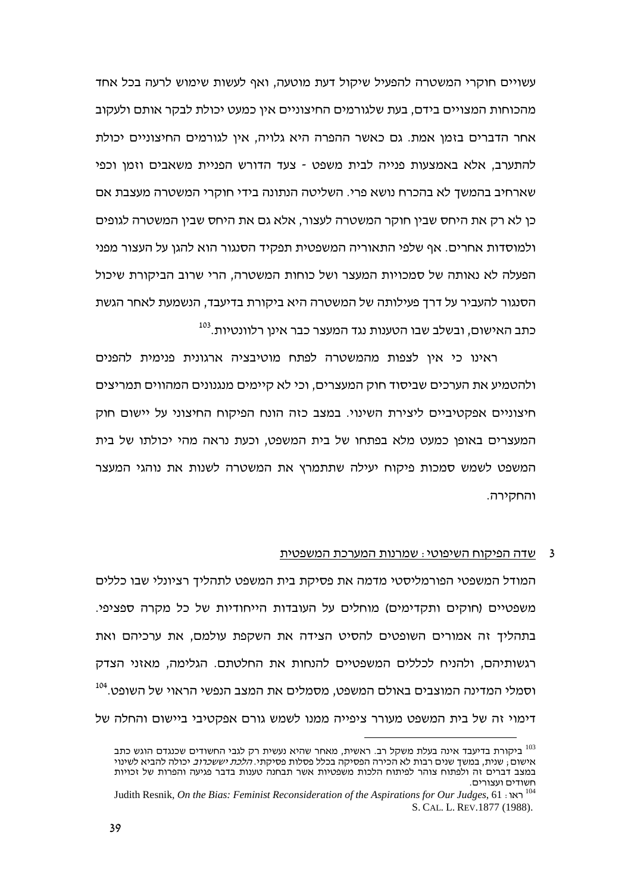עשויים חוקרי המשטרה להפעיל שיקול דעת מוטעה, ואף לעשות שימוש לרעה בכל אחד מהכוחות המצויים בידם, בעת שלגורמים החיצוניים אין כמעט יכולת לבקר אותם ולעקוב אחר הדברים בזמן אמת. גם כאשר ההפרה היא גלויה, אין לגורמים החיצוניים יכולת להתערב, אלא באמצעות פנייה לבית משפט - צעד הדורש הפניית משאבים וזמן וכפי שארחיב בהמשד לא בהכרח נושא פרי. השליטה הנתונה בידי חוקרי המשטרה מעצבת אם כו לא רק את היחס שביו חוקר המשטרה לעצור. אלא גם את היחס שביו המשטרה לגופים ולמוסדות אחרים. אף שלפי התאוריה המשפטית תפקיד הסנגור הוא להגן על העצור מפני הפעלה לא נאותה של סמכויות המעצר ושל כוחות המשטרה, הרי שרוב הביקורת שיכול הסנגור להעביר על דרך פעילותה של המשטרה היא ביקורת בדיעבד, הנשמעת לאחר הגשת כתב האישום, ובשלב שבו הטענות נגד המעצר כבר אינו רלוונטיות.<sup>103</sup>

ראינו כי אין לצפות מהמשטרה לפתח מוטיבציה ארגונית פנימית להפנים ולהטמיע את הערכים שביסוד חוק המעצרים, וכי לא קיימים מנגנונים המהווים תמריצים חיצוניים אפקטיביים ליצירת השינוי. במצב כזה הונח הפיקוח החיצוני על יישום חוק המעצרים באופו כמעט מלא בפתחו של בית המשפט, וכעת נראה מהי יכולתו של בית המשפט לשמש סמכות פיקוח יעילה שתתמרץ את המשטרה לשנות את נוהגי המעצר והחקירה.

#### שדה הפיקוח השיפוטי : שמרנות המערכת המשפטית  $\overline{\mathbf{3}}$

המודל המשפטי הפורמליסטי מדמה את פסיקת בית המשפט לתהליך רציונלי שבו כללים משפטיים (חוקים ותקדימים) מוחלים על העובדות הייחודיות של כל מקרה ספציפי. בתהליך זה אמורים השופטים להסיט הצידה את השקפת עולמם, את ערכיהם ואת רגשותיהם, ולהניח לכללים המשפטיים להנחות את החלטתם. הגלימה, מאזני הצדק וסמלי המדינה המוצבים באולם המשפט, מסמלים את המצב הנפשי הראוי של השופט.<sup>104</sup> דימוי זה של בית המשפט מעורר ציפייה ממנו לשמש גורם אפקטיבי ביישום והחלה של

י ביקורת בדיעבד אינה בעלת משקל רב. ראשית, מאחר שהיא נעשית רק לגבי החשודים שכנגדם הוגש כתב אישום : שנית. במשד שנים רבות לא הכירה הפסיקה בכלל פסלות פסיקתי. *הלכת יששכרוב* יכולה להביא לשינוי במצב דברים זה ולפתוח צוהר לפיתוח הלכות משפטיות אשר תבחנה טענות בדבר פגיעה והפרות של זכויות חשודים ועצורים.

Judith Resnik, On the Bias: Feminist Reconsideration of the Aspirations for Our Judges, 61  $\cdot$ ראו S. CAL. L. REV.1877 (1988).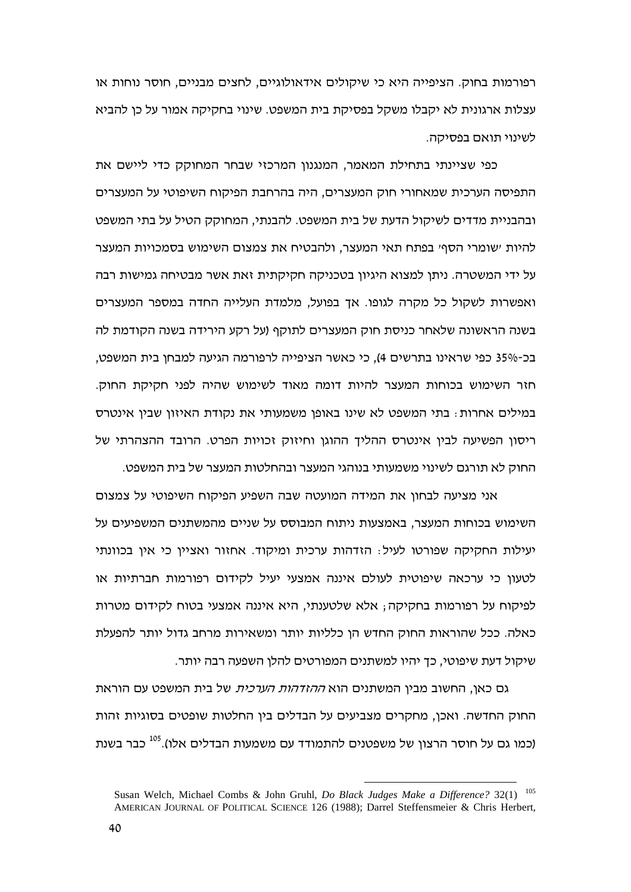רפורמות בחוק. הציפייה היא כי שיקולים אידאולוגיים, לחצים מבניים, חוסר נוחות או עצלות ארגונית לא יקבלו משקל בפסיקת בית המשפט. שינוי בחקיקה אמור על כן להביא לשינוי תואם בפסיקה.

כפי שציינתי בתחילת המאמר, המנגנון המרכזי שבחר המחוקק כדי ליישם את התפיסה הערכית שמאחורי חוק המעצרים, היה בהרחבת הפיקוח השיפוטי על המעצרים ובהבניית מדדים לשיקול הדעת של בית המשפט. להבנתי, המחוקק הטיל על בתי המשפט להיות ׳שומרי הסף׳ בפתח תאי המעצר, ולהבטיח את צמצום השימוש בסמכויות המעצר על ידי המשטרה. ניתן למצוא היגיון בטכניקה חקיקתית זאת אשר מבטיחה גמישות רבה ואפשרות לשקול כל מקרה לגופו. אך בפועל, מלמדת העלייה החדה במספר המעצרים בשנה הראשונה שלאחר כניסת חוק המעצרים לתוקף (על רקע הירידה בשנה הקודמת לה בכ-35% כפי שראינו בתרשים 4), כי כאשר הציפייה לרפורמה הגיעה למבחן בית המשפט, חזר השימוש בכוחות המעצר להיות דומה מאוד לשימוש שהיה לפני חקיקת החוק. במילים אחרות $\,$  בתי המשפט לא שינו באופן משמעותי את נקודת האיזון שבין אינטרס ריסון הפשיעה לבין אינטרס ההליך ההוגן וחיזוק זכויות הפרט. הרובד ההצהרתי של החוק לא תורגם לשינוי משמעותי בנוהגי המעצר ובהחלטות המעצר של בית המשפט.

אני מציעה לבחון את המידה המועטה שבה השפיע הפיקוח השיפוטי על צמצום השימוש בכוחות המעצר, באמצעות ניתוח המבוסס על שניים מהמשתנים המשפיעים על יעילות החקיקה שפורטו לעיל: הזדהות ערכית ומיקוד. אחזור ואציין כי אין בכוונתי לטעון כי ערכאה שיפוטית לעולם איננה אמצעי יעיל לקידום רפורמות חברתיות או לפיקוח על רפורמות בחקיקה; אלא שלטענתי, היא איננה אמצעי בטוח לקידום מטרות כאלה. ככל שהוראות החוק החדש הן כלליות יותר ומשאירות מרחב גדול יותר להפעלת שיקול דעת שיפוטי, כך יהיו למשתנים המפורטים להלן השפעה רבה יותר.

גם כאן, החשוב מבין המשתנים הוא *ההזדהות הערכית* של בית המשפט עם הוראת החוק החדשה. ואכן, מחקרים מצביעים על הבדלים בין החלטות שופטים בסוגיות זהות (כמו גם על חוסר הרצון של משפטנים להתמודד עם משמעות הבדלים אלו).<sup>105</sup> כבר בשנת

<sup>105</sup> Susan Welch, Michael Combs & John Gruhl, *Do Black Judges Make a Difference?* 32(1) AMERICAN JOURNAL OF POLITICAL SCIENCE 126 (1988); Darrel Steffensmeier & Chris Herbert,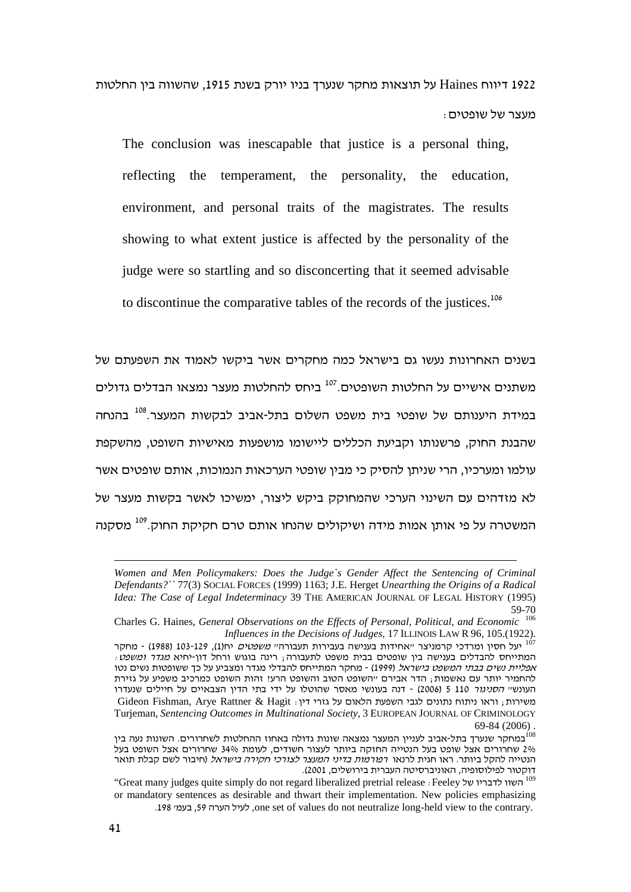על תוצאות מחקר שנערך בניו יורק בשנת 1915, שהשווה בין החלטות Daines בין החלטות  $\pm$ 1922 : מעצר של שופטים

The conclusion was inescapable that justice is a personal thing, reflecting the temperament, the personality, the education, environment, and personal traits of the magistrates. The results showing to what extent justice is affected by the personality of the judge were so startling and so disconcerting that it seemed advisable to discontinue the comparative tables of the records of the justices.<sup>106</sup>

בשנים האחרונות נעשו גם בישראל כמה מחקרים אשר ביקשו לאמוד את השפעתם של משתנים אישיים על החלטות השופטים.<sup>107</sup> ביחס להחלטות מעצר נמצאו הבדלים גדולים במידת היענותם של שופטי בית משפט השלום בתל-אביב לבקשות המעצר.<sup>108</sup> בהנחה שהבנת החוק, פרשנותו וקביעת הכללים ליישומו מושפעות מאישיות השופט, מהשקפת עולמו ומערכיו, הרי שניתן להסיק כי מבין שופטי הערכאות הנמוכות, אותם שופטים אשר לא מזדהים עם השינוי הערכי שהמחוקק ביקש ליצור, ימשיכו לאשר בקשות מעצר של המשטרה על פי אותן אמות מידה ושיקולים שהנחו אותם טרם חקיקת החוק.<sup>109</sup> מסקנה

*Women and Men Policymakers: Does the Judge`s Gender Affect the Sentencing of Criminal Defendants?``* 77(3) SOCIAL FORCES (1999) 1163; J.E. Herget *Unearthing the Origins of a Radical Idea: The Case of Legal Indeterminacy* 39 THE AMERICAN JOURNAL OF LEGAL HISTORY (1995) 59-70

<sup>106</sup> Charles G. Haines*, General Observations on the Effects of Personal, Political, and Economic* .*Influences in the Decisions of Judges*, 17 ILLINOIS LAW R 96, 105.(1922)<br><sup>107</sup> יעל חסין ומרדכי קרמניצר ״אחידות בענישה בעבירות תעבורה״ *משפטים* יח(1), 103-129 (1988) - מחקר

המתייחס להבדלים בענישה בין שופטים בבית משפט לתעבורה; רינה בוגוש ורחל דון-יחיא *מגדר ומשפט*: *אפליית נשים בבתי המשפט בישראל (*1999) - מחקר המתייחס להבדלי מגדר ומצביע על כך ששופטות נשים נטו להחמיר יותר עם נאשמות; הדר אבירם ״השופט הטוב והשופט הרעיִ זהות השופט כמרכיב משפיע על גזירת העונשי*י הסניגור* 110 5 (2006) - דנה בעונשי מאסר שהוטלו על ידי בתי הדין הצבאיים על חיילים שנעדרו משירות; וראו ניתוח נתונים לגבי השפעת הלאום על גזרי דין: Gideon Fishman, Arye Rattner & Hagit Turjeman, *Sentencing Outcomes in Multinational Society*, 3 EUROPEAN JOURNAL OF CRIMINOLOGY

<sup>. (2006) 84-69&</sup>lt;br><sup>108</sup>במחקר שנערך בתל-אביב לעניין המעצר נמצאה שונות גדולה באחוז ההחלטות לשחרורים. השונות נעה בין 2% שחרורים אצל שופט בעל הנטייה החזקה ביותר לעצור חשודים, לעומת 34% שחרורים אצל השופט בעל הנטייה להקל ביותר. ראו חגית לרנאו *רפורמות בדיני המעצר לצורכי חקירה בישראל* (חיבור לשם קבלת תואר ה, האוניברסיטה העברית בירושלים, 2001). דוקטור לפילוסופיה, האוניברסיטה העברית בירושלים, 2001).<br><sup>109</sup> השוו לדבריו של Feeley : Great many judges quite simply do not regard liberalized pretrial release : Feeley

or mandatory sentences as desirable and thwart their implementation. New policies emphasizing .198 יעיל הערה 59, בעמי, one set of values do not neutralize long-held view to the contrary.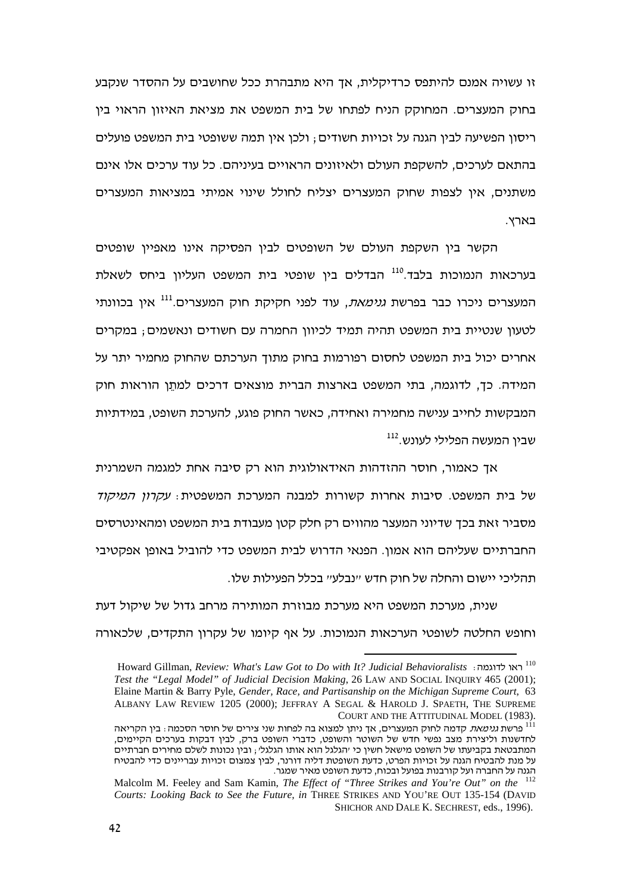זו עשויה אמנם להיתפס כרדיקלית, אך היא מתבהרת ככל שחושבים על ההסדר שנקבע בחוק המעצרים. המחוקק הניח לפתחו של בית המשפט את מציאת האיזון הראוי בין ריסון הפשיעה לבין הגנה על זכויות חשודים ; ולכן אין תמה ששופטי בית המשפט פועלים בהתאם לערכים, להשקפת העולם ולאיזונים הראויים בעיניהם. כל עוד ערכים אלו אינם משתנים, אין לצפות שחוק המעצרים יצליח לחולל שינוי אמיתי במציאות המעצרים בארץ.

הקשר בין השקפת העולם של השופטים לבין הפסיקה אינו מאפיין שופטים בערכאות הנמוכות בלבד.<sup>110</sup> הבדלים בין שופטי בית המשפט העליון ביחס לשאלת המעצרים ניכרו כבר בפרשת *גנימאת*, עוד לפני חקיקת חוק המעצרים.<sup>111</sup> אין בכוונתי לטעון שנטיית בית המשפט תהיה תמיד לכיוון החמרה עם חשודים ונאשמים; במקרים אחרים יכול בית המשפט לחסום רפורמות בחוק מתוך הערכתם שהחוק מחמיר יתר על המידה. כך, לדוגמה, בתי המשפט בארצות הברית מוצאים דרכים למתֵן הוראות חוק המבקשות לחייב ענישה מחמירה ואחידה, כאשר החוק פוגע, להערכת השופט, במידתיות שבין המעשה הפלילי לעונש.<sup>112</sup>

אך כאמור, חוסר ההזדהות האידאולוגית הוא רק סיבה אחת למגמה השמרנית של בית המשפט. סיבות אחרות קשורות למבנה המערכת המשפטית: *עקרון המיקוד* מסביר זאת בכך שדיוני המעצר מהווים רק חלק קטן מעבודת בית המשפט ומהאינטרסים החברתיים שעליהם הוא אמון. הפנאי הדרוש לבית המשפט כדי להוביל באופן אפקטיבי תהליכי יישום והחלה של חוק חדש ״נבלע״ בכלל הפעילות שלו.

שנית, מערכת המשפט היא מערכת מבוזרת המותירה מרחב גדול של שיקול דעת וחופש החלטה לשופטי הערכאות הנמוכות. על אף קיומו של עקרון התקדים, שלכאורה

<sup>110</sup> Howard Gillman, *Review: What's Law Got to Do with It? Judicial Behavioralists* :   *Test the "Legal Model" of Judicial Decision Making*, 26 LAW AND SOCIAL INQUIRY 465 (2001); Elaine Martin & Barry Pyle*, Gender, Race, and Partisanship on the Michigan Supreme Court*, 63 ALBANY LAW REVIEW 1205 (2000); JEFFRAY A SEGAL & HAROLD J. SPAETH, THE SUPREME

<sup>.</sup>COURT AND THE ATTITUDINAL MODEL (1983)<br><sup>111</sup> פרשת *גנימאת* קדמה לחוק המעצרים, אך ניתן למצוא בה לפחות שני צירים של חוסר הסכמה : בין הקריאה לחדשנות וליצירת מצב נפשי חדש של השוטר והשופט, כדברי השופט ברק, לבין דבקות בערכים הקיימים, המתבטאת בקביעתו של השופט מישאל חשין כי ׳הגלגל הוא אותו הגלגל׳ , ובין נכונות לשלם מחירים חברתיים על מנת להבטיח הגנה על זכויות הפרט, כדעת השופטת דליה דורנר, לבין צמצום זכויות עבריינים כדי להבטיח הגנה על החברה ועל קורבנות בפועל ובכוח, כדעת השופט מאיר שמגר.

<sup>112</sup> Malcolm M. Feeley and Sam Kamin, *The Effect of "Three Strikes and You're Out" on the Courts: Looking Back to See the Future, in* THREE STRIKES AND YOU'RE OUT 135-154 (DAVID SHICHOR AND DALE K. SECHREST, eds., 1996).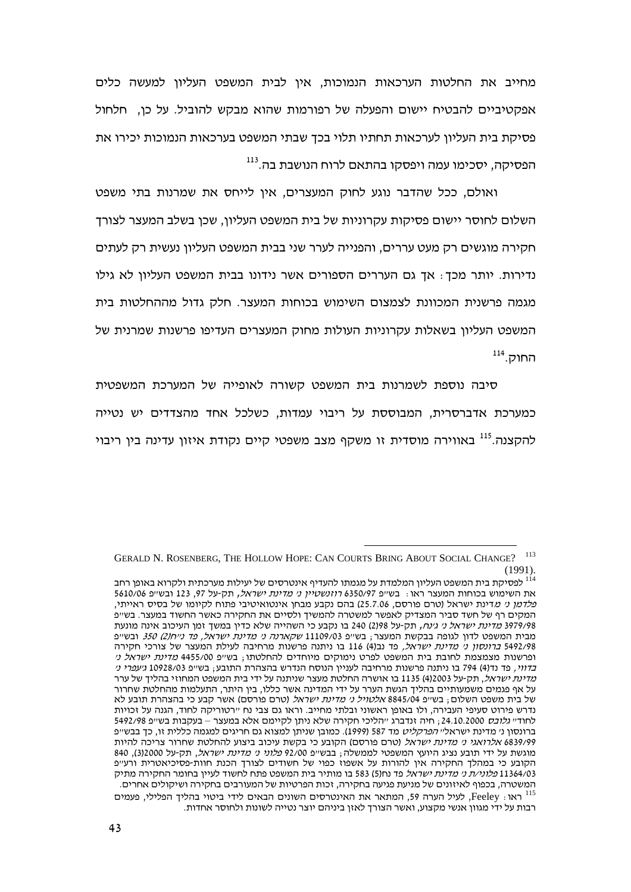מחייב את החלטות הערכאות הנמוכות, אין לבית המשפט העליון למעשה כלים אפקטיביים להבטיח יישום והפעלה של רפורמות שהוא מבקש להוביל. על כן, חלחול פסיקת בית העליון לערכאות תחתיו תלוי בכך שבתי המשפט בערכאות הנמוכות יכירו את הפסיקה, יסכימו עמה ויפסקו בהתאם לרוח הנושבת בה.<sup>113</sup>

ואולם, ככל שהדבר נוגע לחוק המעצרים, אין לייחס את שמרנות בתי משפט השלום לחוסר יישום פסיקות עקרוניות של בית המשפט העליון, שכן בשלב המעצר לצורך חקירה מוגשים רק מעט עררים, והפנייה לערר שני בבית המשפט העליון נעשית רק לעתים נדירות. יותר מכך؛ אך גם העררים הספורים אשר נידונו בבית המשפט העליון לא גילו מגמה פרשנית המכוונת לצמצום השימוש בכוחות המעצר. חלק גדול מההחלטות בית המשפט העליון בשאלות עקרוניות העולות מחוק המעצרים העדיפו פרשנות שמרנית של <sup>114</sup>. החוק

סיבה נוספת לשמרנות בית המשפט קשורה לאופייה של המערכת המשפטית כמערכת אדברסרית, המבוססת על ריבוי עמדות, כשלכל אחד מהצדדים יש נטייה להקצנה.<sup>115</sup> באווירה מוסדית זו משקף מצב משפטי קיים נקודת איזון עדינה בין ריבוי

GERALD N. ROSENBERG, THE HOLLOW HOPE: CAN COURTS BRING ABOUT SOCIAL CHANGE? <sup>113</sup> (1991).

לפסיקת בית המשפט העליון המלמדת על מגמתו להעדיף אינטרסים של יעילות מערכתית ולקרוא באופן רחב  $^{\rm 114}$ השימוש בכוחות המעצר ראו<sub>: </sub> בש״פ 6350/97 *רוזנשטיין ני מדינת ישראל,* תק-על 97, 123 ובש״פ 5610/06 את השימוש בכוחות המעצר ראו . בשי*יפ 3*350/97 *רוזנשטיין ני מדינת ישראל,* תק-על 97, 123 ובשייפ 5610/06<br>*פלדמן ני מ*דינת ישראל (טרם פורסם, 25.7.06) בהם נקבע מבחן אינטואיטיבי פתוח לקיומו של בסיס ראייתי, המקים רף של חשד סביר המצדיק לאפשר למשטרה להמשיך ולסיים את החקירה כאשר החשוד במעצר. בש׳יפ 3979/98 *מדינת ישראל ני גינח,* תק-על 298(2) 240 בו נקבע כי השהייה שלא כדין במשך זמן העיכוב אינה מונעת מבית המשפט לדון לגופה בבקשת המעצר; בש״פ 11109/03 *שקארנה ני מדינת ישראל, פד נייח(2) 350* ובש״פ 5492/98 *ברונסון ני מדינת ישראל,* פד נב(4) 116 בו ניתנה פרשנות מרחיבה לעילת המעצר של צורכי חקירה ופרשנות מצמצמת לחובת בית המשפט לפרט נימוקים מיוחדים להחלטתו<sub>≀</sub> בש״פ 4455/00 *מדינת ישראל ני בדווי,* פד נד(4) 794 בו ניתנה פרשנות מרחיבה לעניין הנוסח הנדרש בהצהרת התובע; בשייפ 10928/03 *גיעפרי ני מדינת ישראל,* תק-על 412003) 1135 בו אושרה החלטת מעצר שניתנה על ידי בית המשפט המחוזי בהליך של ערר על אף פגמים משמעותיים בהליך הגשת הערר על ידי המדינה אשר כללו, בין היתר, התעלמות מהחלטת שחרור של בית משפט השלום <sub>;</sub> בש״פ 8845/04 *אלטויל ני מדינת ישראל* (טרם פורסם) אשר קבע כי בהצהרת תובע לא נדרש פירוט סעיפי העבירה, ולו באופן ראשוני ובלתי מחייב. וראו גם צבי נח ״רטוריקה לחוד, הגנה על זכויות לחוד״ *גלובס* 24.10.2000 <sub>ו</sub> חיה זנדברג ״הליכי חקירה שלא ניתן לקיימם אלא במעצר – בעקבות בש״פ 5492/98 ברונסון נ*י*מדינת ישראלי*י הפרקליט* מד 587 (1999). כמובן שניתן למצוא גם חריגים למגמה כללית זו, כך בבשייפ 6839/99 *אלרואגי ני מדינת ישראל* (טרם פורסם) הקובע כי בקשת עיכוב ביצוע להחלטת שחרור צריכה להיות מוגשת על ידי תובע נציג היועץ המשפטי לממשלה; בבש״פ 92/00 *פלוני ני מדינת ישראל*, תק-על 32000), 840 הקובע כי במהלך החקירה אין להורות על אשפוז כפוי של חשודים לצורך הכנת חוות-פסיכיאטרית ורע״פ 11364/03 *פלוני⁄ת ני מדינת ישראל* פד נח(5) 583 בו מותיר בית המשפט פתח לחשוד לעיין בחומר החקירה מתיק המשטרה, בכפוף לאיזונים של מניעת פגיעה בחקירה, זכות הפרטיות של המעורבים בחקירה ושיקולים אחרים. לעיל הערה 59, המתאר את האינטרסים השונים הבאים לידי ביטוי בהליך הפלילי, פעמים Feeley , לעיל הערה 59, ה רבות על ידי מגוון אנשי מקצוע, ואשר הצורך לאזן ביניהם יוצר נטייה לשונות ולחוסר אחדות.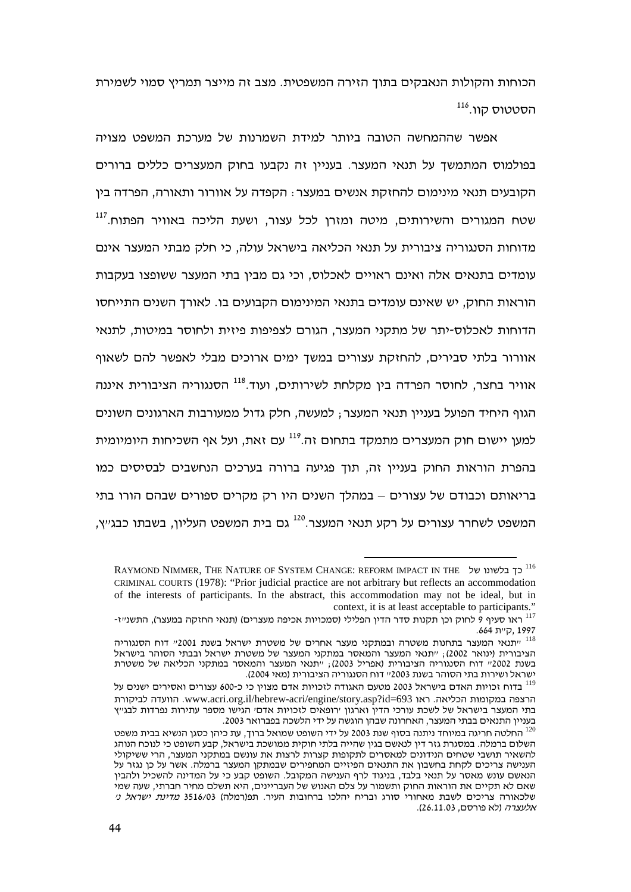הכוחות והקולות הנאבקים בתוך הזירה המשפטית. מצב זה מייצר תמריץ סמוי לשמירת הסטטוס קוו.<sup>116</sup>

אפשר שההמחשה הטובה ביותר למידת השמרנות של מערכת המשפט מצויה בפולמוס המתמשך על תנאי המעצר. בעניין זה נקבעו בחוק המעצרים כללים ברורים הקובעים תנאי מינימום להחזקת אנשים במעצר : הקפדה על אוורור ותאורה, הפרדה בין שטח המגורים והשירותים, מיטה ומזרן לכל עצור, ושעת הליכה באוויר הפתוח.<sup>117</sup> מדוחות הסנגוריה ציבורית על תנאי הכליאה בישראל עולה, כי חלק מבתי המעצר אינם עומדים בתנאים אלה ואינם ראויים לאכלוס, וכי גם מבין בתי המעצר ששופצו בעקבות הוראות החוק, יש שאינם עומדים בתנאי המינימום הקבועים בו. לאורך השנים התייחסו הדוחות לאכלוס-יתר של מתקני המעצר, הגורם לצפיפות פיזית ולחוסר במיטות, לתנאי אוורור בלתי סבירים, להחזקת עצורים במשך ימים ארוכים מבלי לאפשר להם לשאוף אוויר בחצר, לחוסר הפרדה בין מקלחת לשירותים, ועוד.<sup>118</sup> הסנגוריה הציבורית איננה הגוף היחיד הפועל בעניין תנאי המעצר ; למעשה, חלק גדול ממעורבות הארגונים השונים למען יישום חוק המעצרים מתמקד בתחום זה.<sup>119</sup> עם זאת, ועל אף השכיחות היומיומית בהפרת הוראות החוק בעניין זה, תוך פגיעה ברורה בערכים הנחשבים לבסיסים כמו בריאותם וכבודם של עצורים – במהלך השנים היו רק מקרים ספורים שבהם הורו בתי המשפט לשחרר עצורים על רקע תנאי המעצר.<sup>120</sup> גם בית המשפט העליון, בשבתו כבג׳׳ץ,

<sup>116</sup> RAYMOND NIMMER, THE NATURE OF SYSTEM CHANGE: REFORM IMPACT IN THE  CRIMINAL COURTS (1978): "Prior judicial practice are not arbitrary but reflects an accommodation of the interests of participants. In the abstract, this accommodation may not be ideal, but in context, it is at least acceptable to participants."

יו ראו סעיף 9 לחוק וכן תקנות סדר הדין הפלילי (סמכויות אכיפה מעצרים) (תנאי החזקה במעצר), התשנ״ז-

<sup>1997 ,</sup>ק׳ית 664.<br><sup>118</sup> ייתנאי המעצר בתחנות משטרה ובמתקני מעצר אחרים של משטרת ישראל בשנת 2001׳י דוח הסנגוריה הציבורית (ינואר 2002); ״תנאי המעצר והמאסר במתקני המעצר של משטרת ישראל ובבתי הסוהר בישראל בשנת 2002״ דוח הסנגוריה הציבורית (אפריל 2003); ״תנאי המעצר והמאסר במתקני הכליאה של משטרת הסוהר בשנת 2003״ דוח הסנגוריה הציבורית (מאי 2004). ישראל ושירות בתי הסוהר בשנת 2003״ דוח הסנגוריה הציבורית (מאי 2004).<br><sup>119</sup> בדוח זכויות האדם בישראל 2003 מטעם האגודה לזכויות אדם מצוין כי כ-600 עצורים ואסירים ישנים על

  .www.acri.org.il/hebrew-acri/engine/story.asp?id=693  .   בתי המעצר בישראל של לשכת עורכי הדין וארגון ׳רופאים לזכויות אדם׳ הגישו מספר עתירות נפרדות לבג׳׳ץ התנאים בבתי המעצר, האחרונה שבהן הוגשה על ידי הלשכה בפברואר 2003.

בעניין התנאים בבתי המעצר, האחרונה שבהן הוגשה על ידי הלשכה בפברואר 2003.<br><sup>120</sup> החלטה חריגה במיוחד ניתנה בסוף שנת 2003 על ידי השופט שמואל ברוך, עת כיהן כסגן הנשיא בבית משפט השלום ברמלה. במסגרת גזר דין לנאשם בגין שהייה בלתי חוקית ממושכת בישראל, קבע השופט כי לנוכח הנוהג להשאיר תושבי שטחים הנידונים למאסרים לתקופות קצרות לרצות את עונשם במתקני המעצר, הרי ששיקולי הענישה צריכים לקחת בחשבון את התנאים הפיזיים המחפירים שבמתקן המעצר ברמלה. אשר על כן נגזר על הנאשם עונש מאסר על תנאי בלבד, בניגוד לרף הענישה המקובל. השופט קבע כי על המדינה להשכיל ולהבין שאם לא תקיים את הוראות החוק ותשמור על צלם האנוש של העבריינים, היא תשלם מחיר חברתי, שעה שמי ה צריכים לשבת מאחורי סורג ובריח יהלכו ברחובות העיר. תפ(רמלה) 3516/03 *מדינת ישראל ני* שלכאורה צריכים לשבת מאח<br>*אלעצרה* (לא פורסם, 26.11.03).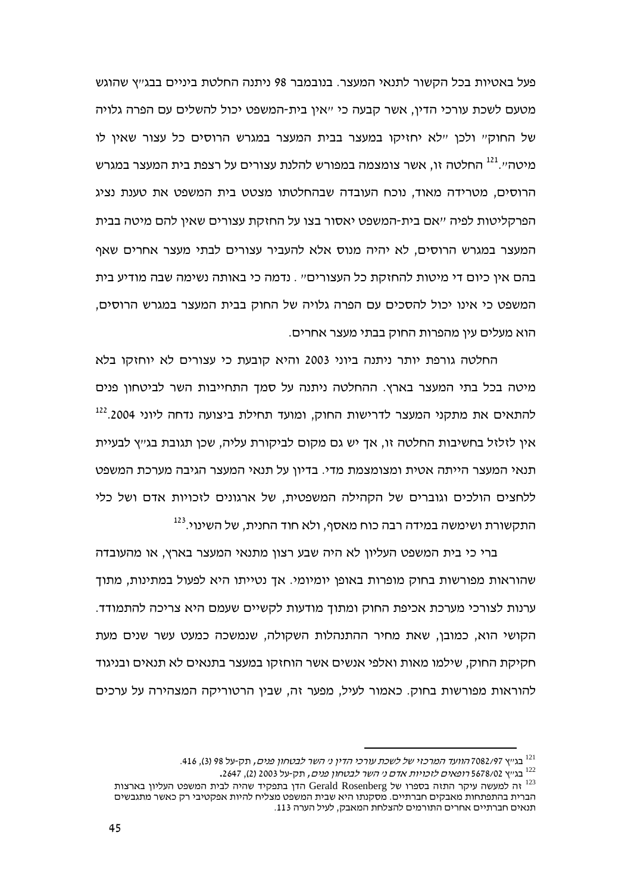פעל באטיות בכל הקשור לתנאי המעצר. בנובמבר 98 ניתנה החלטת ביניים בבג׳יץ שהוגש מטעם לשכת עורכי הדין, אשר קבעה כי "אין בית-המשפט יכול להשלים עם הפרה גלויה של החוקיי ולכן יילא יחזיקו במעצר בבית המעצר במגרש הרוסים כל עצור שאין לו מיטה״.<sup>121</sup> החלטה זו, אשר צומצמה במפורש להלנת עצורים על רצפת בית המעצר במגרש הרוסים, מטרידה מאוד, נוכח העובדה שבהחלטתו מצטט בית המשפט את טענת נציג הפרקליטות לפיה "אם בית-המשפט יאסור בצו על החזקת עצורים שאין להם מיטה בבית המעצר במגרש הרוסים. לא יהיה מנוס אלא להעביר עצורים לבתי מעצר אחרים שאף בהם איו כיום די מיטות להחזקת כל העצורים״ . נדמה כי באותה נשימה שבה מודיע בית המשפט כי אינו יכול להסכים עם הפרה גלויה של החוק בבית המעצר במגרש הרוסים, הוא מעלים עיו מהפרות החוק בבתי מעצר אחרים.

החלטה גורפת יותר ניתנה ביוני 2003 והיא קובעת כי עצורים לא יוחזקו בלא מיטה בכל בתי המעצר בארץ. ההחלטה ניתנה על סמך התחייבות השר לביטחון פנים להתאים את מתקני המעצר לדרישות החוק, ומועד תחילת ביצועה נדחה ליוני 2004.<sup>122</sup> איו לזלזל בחשיבות החלטה זו. אד יש גם מקום לביקורת עליה. שכו תגובת בג״ץ לבעיית תנאי המעצר הייתה אטית ומצומצמת מדי. בדיוו על תנאי המעצר הגיבה מערכת המשפט ללחצים הולכים וגוברים של הקהילה המשפטית, של ארגונים לזכויות אדם ושל כלי התקשורת ושימשה במידה רבה כוח מאסף, ולא חוד החנית. של השינוי.<sup>123</sup>

ברי כי בית המשפט העליון לא היה שבע רצון מתנאי המעצר בארץ, או מהעובדה שהוראות מפורשות בחוק מופרות באופו יומיומי. אד נטייתו היא לפעול במתינות, מתוך ערנות לצורכי מערכת אכיפת החוק ומתוך מודעות לקשיים שעמם היא צריכה להתמודד. הקושי הוא, כמובו, שאת מחיר ההתנהלות השקולה, שנמשכה כמעט עשר שנים מעת חקיקת החוק, שילמו מאות ואלפי אנשים אשר הוחזקו במעצר בתנאים לא תנאים ובניגוד להוראות מפורשות בחוק. כאמור לעיל. מפער זה. שביו הרטוריקה המצהירה על ערכים

<sup>&</sup>lt;sup>121</sup> בגייא 7082/97 *הוועד המרכזי של לשכת עורכי הדין ני השר לבטחון פנים,* תק-על 98 (3), 416.

<sup>.&</sup>lt;br><sup>122</sup> בגייא 5678/02 *רופאים לזכויות אדם ני השר לבטחון פנים*, תק-על 2003 (2), 2647.

הדן בתפקיד שהיה לבית המשפט העליון בארצות Gerald Rosenberg לבית המשפט העליון בארצות הברית בהתפתחות מאבקים חברתיים. מסקנתו היא שבית המשפט מצליח להיות אפקטיבי רק כאשר מתגבשים תנאים חברתיים אחרים התורמים להצלחת המאבק, לעיל הערה 113.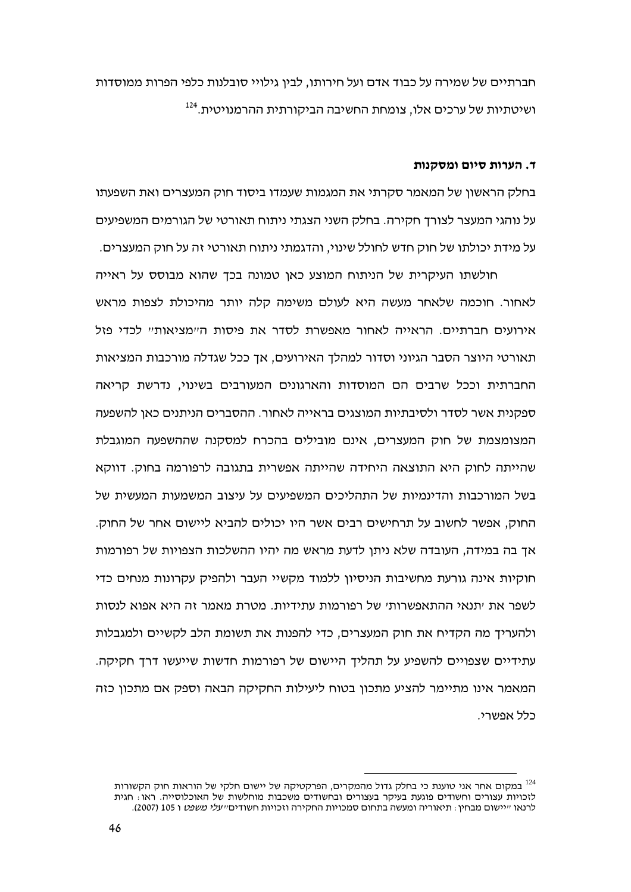חברתיים של שמירה על כבוד אדם ועל חירותו, לבין גילויי סובלנות כלפי הפרות ממוסדות ושיטתיות של ערכים אלו, צומחת החשיבה הביקורתית ההרמנויטית.<sup>124</sup>

## ד. הערות סיום ומסקנות

בחלק הראשון של המאמר סקרתי את המגמות שעמדו ביסוד חוק המעצרים ואת השפעתו על נוהגי המעצר לצורד חקירה. בחלק השני הצגתי ניתוח תאורטי של הגורמים המשפיעים על מידת יכולתו של חוק חדש לחולל שינוי, והדגמתי ניתוח תאורטי זה על חוק המעצרים.

חולשתו העיקרית של הניתוח המוצע כאן טמונה בכך שהוא מבוסס על ראייה לאחור. חוכמה שלאחר מעשה היא לעולם משימה קלה יותר מהיכולת לצפות מראש אירועים חברתיים. הראייה לאחור מאפשרת לסדר את פיסות ה״מציאות״ לכדי פזל תאורטי היוצר הסבר הגיוני וסדור למהלד האירועים. אד ככל שגדלה מורכבות המציאות החברתית וככל שרבים הם המוסדות והארגונים המעורבים בשינוי, נדרשת קריאה ספקנית אשר לסדר ולסיבתיות המוצגים בראייה לאחור. ההסברים הניתנים כאן להשפעה המצומצמת של חוק המעצרים, אינם מובילים בהכרח למסקנה שההשפעה המוגבלת שהייתה לחוק היא התוצאה היחידה שהייתה אפשרית בתגובה לרפורמה בחוק. דווקא בשל המורכבות והדינמיות של התהליכים המשפיעים על עיצוב המשמעות המעשית של החוק, אפשר לחשוב על תרחישים רבים אשר היו יכולים להביא ליישום אחר של החוק. אך בה במידה, העובדה שלא ניתן לדעת מראש מה יהיו ההשלכות הצפויות של רפורמות חוקיות אינה גורעת מחשיבות הניסיון ללמוד מקשיי העבר ולהפיק עקרונות מנחים כדי לשפר את יתנאי ההתאפשרותי של רפורמות עתידיות. מטרת מאמר זה היא אפוא לנסות ולהעריד מה הקדיח את חוק המעצרים. כדי להפנות את תשומת הלב לקשיים ולמגבלות עתידיים שצפויים להשפיע על תהליך היישום של רפורמות חדשות שייעשו דרך חקיקה. המאמר אינו מתיימר להציע מתכון בטוח ליעילות החקיקה הבאה וספק אם מתכון כזה כלל אפשרי.

<sup>&</sup>lt;sup>124</sup> במקום אחר אני טוענת כי בחלק גדול מהמקרים, הפרקטיקה של יישום חלקי של הוראות חוק הקשורות לזכויות עצורים וחשודים פוגעת בעיקר בעצורים ובחשודים משכבות מוחלשות של האוכלוסייה. ראו לרנאו ״יישום מבחין : תיאוריה ומעשה בתחום סמכויות החקירה וזכויות חשודים״ *עלי משפט* ו 105 (2007).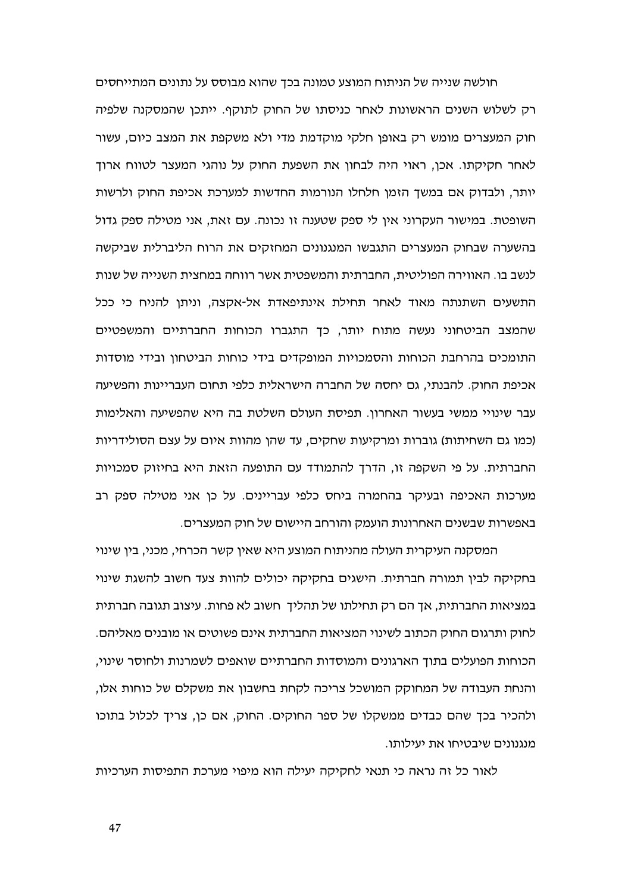חולשה שנייה של הניתוח המוצע טמונה בכך שהוא מבוסס על נתונים המתייחסים רק לשלוש השנים הראשונות לאחר כניסתו של החוק לתוקף. ייתכן שהמסקנה שלפיה חוק המעצרים מומש רק באופן חלקי מוקדמת מדי ולא משקפת את המצב כיום, עשור לאחר חקיקתו. אכן, ראוי היה לבחון את השפעת החוק על נוהגי המעצר לטווח ארוך יותר, ולבדוק אם במשך הזמן חלחלו הנורמות החדשות למערכת אכיפת החוק ולרשות השופטת. במישור העקרוני אין לי ספק שטענה זו נכונה. עם זאת, אני מטילה ספק גדול בהשערה שבחוק המעצרים התגבשו המנגנונים המחזקים את הרוח הליברלית שביקשה לנשב בו. האווירה הפוליטית, החברתית והמשפטית אשר רווחה במחצית השנייה של שנות התשעים השתנתה מאוד לאחר תחילת אינתיפאדת אל-אקצה, וניתן להניח כי ככל שהמצב הביטחוני נעשה מתוח יותר, כך התגברו הכוחות החברתיים והמשפטיים התומכים בהרחבת הכוחות והסמכויות המופקדים בידי כוחות הביטחוו ובידי מוסדות אכיפת החוק. להבנתי, גם יחסה של החברה הישראלית כלפי תחום העבריינות והפשיעה עבר שינויי ממשי בעשור האחרון. תפיסת העולם השלטת בה היא שהפשיעה והאלימות (כמו גם השחיתות) גוברות ומרקיעות שחקים, עד שהן מהוות איום על עצם הסולידריות החברתית. על פי השקפה זו, הדרך להתמודד עם התופעה הזאת היא בחיזוק סמכויות מערכות האכיפה ובעיקר בהחמרה ביחס כלפי עבריינים. על כן אני מטילה ספק רב באפשרות שבשנים האחרונות הועמק והורחב היישום של חוק המעצרים.

המסקנה העיקרית העולה מהניתוח המוצע היא שאין קשר הכרחי, מכני, בין שינוי בחקיקה לבין תמורה חברתית. הישגים בחקיקה יכולים להוות צעד חשוב להשגת שינוי במציאות החברתית, אד הם רק תחילתו של תהליד חשוב לא פחות. עיצוב תגובה חברתית לחוק ותרגום החוק הכתוב לשינוי המציאות החברתית אינם פשוטים או מובנים מאליהם. הכוחות הפועלים בתוך הארגונים והמוסדות החברתיים שואפים לשמרנות ולחוסר שינוי, והנחת העבודה של המחוקק המושכל צריכה לקחת בחשבון את משקלם של כוחות אלו, ולהכיר בכד שהם כבדים ממשקלו של ספר החוקים. החוק, אם כו, צריד לכלול בתוכו מנגנונים שיבטיחו את יעילותו.

לאור כל זה נראה כי תנאי לחקיקה יעילה הוא מיפוי מערכת התפיסות הערכיות

47